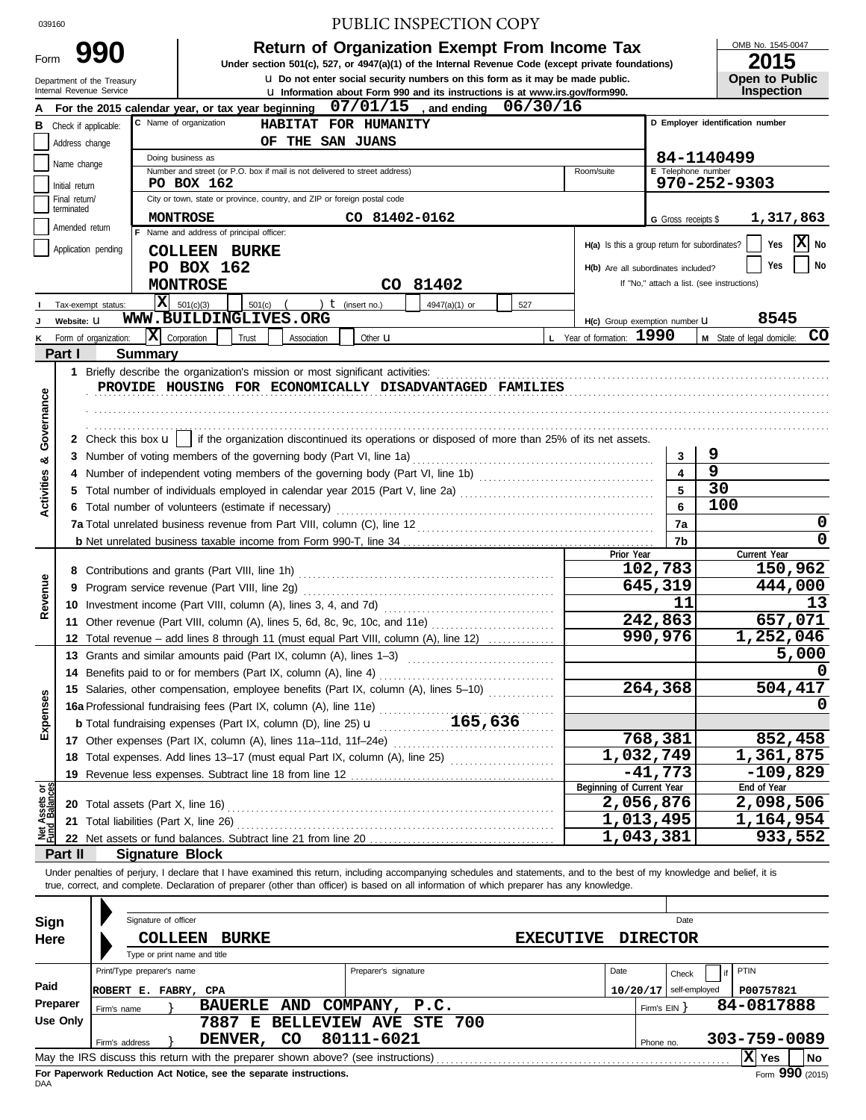# 039160 PUBLIC INSPECTION COPY

|                   | <b>Return of Organization Exempt From Income Tax</b>                                               | OMB No. 1545-0   |
|-------------------|----------------------------------------------------------------------------------------------------|------------------|
| 990               | Under section 501(c), 527, or 4947(a)(1) of the Internal Revenue Code (except private foundations) | 2015             |
| t of the Treasurv | U. Do not enter social security numbers on this form as it may be made public.                     | Open to Pu       |
| venue Service     | <b>Let</b> Information about Form 990 and its instructions is at www.irs.gov/form990.              | <b>Inspectio</b> |

OMB No. 1545-0047 **Open to Public.** 

|                                | Department of the Treasury<br>Internal Revenue Service |                            |                                                                                                                                                                            | <b>u</b> Do not enter social security numbers on this form as it may be made public.                    |                  |                                               |                         | Open to Public                             |
|--------------------------------|--------------------------------------------------------|----------------------------|----------------------------------------------------------------------------------------------------------------------------------------------------------------------------|---------------------------------------------------------------------------------------------------------|------------------|-----------------------------------------------|-------------------------|--------------------------------------------|
|                                |                                                        |                            |                                                                                                                                                                            | La Information about Form 990 and its instructions is at www.irs.gov/form990.<br>07/01/15<br>and ending | 06/30/16         |                                               |                         | <b>Inspection</b>                          |
|                                | <b>B</b> Check if applicable:                          |                            | For the 2015 calendar year, or tax year beginning<br>C Name of organization<br>HABITAT FOR HUMANITY                                                                        |                                                                                                         |                  |                                               |                         | D Employer identification number           |
|                                |                                                        |                            | OF THE SAN JUANS                                                                                                                                                           |                                                                                                         |                  |                                               |                         |                                            |
|                                | Address change                                         |                            | Doing business as                                                                                                                                                          |                                                                                                         |                  |                                               |                         | 84-1140499                                 |
|                                | Name change                                            |                            | Number and street (or P.O. box if mail is not delivered to street address)                                                                                                 |                                                                                                         |                  | Room/suite                                    | E Telephone number      |                                            |
|                                | Initial return                                         |                            | PO BOX 162                                                                                                                                                                 |                                                                                                         |                  |                                               |                         | 970-252-9303                               |
|                                | Final return/<br>terminated                            |                            | City or town, state or province, country, and ZIP or foreign postal code                                                                                                   |                                                                                                         |                  |                                               |                         |                                            |
|                                |                                                        |                            | <b>MONTROSE</b>                                                                                                                                                            | CO 81402-0162                                                                                           |                  |                                               | G Gross receipts \$     | 1,317,863                                  |
|                                | Amended return                                         |                            | F Name and address of principal officer:                                                                                                                                   |                                                                                                         |                  | H(a) Is this a group return for subordinates? |                         | $X$ No<br>Yes                              |
|                                | Application pending                                    |                            | <b>COLLEEN BURKE</b>                                                                                                                                                       |                                                                                                         |                  |                                               |                         |                                            |
|                                |                                                        |                            | PO BOX 162                                                                                                                                                                 |                                                                                                         |                  | H(b) Are all subordinates included?           |                         | No<br>Yes                                  |
|                                |                                                        |                            | <b>MONTROSE</b>                                                                                                                                                            | CO 81402                                                                                                |                  |                                               |                         | If "No," attach a list. (see instructions) |
|                                | Tax-exempt status:                                     |                            | $\overline{\mathbf{X}}$ 501(c)(3)<br>$501(c)$ (<br>) $t$ (insert no.)                                                                                                      | 4947(a)(1) or                                                                                           | 527              |                                               |                         |                                            |
|                                | Website: U                                             |                            | WWW.BUILDINGLIVES.ORG                                                                                                                                                      |                                                                                                         |                  | H(c) Group exemption number U                 |                         | 8545                                       |
| ĸ                              | Form of organization:                                  |                            | $ \mathbf{x} $ Corporation<br>Trust<br>Association                                                                                                                         | Other <b>u</b>                                                                                          |                  | L Year of formation: 1990                     |                         | CO<br>M State of legal domicile:           |
|                                | Part I                                                 | <b>Summary</b>             |                                                                                                                                                                            |                                                                                                         |                  |                                               |                         |                                            |
|                                |                                                        |                            |                                                                                                                                                                            |                                                                                                         |                  |                                               |                         |                                            |
|                                |                                                        |                            | PROVIDE HOUSING FOR ECONOMICALLY DISADVANTAGED FAMILIES                                                                                                                    |                                                                                                         |                  |                                               |                         |                                            |
| Governance                     |                                                        |                            |                                                                                                                                                                            |                                                                                                         |                  |                                               |                         |                                            |
|                                |                                                        |                            |                                                                                                                                                                            |                                                                                                         |                  |                                               |                         |                                            |
|                                |                                                        |                            | 2 Check this box $\mathbf{u}$   if the organization discontinued its operations or disposed of more than 25% of its net assets.                                            |                                                                                                         |                  |                                               |                         |                                            |
| න්                             | 3                                                      |                            | Number of voting members of the governing body (Part VI, line 1a)                                                                                                          |                                                                                                         |                  |                                               | 3                       | 9                                          |
|                                | 4                                                      |                            |                                                                                                                                                                            |                                                                                                         |                  |                                               | $\overline{\mathbf{4}}$ | $\overline{9}$                             |
| <b>Activities</b>              | 5                                                      |                            | Total number of individuals employed in calendar year 2015 (Part V, line 2a) [[[[[[[[[[[[[[[[[[[[[[[[[[[[[[[[                                                              |                                                                                                         |                  |                                               | 5                       | 30                                         |
|                                | 6                                                      |                            | Total number of volunteers (estimate if necessary)                                                                                                                         |                                                                                                         |                  |                                               | 6                       | 100                                        |
|                                |                                                        |                            |                                                                                                                                                                            |                                                                                                         |                  |                                               | 7a                      | 0                                          |
|                                |                                                        |                            |                                                                                                                                                                            |                                                                                                         |                  |                                               | 7b                      | 0                                          |
|                                |                                                        |                            |                                                                                                                                                                            |                                                                                                         |                  | Prior Year                                    |                         | Current Year                               |
|                                |                                                        |                            |                                                                                                                                                                            |                                                                                                         |                  |                                               | 102,783                 | 150,962                                    |
| Revenue                        | 9                                                      |                            |                                                                                                                                                                            |                                                                                                         |                  |                                               | 645,319<br>11           | 444,000<br>13                              |
|                                | 10                                                     |                            |                                                                                                                                                                            |                                                                                                         |                  |                                               |                         |                                            |
|                                |                                                        |                            |                                                                                                                                                                            |                                                                                                         |                  |                                               | 242,863                 | 657,071<br>1,252,046                       |
|                                | 12                                                     |                            | Total revenue – add lines 8 through 11 (must equal Part VIII, column (A), line 12)                                                                                         |                                                                                                         |                  |                                               | 990,976                 |                                            |
|                                |                                                        |                            | 13 Grants and similar amounts paid (Part IX, column (A), lines 1-3) [1] [1] [1] Crants and similar                                                                         |                                                                                                         |                  |                                               |                         | 5,000                                      |
|                                | 14                                                     |                            | Benefits paid to or for members (Part IX, column (A), line 4)                                                                                                              |                                                                                                         |                  |                                               |                         | 504,417                                    |
| မ္တ                            |                                                        |                            | 15 Salaries, other compensation, employee benefits (Part IX, column (A), lines 5-10)                                                                                       |                                                                                                         |                  |                                               | 264,368                 |                                            |
|                                |                                                        |                            | 16a Professional fundraising fees (Part IX, column (A), line 11e)                                                                                                          | 165,636                                                                                                 |                  |                                               |                         |                                            |
| Expen                          |                                                        |                            | <b>b</b> Total fundraising expenses (Part IX, column (D), line 25) $\mathbf{u}$                                                                                            |                                                                                                         |                  |                                               | 768,381                 | 852,458                                    |
|                                |                                                        |                            | 17 Other expenses (Part IX, column (A), lines 11a-11d, 11f-24e)<br>18 Total expenses. Add lines 13-17 (must equal Part IX, column (A), line 25)                            |                                                                                                         |                  | $\overline{1,}032,749$                        |                         | 1,361,875                                  |
|                                | 19                                                     |                            |                                                                                                                                                                            |                                                                                                         |                  |                                               | $-41,773$               | $-109,829$                                 |
|                                |                                                        |                            |                                                                                                                                                                            |                                                                                                         |                  | Beginning of Current Year                     |                         | End of Year                                |
| Net Assets or<br>Fund Balances | 20 Total assets (Part X, line 16)                      |                            |                                                                                                                                                                            |                                                                                                         |                  | 2,056,876                                     |                         | 2,098,506                                  |
|                                | 21                                                     |                            | Total liabilities (Part X, line 26)                                                                                                                                        |                                                                                                         |                  | 1,013,495                                     |                         | $\overline{1}$ , 164, 954                  |
|                                |                                                        |                            |                                                                                                                                                                            |                                                                                                         |                  | 1,043,381                                     |                         | 933,552                                    |
|                                | Part II                                                | <b>Signature Block</b>     |                                                                                                                                                                            |                                                                                                         |                  |                                               |                         |                                            |
|                                |                                                        |                            | Under penalties of perjury, I declare that I have examined this return, including accompanying schedules and statements, and to the best of my knowledge and belief, it is |                                                                                                         |                  |                                               |                         |                                            |
|                                |                                                        |                            | true, correct, and complete. Declaration of preparer (other than officer) is based on all information of which preparer has any knowledge.                                 |                                                                                                         |                  |                                               |                         |                                            |
|                                |                                                        |                            |                                                                                                                                                                            |                                                                                                         |                  |                                               |                         |                                            |
| Sign                           |                                                        | Signature of officer       |                                                                                                                                                                            |                                                                                                         |                  |                                               | Date                    |                                            |
| Here                           |                                                        | <b>COLLEEN</b>             | <b>BURKE</b>                                                                                                                                                               |                                                                                                         | <b>EXECUTIVE</b> |                                               | <b>DIRECTOR</b>         |                                            |
|                                |                                                        |                            | Type or print name and title                                                                                                                                               |                                                                                                         |                  |                                               |                         |                                            |
|                                |                                                        | Print/Type preparer's name |                                                                                                                                                                            | Preparer's signature                                                                                    |                  | Date                                          | Check                   | PTIN<br>if                                 |
| Paid                           |                                                        | ROBERT E. FABRY, CPA       |                                                                                                                                                                            |                                                                                                         |                  | 10/20/17                                      | self-employed           | P00757821                                  |
|                                | Preparer<br>Firm's name                                |                            | BAUERLE AND COMPANY, P.C.                                                                                                                                                  |                                                                                                         |                  |                                               | Firm's $EIN$ }          | 84-0817888                                 |
|                                | Use Only                                               |                            | 7887 E BELLEVIEW AVE STE 700                                                                                                                                               |                                                                                                         |                  |                                               |                         |                                            |
|                                |                                                        | Firm's address             | DENVER, CO                                                                                                                                                                 | 80111-6021                                                                                              |                  |                                               | Phone no.               | 303-759-0089                               |
|                                |                                                        |                            |                                                                                                                                                                            |                                                                                                         |                  |                                               |                         | $ \mathbf{X} $ Yes<br><b>No</b>            |

| Sign<br>Here         | Signature of officer<br><b>COLLEEN</b><br><b>BURKE</b><br>Type or print name and title                                                                                                    | Date<br><b>EXECUTIVE</b><br><b>DIRECTOR</b>                        |  |  |  |  |  |  |  |
|----------------------|-------------------------------------------------------------------------------------------------------------------------------------------------------------------------------------------|--------------------------------------------------------------------|--|--|--|--|--|--|--|
| Paid                 | Print/Type preparer's name<br>Preparer's signature<br>ROBERT E. FABRY, CPA                                                                                                                | Date<br>PTIN<br>Check<br>self-employed<br>P00757821<br>10/20/17    |  |  |  |  |  |  |  |
| Preparer<br>Use Only | BAUERLE AND COMPANY, P.C.<br>Firm's name<br>BELLEVIEW AVE STE 700<br>7887<br>Е<br>80111-6021<br>CO.<br>DENVER,<br>Firm's address                                                          | 84-0817888<br>Firm's $EIN$ $\}$<br>$303 - 759 - 0089$<br>Phone no. |  |  |  |  |  |  |  |
|                      | May the IRS discuss this return with the preparer shown above? (see instructions)<br>l No<br>Yes<br>Form 990 (2015)<br>For Paperwork Reduction Act Notice, see the separate instructions. |                                                                    |  |  |  |  |  |  |  |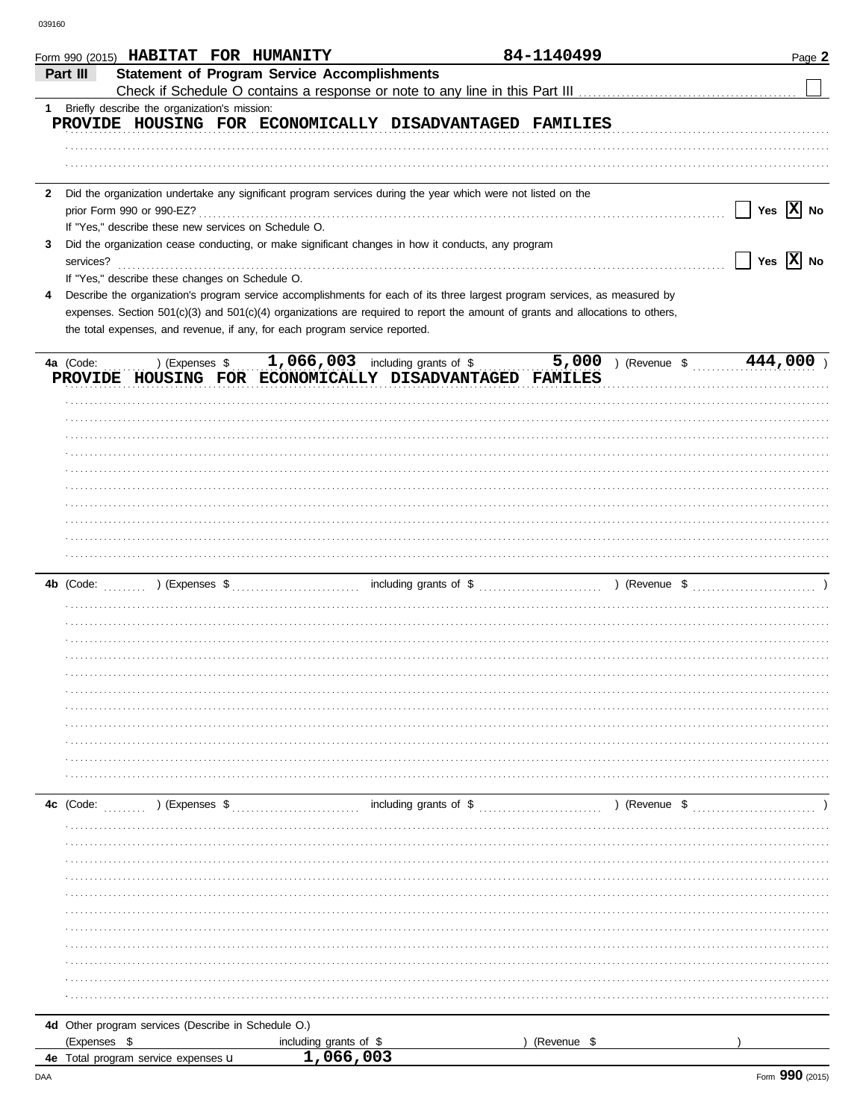|              | Form 990 (2015) HABITAT FOR HUMANITY                                                                                           |                                     |                                    | 84-1140499  |                       | Page 2                                |
|--------------|--------------------------------------------------------------------------------------------------------------------------------|-------------------------------------|------------------------------------|-------------|-----------------------|---------------------------------------|
|              | <b>Statement of Program Service Accomplishments</b><br>Part III                                                                |                                     |                                    |             |                       |                                       |
|              |                                                                                                                                |                                     |                                    |             |                       |                                       |
|              | 1 Briefly describe the organization's mission:                                                                                 |                                     |                                    |             |                       |                                       |
|              | PROVIDE HOUSING FOR ECONOMICALLY DISADVANTAGED FAMILIES                                                                        |                                     |                                    |             |                       |                                       |
|              |                                                                                                                                |                                     |                                    |             |                       |                                       |
|              |                                                                                                                                |                                     |                                    |             |                       |                                       |
|              |                                                                                                                                |                                     |                                    |             |                       |                                       |
| $\mathbf{2}$ | Did the organization undertake any significant program services during the year which were not listed on the                   |                                     |                                    |             |                       |                                       |
|              | prior Form 990 or 990-EZ?                                                                                                      |                                     |                                    |             |                       | Yes $ \mathbf{X} $ No<br>$\mathbf{L}$ |
|              | If "Yes," describe these new services on Schedule O.                                                                           |                                     |                                    |             |                       |                                       |
| 3            | Did the organization cease conducting, or make significant changes in how it conducts, any program                             |                                     |                                    |             |                       |                                       |
|              | services?                                                                                                                      |                                     |                                    |             |                       | $\sqrt{}$ Yes $\sqrt{}$ No            |
|              | If "Yes," describe these changes on Schedule O.                                                                                |                                     |                                    |             |                       |                                       |
| 4            | Describe the organization's program service accomplishments for each of its three largest program services, as measured by     |                                     |                                    |             |                       |                                       |
|              | expenses. Section 501(c)(3) and 501(c)(4) organizations are required to report the amount of grants and allocations to others, |                                     |                                    |             |                       |                                       |
|              | the total expenses, and revenue, if any, for each program service reported.                                                    |                                     |                                    |             |                       |                                       |
|              |                                                                                                                                |                                     |                                    |             |                       |                                       |
|              |                                                                                                                                |                                     |                                    |             | $5,000$ ) (Revenue \$ | 444,000                               |
|              | ) (Expenses \$<br>4a (Code:                                                                                                    |                                     | $1,066,003$ including grants of \$ |             |                       |                                       |
|              | PROVIDE HOUSING FOR ECONOMICALLY DISADVANTAGED FAMILES                                                                         |                                     |                                    |             |                       |                                       |
|              |                                                                                                                                |                                     |                                    |             |                       |                                       |
|              |                                                                                                                                |                                     |                                    |             |                       |                                       |
|              |                                                                                                                                |                                     |                                    |             |                       |                                       |
|              |                                                                                                                                |                                     |                                    |             |                       |                                       |
|              |                                                                                                                                |                                     |                                    |             |                       |                                       |
|              |                                                                                                                                |                                     |                                    |             |                       |                                       |
|              |                                                                                                                                |                                     |                                    |             |                       |                                       |
|              |                                                                                                                                |                                     |                                    |             |                       |                                       |
|              |                                                                                                                                |                                     |                                    |             |                       |                                       |
|              |                                                                                                                                |                                     |                                    |             |                       |                                       |
|              |                                                                                                                                |                                     |                                    |             |                       |                                       |
|              |                                                                                                                                |                                     |                                    |             |                       |                                       |
|              |                                                                                                                                |                                     |                                    |             |                       |                                       |
|              |                                                                                                                                |                                     |                                    |             |                       |                                       |
|              |                                                                                                                                |                                     |                                    |             |                       |                                       |
|              |                                                                                                                                |                                     |                                    |             |                       |                                       |
|              |                                                                                                                                |                                     |                                    |             |                       |                                       |
|              |                                                                                                                                |                                     |                                    |             |                       |                                       |
|              |                                                                                                                                |                                     |                                    |             |                       |                                       |
|              |                                                                                                                                |                                     |                                    |             |                       |                                       |
|              |                                                                                                                                |                                     |                                    |             |                       |                                       |
|              |                                                                                                                                |                                     |                                    |             |                       |                                       |
|              |                                                                                                                                |                                     |                                    |             |                       |                                       |
|              |                                                                                                                                |                                     |                                    |             |                       |                                       |
|              |                                                                                                                                |                                     |                                    |             |                       |                                       |
|              | 4c (Code:<br>) (Expenses $$$                                                                                                   |                                     | including grants of $\$$           |             | ) (Revenue \$         |                                       |
|              |                                                                                                                                |                                     |                                    |             |                       |                                       |
|              |                                                                                                                                |                                     |                                    |             |                       |                                       |
|              |                                                                                                                                |                                     |                                    |             |                       |                                       |
|              |                                                                                                                                |                                     |                                    |             |                       |                                       |
|              |                                                                                                                                |                                     |                                    |             |                       |                                       |
|              |                                                                                                                                |                                     |                                    |             |                       |                                       |
|              |                                                                                                                                |                                     |                                    |             |                       |                                       |
|              |                                                                                                                                |                                     |                                    |             |                       |                                       |
|              |                                                                                                                                |                                     |                                    |             |                       |                                       |
|              |                                                                                                                                |                                     |                                    |             |                       |                                       |
|              |                                                                                                                                |                                     |                                    |             |                       |                                       |
|              |                                                                                                                                |                                     |                                    |             |                       |                                       |
|              |                                                                                                                                |                                     |                                    |             |                       |                                       |
|              | 4d Other program services (Describe in Schedule O.)                                                                            |                                     |                                    |             |                       |                                       |
|              | (Expenses \$                                                                                                                   | including grants of \$<br>1,066,003 |                                    | (Revenue \$ |                       |                                       |
|              | 4e Total program service expenses u                                                                                            |                                     |                                    |             |                       |                                       |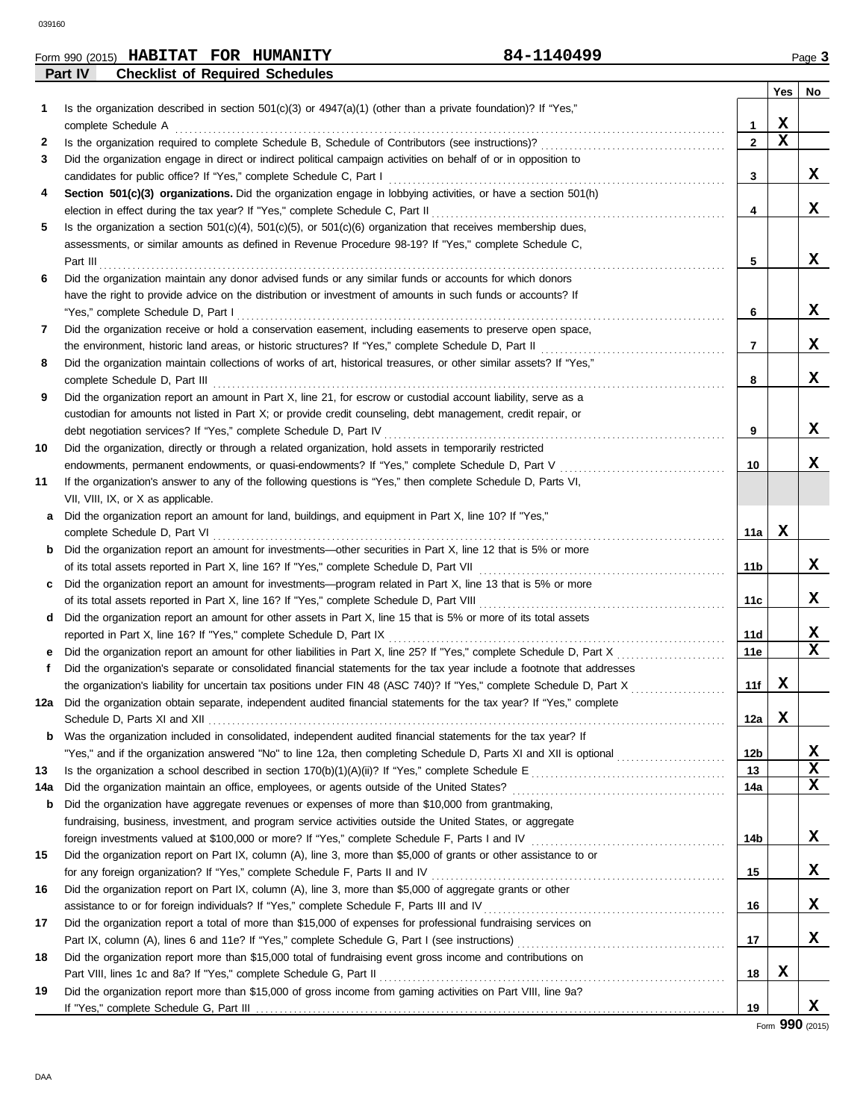| Form 990 (2015) | <b>HABITAT</b>                         | <b>FOR</b> | <b>HUMANITY</b> | 84-1140499 | Page $\sim$ |
|-----------------|----------------------------------------|------------|-----------------|------------|-------------|
| Part IV         | <b>Checklist of Required Schedules</b> |            |                 |            |             |

|     |                                                                                                                                                                                                              |              | <b>Yes</b> | No     |
|-----|--------------------------------------------------------------------------------------------------------------------------------------------------------------------------------------------------------------|--------------|------------|--------|
| 1   | Is the organization described in section $501(c)(3)$ or $4947(a)(1)$ (other than a private foundation)? If "Yes,"                                                                                            |              |            |        |
|     | complete Schedule A                                                                                                                                                                                          | $\mathbf{1}$ | х          |        |
| 2   |                                                                                                                                                                                                              | $\mathbf{2}$ | X          |        |
| 3   | Did the organization engage in direct or indirect political campaign activities on behalf of or in opposition to                                                                                             |              |            |        |
|     |                                                                                                                                                                                                              | 3            |            | X      |
| 4   | Section 501(c)(3) organizations. Did the organization engage in lobbying activities, or have a section 501(h)                                                                                                |              |            |        |
|     |                                                                                                                                                                                                              | 4            |            | X      |
| 5   | Is the organization a section $501(c)(4)$ , $501(c)(5)$ , or $501(c)(6)$ organization that receives membership dues,                                                                                         |              |            |        |
|     | assessments, or similar amounts as defined in Revenue Procedure 98-19? If "Yes," complete Schedule C,                                                                                                        |              |            |        |
|     |                                                                                                                                                                                                              | 5            |            | X.     |
| 6   | Did the organization maintain any donor advised funds or any similar funds or accounts for which donors                                                                                                      |              |            |        |
|     | have the right to provide advice on the distribution or investment of amounts in such funds or accounts? If                                                                                                  |              |            |        |
|     | "Yes," complete Schedule D, Part I                                                                                                                                                                           | 6            |            | X.     |
| 7   | Did the organization receive or hold a conservation easement, including easements to preserve open space,                                                                                                    |              |            |        |
|     | the environment, historic land areas, or historic structures? If "Yes," complete Schedule D, Part II                                                                                                         | 7            |            | X.     |
| 8   | Did the organization maintain collections of works of art, historical treasures, or other similar assets? If "Yes,"                                                                                          |              |            |        |
|     | complete Schedule D, Part III                                                                                                                                                                                | 8            |            | X.     |
| 9   | Did the organization report an amount in Part X, line 21, for escrow or custodial account liability, serve as a                                                                                              |              |            |        |
|     | custodian for amounts not listed in Part X; or provide credit counseling, debt management, credit repair, or                                                                                                 |              |            |        |
|     |                                                                                                                                                                                                              | 9            |            | X      |
| 10  | Did the organization, directly or through a related organization, hold assets in temporarily restricted                                                                                                      |              |            | x      |
|     | endowments, permanent endowments, or quasi-endowments? If "Yes," complete Schedule D, Part V<br>If the organization's answer to any of the following questions is "Yes," then complete Schedule D, Parts VI, | 10           |            |        |
| 11  | VII, VIII, IX, or X as applicable.                                                                                                                                                                           |              |            |        |
| a   | Did the organization report an amount for land, buildings, and equipment in Part X, line 10? If "Yes,"                                                                                                       |              |            |        |
|     | complete Schedule D, Part VI                                                                                                                                                                                 | 11a          | x          |        |
| b   | Did the organization report an amount for investments—other securities in Part X, line 12 that is 5% or more                                                                                                 |              |            |        |
|     |                                                                                                                                                                                                              | 11b          |            | X.     |
| C   | Did the organization report an amount for investments—program related in Part X, line 13 that is 5% or more                                                                                                  |              |            |        |
|     |                                                                                                                                                                                                              | 11c          |            | X      |
| d   | Did the organization report an amount for other assets in Part X, line 15 that is 5% or more of its total assets                                                                                             |              |            |        |
|     |                                                                                                                                                                                                              | 11d          |            | X      |
| е   |                                                                                                                                                                                                              | 11e          |            | x      |
| f.  | Did the organization's separate or consolidated financial statements for the tax year include a footnote that addresses                                                                                      |              |            |        |
|     | the organization's liability for uncertain tax positions under FIN 48 (ASC 740)? If "Yes," complete Schedule D, Part X                                                                                       | 11f          | X          |        |
|     | 12a Did the organization obtain separate, independent audited financial statements for the tax year? If "Yes," complete                                                                                      |              |            |        |
|     |                                                                                                                                                                                                              | 12a          | X          |        |
| b   | Was the organization included in consolidated, independent audited financial statements for the tax year? If                                                                                                 |              |            |        |
|     |                                                                                                                                                                                                              | 12b          |            | x<br>x |
| 13  |                                                                                                                                                                                                              | 13<br>14a    |            | x      |
| 14a | Did the organization have aggregate revenues or expenses of more than \$10,000 from grantmaking,                                                                                                             |              |            |        |
| b   | fundraising, business, investment, and program service activities outside the United States, or aggregate                                                                                                    |              |            |        |
|     | foreign investments valued at \$100,000 or more? If "Yes," complete Schedule F, Parts I and IV [[[[[[[[[[[[[[[[                                                                                              | 14b          |            | X      |
| 15  | Did the organization report on Part IX, column (A), line 3, more than \$5,000 of grants or other assistance to or                                                                                            |              |            |        |
|     |                                                                                                                                                                                                              | 15           |            | x      |
| 16  | Did the organization report on Part IX, column (A), line 3, more than \$5,000 of aggregate grants or other                                                                                                   |              |            |        |
|     |                                                                                                                                                                                                              | 16           |            | x      |
| 17  | Did the organization report a total of more than \$15,000 of expenses for professional fundraising services on                                                                                               |              |            |        |
|     |                                                                                                                                                                                                              | 17           |            | x      |
| 18  | Did the organization report more than \$15,000 total of fundraising event gross income and contributions on                                                                                                  |              |            |        |
|     | Part VIII, lines 1c and 8a? If "Yes," complete Schedule G, Part II                                                                                                                                           | 18           | X          |        |
| 19  | Did the organization report more than \$15,000 of gross income from gaming activities on Part VIII, line 9a?                                                                                                 |              |            |        |
|     |                                                                                                                                                                                                              | 19           |            | x      |

Form **990** (2015)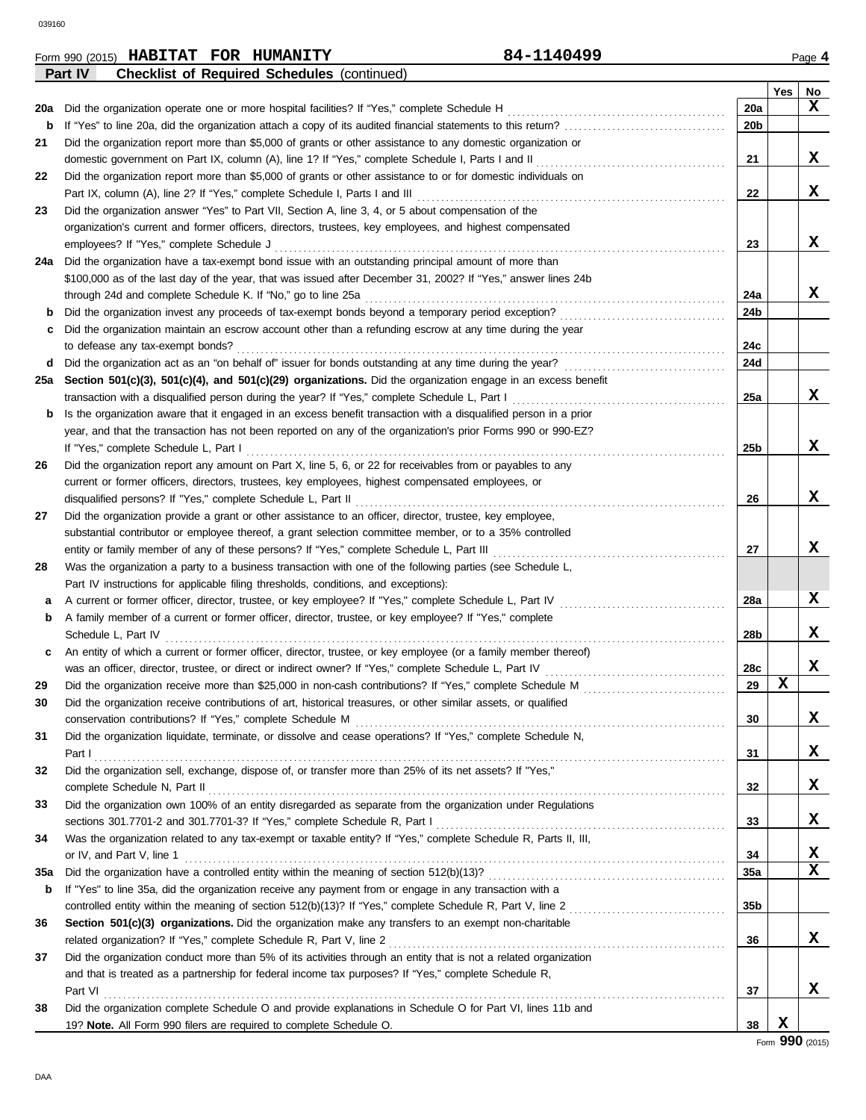|     | Form 990 (2015) HABITAT FOR HUMANITY                                                                                                                                                                                           | 84-1140499      |             | Page 4 |
|-----|--------------------------------------------------------------------------------------------------------------------------------------------------------------------------------------------------------------------------------|-----------------|-------------|--------|
|     | Part IV<br><b>Checklist of Required Schedules (continued)</b>                                                                                                                                                                  |                 |             |        |
|     |                                                                                                                                                                                                                                |                 | Yes         | No     |
| 20a |                                                                                                                                                                                                                                | 20a             |             | x      |
| b   |                                                                                                                                                                                                                                | 20 <sub>b</sub> |             |        |
| 21  | Did the organization report more than \$5,000 of grants or other assistance to any domestic organization or                                                                                                                    |                 |             |        |
|     |                                                                                                                                                                                                                                | 21              |             | x      |
| 22  | Did the organization report more than \$5,000 of grants or other assistance to or for domestic individuals on                                                                                                                  |                 |             |        |
|     |                                                                                                                                                                                                                                | 22              |             | X      |
| 23  | Did the organization answer "Yes" to Part VII, Section A, line 3, 4, or 5 about compensation of the                                                                                                                            |                 |             |        |
|     | organization's current and former officers, directors, trustees, key employees, and highest compensated                                                                                                                        |                 |             |        |
|     |                                                                                                                                                                                                                                | 23              |             | X      |
|     | 24a Did the organization have a tax-exempt bond issue with an outstanding principal amount of more than                                                                                                                        |                 |             |        |
|     | \$100,000 as of the last day of the year, that was issued after December 31, 2002? If "Yes," answer lines 24b                                                                                                                  |                 |             |        |
|     | through 24d and complete Schedule K. If "No," go to line 25a [11] content content content content content content content of the 25a [11] content content content content content of the 25a [11] content content content cont | 24a             |             | X      |
| b   | Did the organization invest any proceeds of tax-exempt bonds beyond a temporary period exception?                                                                                                                              | 24b             |             |        |
| c   | Did the organization maintain an escrow account other than a refunding escrow at any time during the year                                                                                                                      |                 |             |        |
|     |                                                                                                                                                                                                                                | 24c             |             |        |
|     |                                                                                                                                                                                                                                | 24d             |             |        |
|     | 25a Section 501(c)(3), 501(c)(4), and 501(c)(29) organizations. Did the organization engage in an excess benefit                                                                                                               |                 |             |        |
|     |                                                                                                                                                                                                                                | 25a             |             | X      |
| b   | Is the organization aware that it engaged in an excess benefit transaction with a disqualified person in a prior                                                                                                               |                 |             |        |
|     | year, and that the transaction has not been reported on any of the organization's prior Forms 990 or 990-EZ?                                                                                                                   |                 |             |        |
|     |                                                                                                                                                                                                                                | 25b             |             | X      |
| 26  | Did the organization report any amount on Part X, line 5, 6, or 22 for receivables from or payables to any                                                                                                                     |                 |             |        |
|     | current or former officers, directors, trustees, key employees, highest compensated employees, or                                                                                                                              |                 |             |        |
|     |                                                                                                                                                                                                                                | 26              |             | X      |
| 27  | Did the organization provide a grant or other assistance to an officer, director, trustee, key employee,                                                                                                                       |                 |             |        |
|     | substantial contributor or employee thereof, a grant selection committee member, or to a 35% controlled                                                                                                                        |                 |             |        |
|     |                                                                                                                                                                                                                                | 27              |             | X      |
| 28  | Was the organization a party to a business transaction with one of the following parties (see Schedule L,                                                                                                                      |                 |             |        |
|     | Part IV instructions for applicable filing thresholds, conditions, and exceptions):                                                                                                                                            |                 |             |        |
| a   | A current or former officer, director, trustee, or key employee? If "Yes," complete Schedule L, Part IV                                                                                                                        | 28a             |             | X      |
| b   | A family member of a current or former officer, director, trustee, or key employee? If "Yes," complete                                                                                                                         |                 |             |        |
|     | Schedule L, Part IV                                                                                                                                                                                                            | 28b             |             | X      |
| c   | An entity of which a current or former officer, director, trustee, or key employee (or a family member thereof)                                                                                                                |                 |             |        |
|     |                                                                                                                                                                                                                                | 28c             |             | X      |
| 29  |                                                                                                                                                                                                                                | 29              | x           |        |
| 30  | Did the organization receive contributions of art, historical treasures, or other similar assets, or qualified                                                                                                                 |                 |             |        |
|     |                                                                                                                                                                                                                                | 30              |             | X      |
| 31  | Did the organization liquidate, terminate, or dissolve and cease operations? If "Yes," complete Schedule N,                                                                                                                    |                 |             |        |
|     |                                                                                                                                                                                                                                | 31              |             | X      |
| 32  | Did the organization sell, exchange, dispose of, or transfer more than 25% of its net assets? If "Yes,"                                                                                                                        |                 |             |        |
|     |                                                                                                                                                                                                                                | 32              |             | X      |
| 33  | Did the organization own 100% of an entity disregarded as separate from the organization under Regulations                                                                                                                     |                 |             |        |
|     |                                                                                                                                                                                                                                | 33              |             | X      |
| 34  | Was the organization related to any tax-exempt or taxable entity? If "Yes," complete Schedule R, Parts II, III,                                                                                                                |                 |             |        |
|     | or IV, and Part V, line 1                                                                                                                                                                                                      | 34              |             | X      |
| 35a |                                                                                                                                                                                                                                | 35a             |             | X      |
| b   | If "Yes" to line 35a, did the organization receive any payment from or engage in any transaction with a                                                                                                                        |                 |             |        |
|     |                                                                                                                                                                                                                                | 35b             |             |        |
| 36  | Section 501(c)(3) organizations. Did the organization make any transfers to an exempt non-charitable                                                                                                                           |                 |             |        |
|     |                                                                                                                                                                                                                                | 36              |             | X      |
| 37  | Did the organization conduct more than 5% of its activities through an entity that is not a related organization                                                                                                               |                 |             |        |
|     | and that is treated as a partnership for federal income tax purposes? If "Yes," complete Schedule R,                                                                                                                           |                 |             |        |
|     | Part VI                                                                                                                                                                                                                        | 37              |             | X      |
| 38  | Did the organization complete Schedule O and provide explanations in Schedule O for Part VI, lines 11b and                                                                                                                     |                 |             |        |
|     | 19? Note. All Form 990 filers are required to complete Schedule O.                                                                                                                                                             | 38              | $\mathbf x$ |        |
|     |                                                                                                                                                                                                                                |                 |             |        |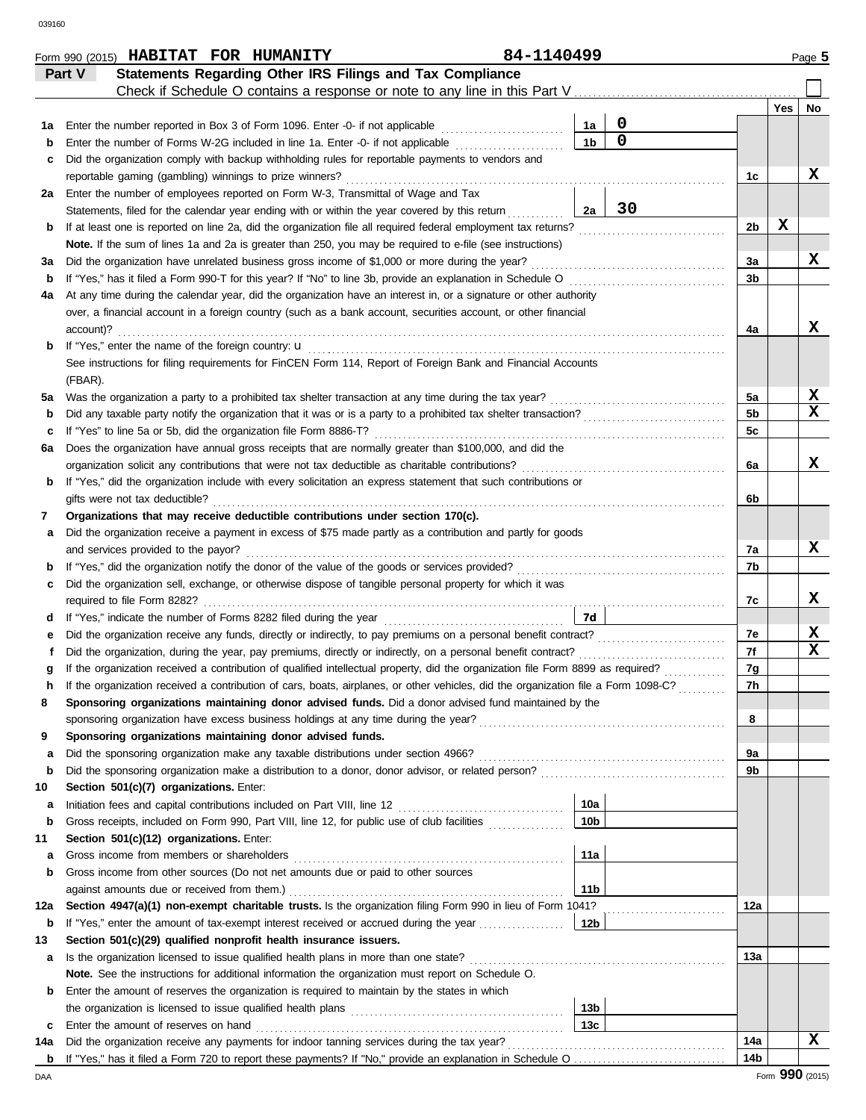|        |           | Form 990 (2015) HABITAT FOR HUMANITY                                                                                                                                                                                          |  |  |  | 84-1140499 |                 |                     |                |                 | Page 5 |
|--------|-----------|-------------------------------------------------------------------------------------------------------------------------------------------------------------------------------------------------------------------------------|--|--|--|------------|-----------------|---------------------|----------------|-----------------|--------|
|        | Part V    | Statements Regarding Other IRS Filings and Tax Compliance                                                                                                                                                                     |  |  |  |            |                 |                     |                |                 |        |
|        |           |                                                                                                                                                                                                                               |  |  |  |            |                 |                     |                |                 |        |
|        |           |                                                                                                                                                                                                                               |  |  |  |            |                 |                     |                | Yes             | No     |
| 1a     |           | Enter the number reported in Box 3 of Form 1096. Enter -0- if not applicable                                                                                                                                                  |  |  |  |            | 1a              | 0<br>$\overline{0}$ |                |                 |        |
| b      |           | Enter the number of Forms W-2G included in line 1a. Enter -0- if not applicable                                                                                                                                               |  |  |  |            | 1 <sub>b</sub>  |                     |                |                 |        |
| c      |           | Did the organization comply with backup withholding rules for reportable payments to vendors and                                                                                                                              |  |  |  |            |                 |                     |                |                 |        |
|        |           | reportable gaming (gambling) winnings to prize winners?                                                                                                                                                                       |  |  |  |            |                 |                     | 1c             |                 | X      |
| 2a     |           | Enter the number of employees reported on Form W-3, Transmittal of Wage and Tax                                                                                                                                               |  |  |  |            | 2a              | 30                  |                |                 |        |
|        |           | Statements, filed for the calendar year ending with or within the year covered by this return<br>If at least one is reported on line 2a, did the organization file all required federal employment tax returns?               |  |  |  |            |                 |                     | 2 <sub>b</sub> | X               |        |
| b      |           | Note. If the sum of lines 1a and 2a is greater than 250, you may be required to e-file (see instructions)                                                                                                                     |  |  |  |            |                 |                     |                |                 |        |
| За     |           | Did the organization have unrelated business gross income of \$1,000 or more during the year?                                                                                                                                 |  |  |  |            |                 |                     | За             |                 | X      |
| b      |           | If "Yes," has it filed a Form 990-T for this year? If "No" to line 3b, provide an explanation in Schedule O                                                                                                                   |  |  |  |            |                 |                     | 3b             |                 |        |
| 4a     |           | At any time during the calendar year, did the organization have an interest in, or a signature or other authority                                                                                                             |  |  |  |            |                 |                     |                |                 |        |
|        |           | over, a financial account in a foreign country (such as a bank account, securities account, or other financial                                                                                                                |  |  |  |            |                 |                     |                |                 |        |
|        | account)? |                                                                                                                                                                                                                               |  |  |  |            |                 |                     | 4a             |                 | x      |
| b      |           | If "Yes," enter the name of the foreign country: u                                                                                                                                                                            |  |  |  |            |                 |                     |                |                 |        |
|        |           | See instructions for filing requirements for FinCEN Form 114, Report of Foreign Bank and Financial Accounts                                                                                                                   |  |  |  |            |                 |                     |                |                 |        |
|        | (FBAR).   |                                                                                                                                                                                                                               |  |  |  |            |                 |                     |                |                 |        |
| 5a     |           | Was the organization a party to a prohibited tax shelter transaction at any time during the tax year?                                                                                                                         |  |  |  |            |                 |                     | 5a             |                 | X      |
| b      |           | Did any taxable party notify the organization that it was or is a party to a prohibited tax shelter transaction?                                                                                                              |  |  |  |            |                 |                     | 5 <sub>b</sub> |                 | x      |
| c      |           | If "Yes" to line 5a or 5b, did the organization file Form 8886-T?                                                                                                                                                             |  |  |  |            |                 |                     | 5c             |                 |        |
| 6a     |           | Does the organization have annual gross receipts that are normally greater than \$100,000, and did the                                                                                                                        |  |  |  |            |                 |                     |                |                 |        |
|        |           | organization solicit any contributions that were not tax deductible as charitable contributions?                                                                                                                              |  |  |  |            |                 |                     | 6a             |                 | x      |
| b      |           | If "Yes," did the organization include with every solicitation an express statement that such contributions or                                                                                                                |  |  |  |            |                 |                     |                |                 |        |
|        |           | gifts were not tax deductible?                                                                                                                                                                                                |  |  |  |            |                 |                     | 6b             |                 |        |
| 7      |           | Organizations that may receive deductible contributions under section 170(c).                                                                                                                                                 |  |  |  |            |                 |                     |                |                 |        |
| a      |           | Did the organization receive a payment in excess of \$75 made partly as a contribution and partly for goods                                                                                                                   |  |  |  |            |                 |                     |                |                 |        |
|        |           | and services provided to the payor?                                                                                                                                                                                           |  |  |  |            |                 |                     | 7a             |                 | x      |
| b      |           |                                                                                                                                                                                                                               |  |  |  |            |                 |                     | 7b             |                 |        |
| c      |           | Did the organization sell, exchange, or otherwise dispose of tangible personal property for which it was                                                                                                                      |  |  |  |            |                 |                     |                |                 |        |
|        |           |                                                                                                                                                                                                                               |  |  |  |            |                 |                     | 7c             |                 | x      |
| d      |           |                                                                                                                                                                                                                               |  |  |  |            | 7d              |                     |                |                 |        |
| е      |           |                                                                                                                                                                                                                               |  |  |  |            |                 |                     | 7e             |                 | X      |
| f      |           |                                                                                                                                                                                                                               |  |  |  |            |                 |                     | 7f             |                 | X      |
|        |           | If the organization received a contribution of qualified intellectual property, did the organization file Form 8899 as required?                                                                                              |  |  |  |            |                 |                     | 7g             |                 |        |
|        |           | If the organization received a contribution of cars, boats, airplanes, or other vehicles, did the organization file a Form 1098-C?                                                                                            |  |  |  |            |                 |                     | 7h             |                 |        |
| 8      |           | Sponsoring organizations maintaining donor advised funds. Did a donor advised fund maintained by the                                                                                                                          |  |  |  |            |                 |                     |                |                 |        |
|        |           | sponsoring organization have excess business holdings at any time during the year?                                                                                                                                            |  |  |  |            |                 |                     | 8              |                 |        |
| 9      |           | Sponsoring organizations maintaining donor advised funds.                                                                                                                                                                     |  |  |  |            |                 |                     |                |                 |        |
| a      |           | Did the sponsoring organization make any taxable distributions under section 4966?                                                                                                                                            |  |  |  |            |                 |                     | 9a             |                 |        |
| b      |           | Did the sponsoring organization make a distribution to a donor, donor advisor, or related person?                                                                                                                             |  |  |  |            |                 |                     | 9b             |                 |        |
| 10     |           | Section 501(c)(7) organizations. Enter:                                                                                                                                                                                       |  |  |  |            | 10a             |                     |                |                 |        |
| a<br>b |           | Gross receipts, included on Form 990, Part VIII, line 12, for public use of club facilities                                                                                                                                   |  |  |  |            | 10 <sub>b</sub> |                     |                |                 |        |
| 11     |           | Section 501(c)(12) organizations. Enter:                                                                                                                                                                                      |  |  |  |            |                 |                     |                |                 |        |
| a      |           | Gross income from members or shareholders                                                                                                                                                                                     |  |  |  |            | 11a             |                     |                |                 |        |
| b      |           | Gross income from other sources (Do not net amounts due or paid to other sources                                                                                                                                              |  |  |  |            |                 |                     |                |                 |        |
|        |           | against amounts due or received from them.)                                                                                                                                                                                   |  |  |  |            | 11 <sub>b</sub> |                     |                |                 |        |
| 12a    |           | Section 4947(a)(1) non-exempt charitable trusts. Is the organization filing Form 990 in lieu of Form 1041?                                                                                                                    |  |  |  |            |                 |                     | 12a            |                 |        |
| b      |           | If "Yes," enter the amount of tax-exempt interest received or accrued during the year                                                                                                                                         |  |  |  |            | 12b             |                     |                |                 |        |
| 13     |           | Section 501(c)(29) qualified nonprofit health insurance issuers.                                                                                                                                                              |  |  |  |            |                 |                     |                |                 |        |
| a      |           | Is the organization licensed to issue qualified health plans in more than one state?                                                                                                                                          |  |  |  |            |                 |                     | 13а            |                 |        |
|        |           | Note. See the instructions for additional information the organization must report on Schedule O.                                                                                                                             |  |  |  |            |                 |                     |                |                 |        |
| b      |           | Enter the amount of reserves the organization is required to maintain by the states in which                                                                                                                                  |  |  |  |            |                 |                     |                |                 |        |
|        |           | the organization is licensed to issue qualified health plans [11] contains the organization is licensed to issue qualified health plans [11] contains the original state of the original state of the original state original |  |  |  |            | 13 <sub>b</sub> |                     |                |                 |        |
| c      |           | Enter the amount of reserves on hand                                                                                                                                                                                          |  |  |  |            | 13 <sub>c</sub> |                     |                |                 |        |
| 14a    |           | Did the organization receive any payments for indoor tanning services during the tax year?                                                                                                                                    |  |  |  |            |                 |                     | 14a            |                 | x      |
| b      |           |                                                                                                                                                                                                                               |  |  |  |            |                 |                     | 14b            |                 |        |
| DAA    |           |                                                                                                                                                                                                                               |  |  |  |            |                 |                     |                | Form 990 (2015) |        |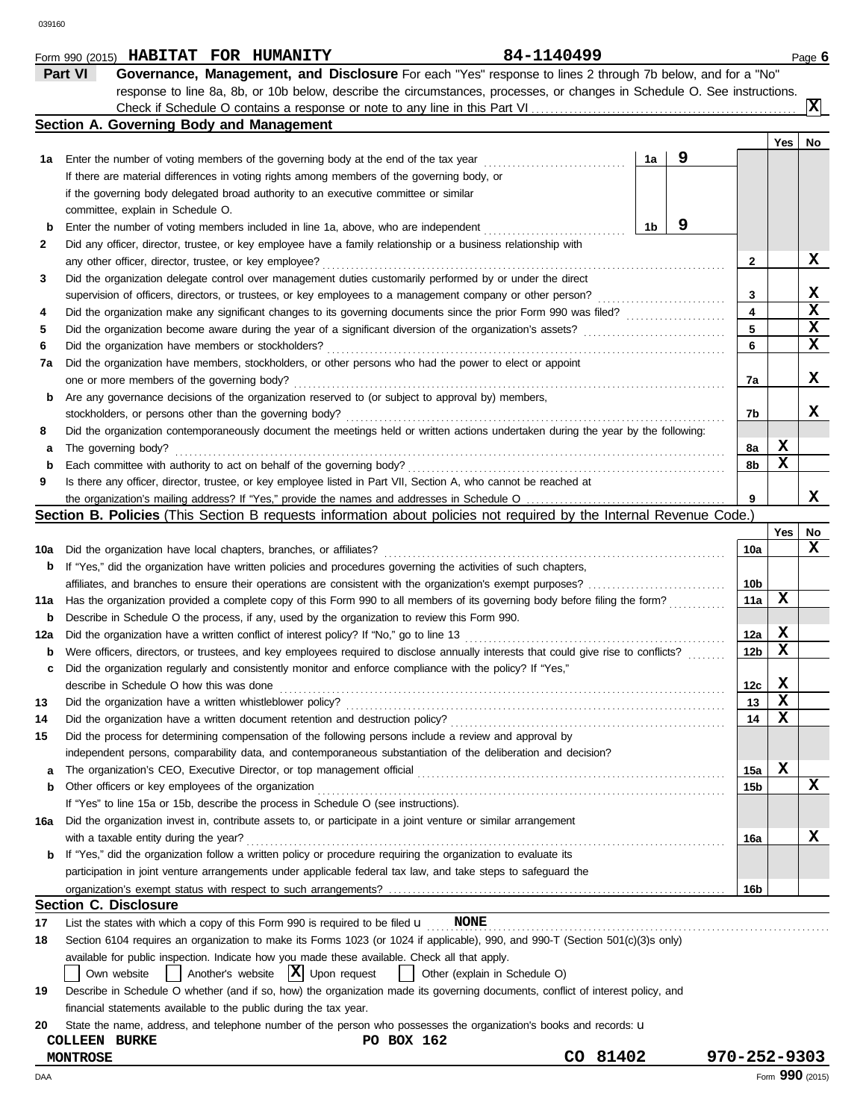|     | 84-1140499<br>Form 990 (2015) HABITAT FOR HUMANITY                                                                                  |              |             | Page 6          |
|-----|-------------------------------------------------------------------------------------------------------------------------------------|--------------|-------------|-----------------|
|     | Part VI<br>Governance, Management, and Disclosure For each "Yes" response to lines 2 through 7b below, and for a "No"               |              |             |                 |
|     | response to line 8a, 8b, or 10b below, describe the circumstances, processes, or changes in Schedule O. See instructions.           |              |             |                 |
|     |                                                                                                                                     |              |             | Iх              |
|     | Section A. Governing Body and Management                                                                                            |              |             |                 |
|     |                                                                                                                                     |              | Yes         | No              |
| 1а  | 9<br>1a<br>Enter the number of voting members of the governing body at the end of the tax year                                      |              |             |                 |
|     | If there are material differences in voting rights among members of the governing body, or                                          |              |             |                 |
|     | if the governing body delegated broad authority to an executive committee or similar                                                |              |             |                 |
|     | committee, explain in Schedule O.                                                                                                   |              |             |                 |
| b   | 9<br>1 <sub>b</sub><br>Enter the number of voting members included in line 1a, above, who are independent                           |              |             |                 |
| 2   | Did any officer, director, trustee, or key employee have a family relationship or a business relationship with                      |              |             |                 |
|     | any other officer, director, trustee, or key employee?                                                                              | $\mathbf{2}$ |             | X               |
| 3   | Did the organization delegate control over management duties customarily performed by or under the direct                           |              |             |                 |
|     | supervision of officers, directors, or trustees, or key employees to a management company or other person?                          | 3            |             | X               |
| 4   | Did the organization make any significant changes to its governing documents since the prior Form 990 was filed?                    | 4            |             | $\mathbf x$     |
| 5   | Did the organization become aware during the year of a significant diversion of the organization's assets?                          | 5            |             | $\mathbf x$     |
| 6   | Did the organization have members or stockholders?                                                                                  | 6            |             | X               |
| 7a  | Did the organization have members, stockholders, or other persons who had the power to elect or appoint                             |              |             |                 |
|     | one or more members of the governing body?                                                                                          | 7a           |             | X               |
| b   | Are any governance decisions of the organization reserved to (or subject to approval by) members,                                   |              |             |                 |
|     | stockholders, or persons other than the governing body?                                                                             | 7b           |             | x               |
| 8   | Did the organization contemporaneously document the meetings held or written actions undertaken during the year by the following:   |              |             |                 |
| а   | The governing body?                                                                                                                 | 8a           | X           |                 |
| b   | Each committee with authority to act on behalf of the governing body?                                                               | 8b           | X           |                 |
| 9   | Is there any officer, director, trustee, or key employee listed in Part VII, Section A, who cannot be reached at                    |              |             |                 |
|     |                                                                                                                                     | 9            |             | x               |
|     | Section B. Policies (This Section B requests information about policies not required by the Internal Revenue Code.)                 |              |             |                 |
|     |                                                                                                                                     |              | Yes         | No              |
| 10a | Did the organization have local chapters, branches, or affiliates?                                                                  | 10a          |             | X               |
|     | If "Yes," did the organization have written policies and procedures governing the activities of such chapters,                      |              |             |                 |
| b   |                                                                                                                                     | 10b          |             |                 |
|     | affiliates, and branches to ensure their operations are consistent with the organization's exempt purposes?                         | 11a          | X           |                 |
| 11a | Has the organization provided a complete copy of this Form 990 to all members of its governing body before filing the form?         |              |             |                 |
| b   | Describe in Schedule O the process, if any, used by the organization to review this Form 990.                                       |              | X           |                 |
| 12a | Did the organization have a written conflict of interest policy? If "No," go to line 13                                             | 12a          | х           |                 |
| b   | Were officers, directors, or trustees, and key employees required to disclose annually interests that could give rise to conflicts? | 12b          |             |                 |
| c   | Did the organization regularly and consistently monitor and enforce compliance with the policy? If "Yes,"                           | 12c          | $\mathbf x$ |                 |
|     | describe in Schedule O how this was done                                                                                            |              | X           |                 |
| 13  | Did the organization have a written whistleblower policy?                                                                           | 13           | х           |                 |
| 14  | Did the organization have a written document retention and destruction policy?                                                      | 14           |             |                 |
| 15  | Did the process for determining compensation of the following persons include a review and approval by                              |              |             |                 |
|     | independent persons, comparability data, and contemporaneous substantiation of the deliberation and decision?                       |              |             |                 |
| а   | The organization's CEO, Executive Director, or top management official                                                              | 15a          | X           |                 |
| b   | Other officers or key employees of the organization                                                                                 | 15b          |             | $\mathbf x$     |
|     | If "Yes" to line 15a or 15b, describe the process in Schedule O (see instructions).                                                 |              |             |                 |
| 16a | Did the organization invest in, contribute assets to, or participate in a joint venture or similar arrangement                      |              |             |                 |
|     | with a taxable entity during the year?                                                                                              | 16a          |             | x               |
| b   | If "Yes," did the organization follow a written policy or procedure requiring the organization to evaluate its                      |              |             |                 |
|     | participation in joint venture arrangements under applicable federal tax law, and take steps to safeguard the                       |              |             |                 |
|     |                                                                                                                                     | 16b          |             |                 |
|     | <b>Section C. Disclosure</b>                                                                                                        |              |             |                 |
| 17  | List the states with which a copy of this Form 990 is required to be filed $\mathbf u$<br><b>NONE</b>                               |              |             |                 |
| 18  | Section 6104 requires an organization to make its Forms 1023 (or 1024 if applicable), 990, and 990-T (Section 501(c)(3)s only)      |              |             |                 |
|     | available for public inspection. Indicate how you made these available. Check all that apply.                                       |              |             |                 |
|     | Another's website $ \mathbf{X} $ Upon request<br>Own website<br>Other (explain in Schedule O)                                       |              |             |                 |
| 19  | Describe in Schedule O whether (and if so, how) the organization made its governing documents, conflict of interest policy, and     |              |             |                 |
|     | financial statements available to the public during the tax year.                                                                   |              |             |                 |
| 20  | State the name, address, and telephone number of the person who possesses the organization's books and records: <b>u</b>            |              |             |                 |
|     | PO BOX 162<br><b>COLLEEN BURKE</b>                                                                                                  |              |             |                 |
|     | CO 81402<br><b>MONTROSE</b>                                                                                                         | 970-252-9303 |             |                 |
| DAA |                                                                                                                                     |              |             | Form 990 (2015) |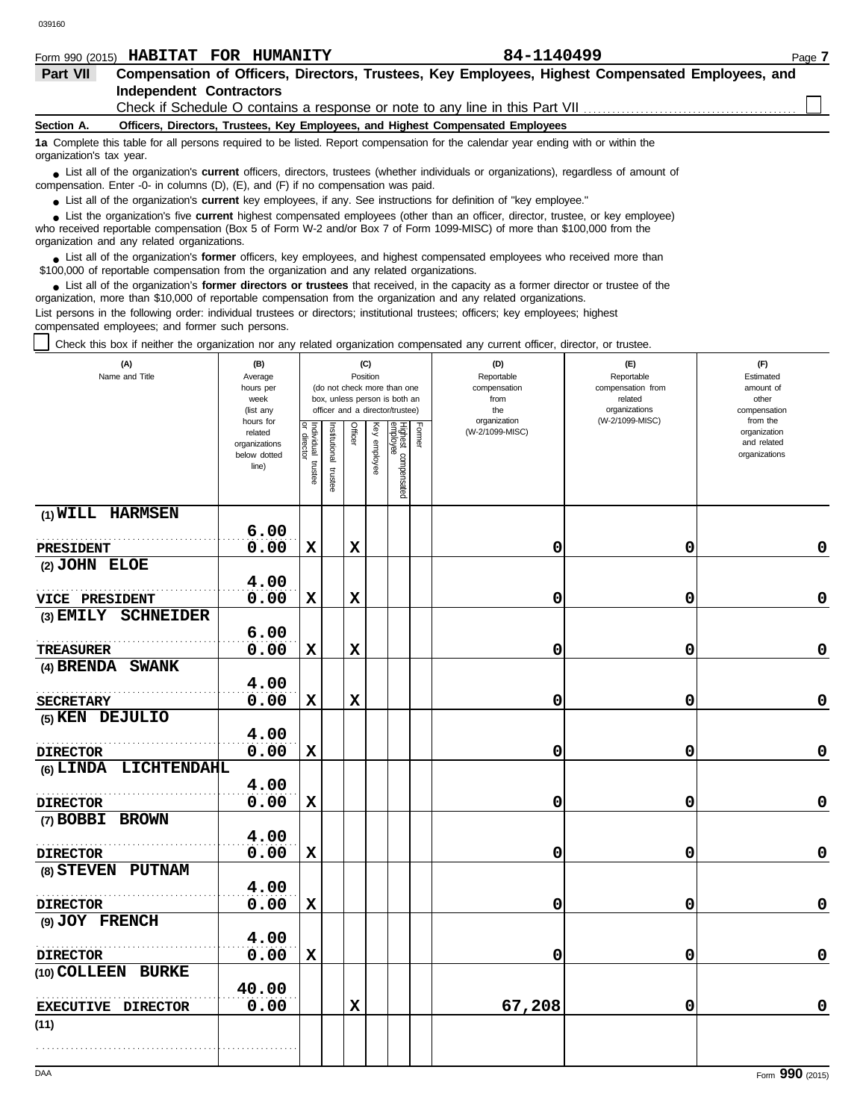|          |  | Form 990 (2015) <b>HABITAT FOR HUMANITY</b> | 84-1140499                                                                                       | Page 7 |
|----------|--|---------------------------------------------|--------------------------------------------------------------------------------------------------|--------|
| Part VII |  |                                             | Compensation of Officers, Directors, Trustees, Key Employees, Highest Compensated Employees, and |        |

# **Independent Contractors**

Check if Schedule O contains a response or note to any line in this Part VII

### **Section A. Officers, Directors, Trustees, Key Employees, and Highest Compensated Employees**

**1a** Complete this table for all persons required to be listed. Report compensation for the calendar year ending with or within the organization's tax year.

■ List all of the organization's **current** officers, directors, trustees (whether individuals or organizations), regardless of amount of compensation. Enter -0- in columns (D), (E), and (F) if no compensation was paid.

● List all of the organization's **current** key employees, if any. See instructions for definition of "key employee."

who received reportable compensation (Box 5 of Form W-2 and/or Box 7 of Form 1099-MISC) of more than \$100,000 from the organization and any related organizations. ■ List the organization's five **current** highest compensated employees (other than an officer, director, trustee, or key employee)<br> **•** Pregiund reportable compensation (Box 5 of Ferm W 2 and/or Box 7 of Ferm 1000 MISC) o

■ List all of the organization's **former** officers, key employees, and highest compensated employees who received more than<br> **•** 00.000 of reportable compensation from the examization and any related erganizations \$100,000 of reportable compensation from the organization and any related organizations.

■ List all of the organization's **former directors or trustees** that received, in the capacity as a former director or trustee of the practization more than \$10,000 of reportable compensation from the organization and any organization, more than \$10,000 of reportable compensation from the organization and any related organizations. List persons in the following order: individual trustees or directors; institutional trustees; officers; key employees; highest compensated employees; and former such persons.

Check this box if neither the organization nor any related organization compensated any current officer, director, or trustee.

| (A)<br>Name and Title | (B)<br>Average<br>hours per<br>week<br>(list any               |                                   |                       |             | (C)<br>Position | (do not check more than one<br>box, unless person is both an<br>officer and a director/trustee) |        | (D)<br>Reportable<br>compensation<br>from<br>the | (E)<br>Reportable<br>compensation from<br>related<br>organizations | (F)<br>Estimated<br>amount of<br>other<br>compensation   |
|-----------------------|----------------------------------------------------------------|-----------------------------------|-----------------------|-------------|-----------------|-------------------------------------------------------------------------------------------------|--------|--------------------------------------------------|--------------------------------------------------------------------|----------------------------------------------------------|
|                       | hours for<br>related<br>organizations<br>below dotted<br>line) | Individual trustee<br>or director | Institutional trustee | Officer     | Key employee    | Highest compensated<br>employee                                                                 | Former | organization<br>(W-2/1099-MISC)                  | (W-2/1099-MISC)                                                    | from the<br>organization<br>and related<br>organizations |
| (1) WILL HARMSEN      |                                                                |                                   |                       |             |                 |                                                                                                 |        |                                                  |                                                                    |                                                          |
| PRESIDENT             | 6.00<br>0.00                                                   | $\mathbf x$                       |                       | $\mathbf x$ |                 |                                                                                                 |        | 0                                                | 0                                                                  | 0                                                        |
| (2) JOHN ELOE         |                                                                |                                   |                       |             |                 |                                                                                                 |        |                                                  |                                                                    |                                                          |
|                       | 4.00                                                           |                                   |                       |             |                 |                                                                                                 |        |                                                  |                                                                    |                                                          |
| VICE PRESIDENT        | 0.00                                                           | $\mathbf x$                       |                       | $\mathbf x$ |                 |                                                                                                 |        | 0                                                | 0                                                                  | 0                                                        |
| (3) EMILY SCHNEIDER   |                                                                |                                   |                       |             |                 |                                                                                                 |        |                                                  |                                                                    |                                                          |
|                       | 6.00                                                           |                                   |                       |             |                 |                                                                                                 |        |                                                  |                                                                    |                                                          |
| <b>TREASURER</b>      | 0.00                                                           | $\mathbf x$                       |                       | $\mathbf x$ |                 |                                                                                                 |        | 0                                                | 0                                                                  | 0                                                        |
| (4) BRENDA SWANK      |                                                                |                                   |                       |             |                 |                                                                                                 |        |                                                  |                                                                    |                                                          |
|                       | 4.00                                                           |                                   |                       |             |                 |                                                                                                 |        |                                                  |                                                                    |                                                          |
| <b>SECRETARY</b>      | 0.00                                                           | $\mathbf x$                       |                       | $\mathbf x$ |                 |                                                                                                 |        | 0                                                | 0                                                                  | 0                                                        |
| (5) KEN DEJULIO       |                                                                |                                   |                       |             |                 |                                                                                                 |        |                                                  |                                                                    |                                                          |
|                       | 4.00                                                           |                                   |                       |             |                 |                                                                                                 |        |                                                  |                                                                    |                                                          |
| <b>DIRECTOR</b>       | 0.00                                                           | $\mathbf x$                       |                       |             |                 |                                                                                                 |        | 0                                                | 0                                                                  | 0                                                        |
| (6) LINDA LICHTENDAHL |                                                                |                                   |                       |             |                 |                                                                                                 |        |                                                  |                                                                    |                                                          |
|                       | 4.00                                                           |                                   |                       |             |                 |                                                                                                 |        |                                                  |                                                                    |                                                          |
| <b>DIRECTOR</b>       | 0.00                                                           | X                                 |                       |             |                 |                                                                                                 |        | 0                                                | 0                                                                  | $\pmb{0}$                                                |
| (7) BOBBI BROWN       |                                                                |                                   |                       |             |                 |                                                                                                 |        |                                                  |                                                                    |                                                          |
|                       | 4.00                                                           |                                   |                       |             |                 |                                                                                                 |        |                                                  |                                                                    |                                                          |
| <b>DIRECTOR</b>       | 0.00                                                           | $\mathbf x$                       |                       |             |                 |                                                                                                 |        | 0                                                | 0                                                                  | 0                                                        |
| (8) STEVEN PUTNAM     |                                                                |                                   |                       |             |                 |                                                                                                 |        |                                                  |                                                                    |                                                          |
|                       | 4.00                                                           |                                   |                       |             |                 |                                                                                                 |        |                                                  |                                                                    |                                                          |
| <b>DIRECTOR</b>       | 0.00                                                           | X                                 |                       |             |                 |                                                                                                 |        | 0                                                | 0                                                                  | 0                                                        |
| (9) JOY FRENCH        | 4.00                                                           |                                   |                       |             |                 |                                                                                                 |        |                                                  |                                                                    |                                                          |
| <b>DIRECTOR</b>       | 0.00                                                           | $\mathbf x$                       |                       |             |                 |                                                                                                 |        | 0                                                | 0                                                                  | 0                                                        |
| (10) COLLEEN BURKE    |                                                                |                                   |                       |             |                 |                                                                                                 |        |                                                  |                                                                    |                                                          |
|                       | 40.00                                                          |                                   |                       |             |                 |                                                                                                 |        |                                                  |                                                                    |                                                          |
| EXECUTIVE DIRECTOR    | 0.00                                                           |                                   |                       | $\mathbf x$ |                 |                                                                                                 |        | 67,208                                           | 0                                                                  | 0                                                        |
| (11)                  |                                                                |                                   |                       |             |                 |                                                                                                 |        |                                                  |                                                                    |                                                          |
|                       |                                                                |                                   |                       |             |                 |                                                                                                 |        |                                                  |                                                                    |                                                          |
|                       |                                                                |                                   |                       |             |                 |                                                                                                 |        |                                                  |                                                                    |                                                          |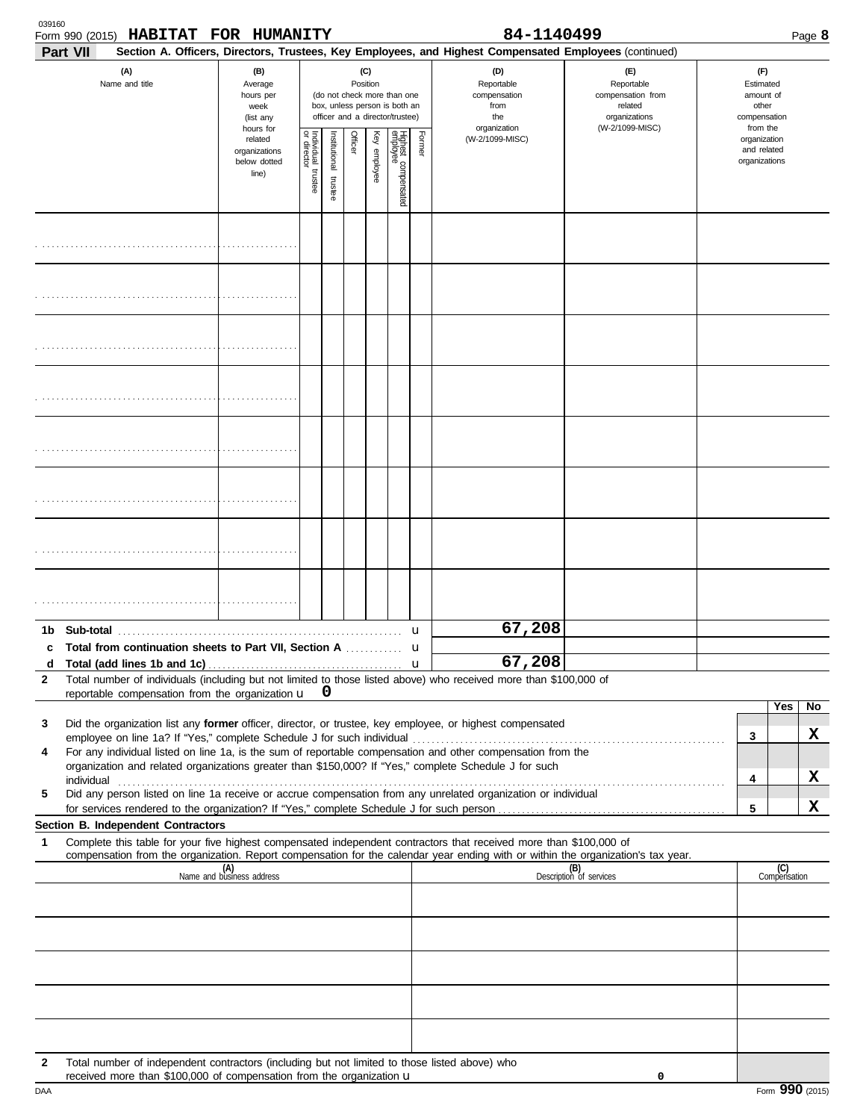| 039160       | Form 990 (2015) HABITAT FOR HUMANITY                                                                                                                                  |                                                                |                                   |                          |         |                 |                                                                                                 |        | 84-1140499                                                                                                                                                 |                                                                    |                                                          |                     | Page 8 |
|--------------|-----------------------------------------------------------------------------------------------------------------------------------------------------------------------|----------------------------------------------------------------|-----------------------------------|--------------------------|---------|-----------------|-------------------------------------------------------------------------------------------------|--------|------------------------------------------------------------------------------------------------------------------------------------------------------------|--------------------------------------------------------------------|----------------------------------------------------------|---------------------|--------|
|              | Part VII<br>(A)<br>Name and title                                                                                                                                     | (B)<br>Average<br>hours per<br>week<br>(list any               |                                   |                          |         | (C)<br>Position | (do not check more than one<br>box, unless person is both an<br>officer and a director/trustee) |        | Section A. Officers, Directors, Trustees, Key Employees, and Highest Compensated Employees (continued)<br>(D)<br>Reportable<br>compensation<br>from<br>the | (E)<br>Reportable<br>compensation from<br>related<br>organizations | (F)<br>Estimated<br>amount of<br>other<br>compensation   |                     |        |
|              |                                                                                                                                                                       | hours for<br>related<br>organizations<br>below dotted<br>line) | Individual trustee<br>or director | Institutional<br>trustee | Officer | Key employee    | Highest compensated<br>employee                                                                 | Former | organization<br>(W-2/1099-MISC)                                                                                                                            | (W-2/1099-MISC)                                                    | from the<br>organization<br>and related<br>organizations |                     |        |
|              |                                                                                                                                                                       |                                                                |                                   |                          |         |                 |                                                                                                 |        |                                                                                                                                                            |                                                                    |                                                          |                     |        |
|              |                                                                                                                                                                       |                                                                |                                   |                          |         |                 |                                                                                                 |        |                                                                                                                                                            |                                                                    |                                                          |                     |        |
|              |                                                                                                                                                                       |                                                                |                                   |                          |         |                 |                                                                                                 |        |                                                                                                                                                            |                                                                    |                                                          |                     |        |
|              |                                                                                                                                                                       |                                                                |                                   |                          |         |                 |                                                                                                 |        |                                                                                                                                                            |                                                                    |                                                          |                     |        |
|              |                                                                                                                                                                       |                                                                |                                   |                          |         |                 |                                                                                                 |        |                                                                                                                                                            |                                                                    |                                                          |                     |        |
|              |                                                                                                                                                                       |                                                                |                                   |                          |         |                 |                                                                                                 |        |                                                                                                                                                            |                                                                    |                                                          |                     |        |
|              |                                                                                                                                                                       |                                                                |                                   |                          |         |                 |                                                                                                 |        |                                                                                                                                                            |                                                                    |                                                          |                     |        |
|              |                                                                                                                                                                       |                                                                |                                   |                          |         |                 |                                                                                                 |        |                                                                                                                                                            |                                                                    |                                                          |                     |        |
|              |                                                                                                                                                                       |                                                                |                                   |                          |         |                 |                                                                                                 | u      | 67,208                                                                                                                                                     |                                                                    |                                                          |                     |        |
| d            | c Total from continuation sheets to Part VII, Section A                                                                                                               |                                                                |                                   |                          |         | .               |                                                                                                 | u      | 67,208                                                                                                                                                     |                                                                    |                                                          |                     |        |
| 2            | Total number of individuals (including but not limited to those listed above) who received more than \$100,000 of                                                     |                                                                |                                   |                          |         |                 |                                                                                                 |        |                                                                                                                                                            |                                                                    |                                                          |                     |        |
|              | reportable compensation from the organization $\mathbf{u}$ 0                                                                                                          |                                                                |                                   |                          |         |                 |                                                                                                 |        |                                                                                                                                                            |                                                                    |                                                          | Yes                 | No     |
| 3            | Did the organization list any former officer, director, or trustee, key employee, or highest compensated                                                              |                                                                |                                   |                          |         |                 |                                                                                                 |        |                                                                                                                                                            |                                                                    |                                                          |                     | x      |
| 4            | For any individual listed on line 1a, is the sum of reportable compensation and other compensation from the                                                           |                                                                |                                   |                          |         |                 |                                                                                                 |        |                                                                                                                                                            |                                                                    | 3                                                        |                     |        |
|              | organization and related organizations greater than \$150,000? If "Yes," complete Schedule J for such                                                                 |                                                                |                                   |                          |         |                 |                                                                                                 |        |                                                                                                                                                            |                                                                    | 4                                                        |                     | x      |
| 5            | Did any person listed on line 1a receive or accrue compensation from any unrelated organization or individual                                                         |                                                                |                                   |                          |         |                 |                                                                                                 |        |                                                                                                                                                            |                                                                    |                                                          |                     |        |
|              | for services rendered to the organization? If "Yes," complete Schedule J for such person                                                                              |                                                                |                                   |                          |         |                 |                                                                                                 |        |                                                                                                                                                            |                                                                    | 5                                                        |                     | X      |
| 1            | Section B. Independent Contractors<br>Complete this table for your five highest compensated independent contractors that received more than \$100,000 of              |                                                                |                                   |                          |         |                 |                                                                                                 |        |                                                                                                                                                            |                                                                    |                                                          |                     |        |
|              | compensation from the organization. Report compensation for the calendar year ending with or within the organization's tax year.                                      |                                                                |                                   |                          |         |                 |                                                                                                 |        |                                                                                                                                                            |                                                                    |                                                          |                     |        |
|              |                                                                                                                                                                       | (A)<br>Name and business address                               |                                   |                          |         |                 |                                                                                                 |        |                                                                                                                                                            | (B)<br>Description of services                                     |                                                          | (C)<br>Compensation |        |
|              |                                                                                                                                                                       |                                                                |                                   |                          |         |                 |                                                                                                 |        |                                                                                                                                                            |                                                                    |                                                          |                     |        |
|              |                                                                                                                                                                       |                                                                |                                   |                          |         |                 |                                                                                                 |        |                                                                                                                                                            |                                                                    |                                                          |                     |        |
|              |                                                                                                                                                                       |                                                                |                                   |                          |         |                 |                                                                                                 |        |                                                                                                                                                            |                                                                    |                                                          |                     |        |
|              |                                                                                                                                                                       |                                                                |                                   |                          |         |                 |                                                                                                 |        |                                                                                                                                                            |                                                                    |                                                          |                     |        |
|              |                                                                                                                                                                       |                                                                |                                   |                          |         |                 |                                                                                                 |        |                                                                                                                                                            |                                                                    |                                                          |                     |        |
|              |                                                                                                                                                                       |                                                                |                                   |                          |         |                 |                                                                                                 |        |                                                                                                                                                            |                                                                    |                                                          |                     |        |
|              |                                                                                                                                                                       |                                                                |                                   |                          |         |                 |                                                                                                 |        |                                                                                                                                                            |                                                                    |                                                          |                     |        |
| $\mathbf{2}$ | Total number of independent contractors (including but not limited to those listed above) who<br>received more than \$100,000 of compensation from the organization u |                                                                |                                   |                          |         |                 |                                                                                                 |        |                                                                                                                                                            | 0                                                                  |                                                          |                     |        |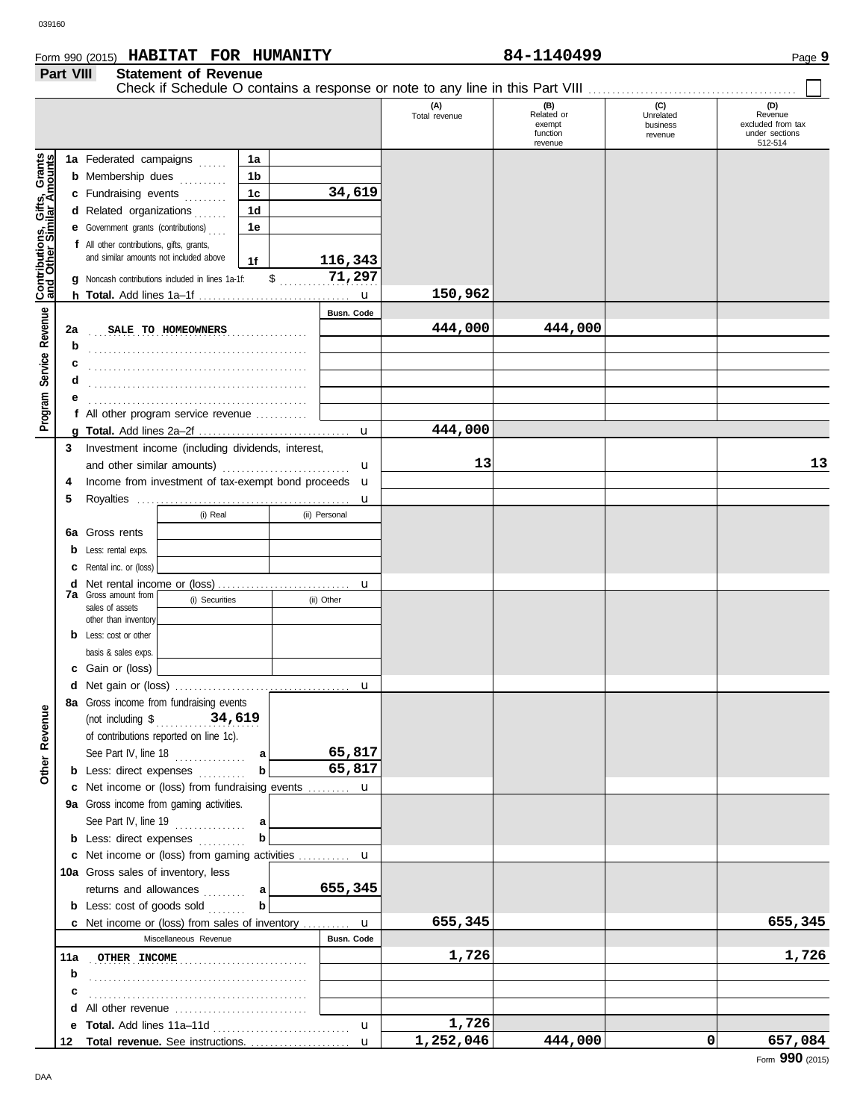# Form 990 (2015) Page **9 HABITAT FOR HUMANITY 84-1140499 Part VIII Statement of Revenue**

|                                                           |         |                                                                |                |                   | (A)<br>Total revenue | (B)<br>Related or<br>exempt<br>function<br>revenue | (C)<br>Unrelated<br>business<br>revenue | (D)<br>Revenue<br>excluded from tax<br>under sections<br>512-514 |
|-----------------------------------------------------------|---------|----------------------------------------------------------------|----------------|-------------------|----------------------|----------------------------------------------------|-----------------------------------------|------------------------------------------------------------------|
|                                                           |         | 1a Federated campaigns                                         | 1a             |                   |                      |                                                    |                                         |                                                                  |
|                                                           |         | <b>b</b> Membership dues                                       | 1b             |                   |                      |                                                    |                                         |                                                                  |
|                                                           |         | c Fundraising events                                           | 1 <sub>c</sub> | 34,619            |                      |                                                    |                                         |                                                                  |
|                                                           |         | d Related organizations                                        | 1 <sub>d</sub> |                   |                      |                                                    |                                         |                                                                  |
|                                                           |         | e Government grants (contributions)                            | 1e             |                   |                      |                                                    |                                         |                                                                  |
|                                                           |         | f All other contributions, gifts, grants,                      |                |                   |                      |                                                    |                                         |                                                                  |
|                                                           |         | and similar amounts not included above                         | 1f             | 116,343           |                      |                                                    |                                         |                                                                  |
|                                                           |         | g Noncash contributions included in lines 1a-1f:               |                | \$<br>71,297      |                      |                                                    |                                         |                                                                  |
| Contributions, Gifts, Grants<br>and Other Similar Amounts |         |                                                                |                | u                 | 150,962              |                                                    |                                         |                                                                  |
|                                                           |         |                                                                |                | <b>Busn. Code</b> |                      |                                                    |                                         |                                                                  |
| Service Revenue                                           | 2a      | SALE TO HOMEOWNERS                                             |                |                   | 444,000              | 444,000                                            |                                         |                                                                  |
|                                                           | b       |                                                                |                |                   |                      |                                                    |                                         |                                                                  |
|                                                           |         |                                                                |                |                   |                      |                                                    |                                         |                                                                  |
|                                                           |         |                                                                |                |                   |                      |                                                    |                                         |                                                                  |
|                                                           | d       |                                                                |                |                   |                      |                                                    |                                         |                                                                  |
| Program                                                   |         |                                                                |                |                   |                      |                                                    |                                         |                                                                  |
|                                                           |         | f All other program service revenue                            |                |                   |                      |                                                    |                                         |                                                                  |
|                                                           | a       |                                                                |                | u                 | 444,000              |                                                    |                                         |                                                                  |
|                                                           | 3       | Investment income (including dividends, interest,              |                |                   | 13                   |                                                    |                                         |                                                                  |
|                                                           |         | and other similar amounts)                                     |                | u                 |                      |                                                    |                                         | 13                                                               |
|                                                           | 4       | Income from investment of tax-exempt bond proceeds u           |                |                   |                      |                                                    |                                         |                                                                  |
|                                                           | 5       |                                                                |                | u                 |                      |                                                    |                                         |                                                                  |
|                                                           |         | (i) Real                                                       |                | (ii) Personal     |                      |                                                    |                                         |                                                                  |
|                                                           | 6a      | Gross rents                                                    |                |                   |                      |                                                    |                                         |                                                                  |
|                                                           | b       | Less: rental exps.                                             |                |                   |                      |                                                    |                                         |                                                                  |
|                                                           | С       | Rental inc. or (loss)                                          |                |                   |                      |                                                    |                                         |                                                                  |
|                                                           | d<br>7a | Gross amount from                                              |                | u                 |                      |                                                    |                                         |                                                                  |
|                                                           |         | (i) Securities<br>sales of assets                              |                | (ii) Other        |                      |                                                    |                                         |                                                                  |
|                                                           |         | other than inventory                                           |                |                   |                      |                                                    |                                         |                                                                  |
|                                                           | b       | Less: cost or other                                            |                |                   |                      |                                                    |                                         |                                                                  |
|                                                           |         | basis & sales exps.                                            |                |                   |                      |                                                    |                                         |                                                                  |
|                                                           | c       | Gain or (loss)                                                 |                |                   |                      |                                                    |                                         |                                                                  |
|                                                           |         |                                                                |                | $\mathbf u$       |                      |                                                    |                                         |                                                                  |
| ቋ                                                         |         | 8a Gross income from fundraising events                        |                |                   |                      |                                                    |                                         |                                                                  |
|                                                           |         | (not including $\frac{1}{2}$ , $\frac{34}{619}$                |                |                   |                      |                                                    |                                         |                                                                  |
|                                                           |         | of contributions reported on line 1c).                         |                |                   |                      |                                                    |                                         |                                                                  |
| Other Reven                                               |         | See Part IV, line $18$                                         | al             | 65,817            |                      |                                                    |                                         |                                                                  |
|                                                           |         | <b>b</b> Less: direct expenses <i>minimals</i>                 | b              | 65,817            |                      |                                                    |                                         |                                                                  |
|                                                           | с       | Net income or (loss) from fundraising events                   |                |                   |                      |                                                    |                                         |                                                                  |
|                                                           |         | 9a Gross income from gaming activities.                        |                |                   |                      |                                                    |                                         |                                                                  |
|                                                           |         | See Part IV, line 19 $\ldots$                                  | a              |                   |                      |                                                    |                                         |                                                                  |
|                                                           |         | <b>b</b> Less: direct expenses <i>minimals</i>                 | b              |                   |                      |                                                    |                                         |                                                                  |
|                                                           |         | c Net income or (loss) from gaming activities  u               |                |                   |                      |                                                    |                                         |                                                                  |
|                                                           |         | 10a Gross sales of inventory, less                             |                |                   |                      |                                                    |                                         |                                                                  |
|                                                           |         | returns and allowances                                         | a l            | 655,345           |                      |                                                    |                                         |                                                                  |
|                                                           |         | <b>b</b> Less: cost of goods sold                              | b              |                   |                      |                                                    |                                         |                                                                  |
|                                                           |         | <b>c</b> Net income or (loss) from sales of inventory <b>u</b> |                |                   | 655,345              |                                                    |                                         | 655,345                                                          |
|                                                           |         | Miscellaneous Revenue                                          |                | Busn. Code        |                      |                                                    |                                         |                                                                  |
|                                                           | 11a     | OTHER INCOME                                                   |                |                   | 1,726                |                                                    |                                         | 1,726                                                            |
|                                                           | b       |                                                                |                |                   |                      |                                                    |                                         |                                                                  |
|                                                           | c       |                                                                |                |                   |                      |                                                    |                                         |                                                                  |
|                                                           | d       |                                                                |                |                   |                      |                                                    |                                         |                                                                  |
|                                                           | е       |                                                                |                | u                 | 1,726                |                                                    |                                         |                                                                  |
|                                                           | 12      | Total revenue. See instructions.                               |                | $\mathbf{u}$      | 1,252,046            | 444,000                                            | 0                                       | 657,084                                                          |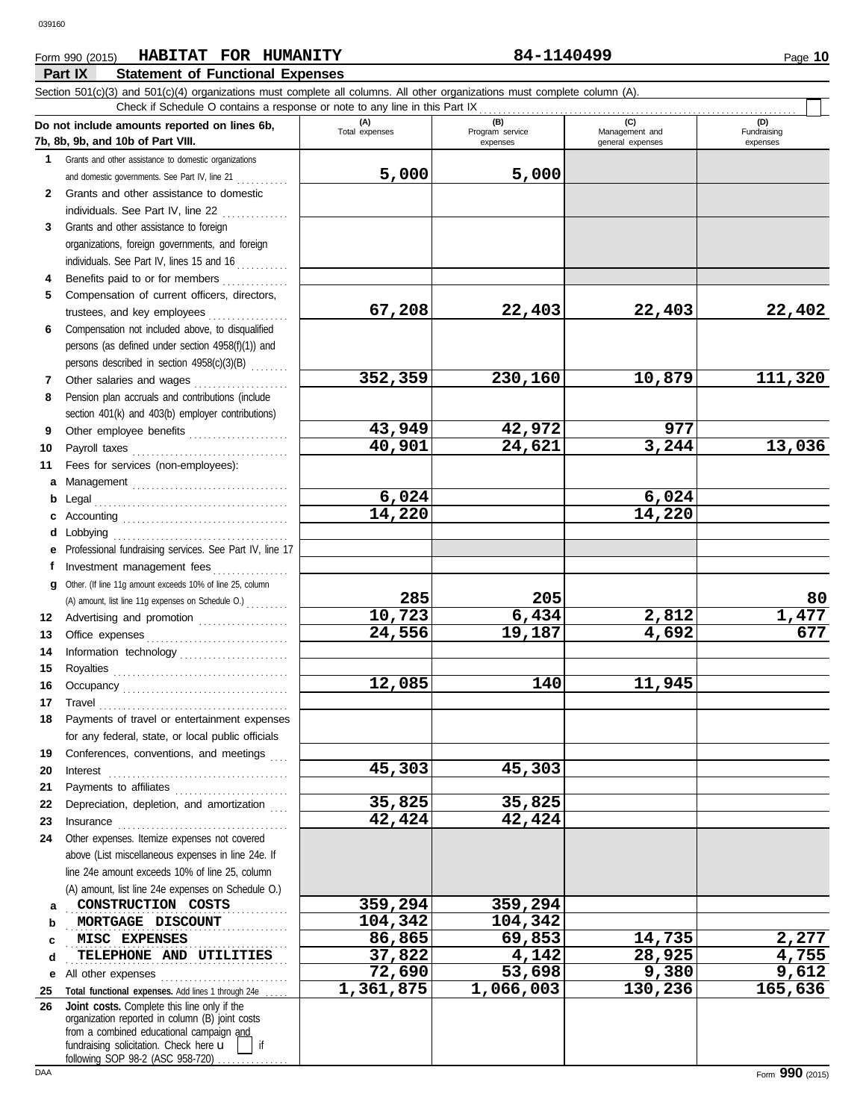# **Part IX Statement of Functional Expenses** Form 990 (2015) Page **10 HABITAT FOR HUMANITY 84-1140499**

|              | Section 501(c)(3) and 501(c)(4) organizations must complete all columns. All other organizations must complete column (A).<br>Check if Schedule O contains a response or note to any line in this Part IX                                                                                                                                                                                                                                                                  |                       |                             |                                    |                         |
|--------------|----------------------------------------------------------------------------------------------------------------------------------------------------------------------------------------------------------------------------------------------------------------------------------------------------------------------------------------------------------------------------------------------------------------------------------------------------------------------------|-----------------------|-----------------------------|------------------------------------|-------------------------|
|              | Do not include amounts reported on lines 6b,                                                                                                                                                                                                                                                                                                                                                                                                                               | (A)<br>Total expenses | (B)                         | (C)                                | (D)                     |
|              | 7b, 8b, 9b, and 10b of Part VIII.                                                                                                                                                                                                                                                                                                                                                                                                                                          |                       | Program service<br>expenses | Management and<br>general expenses | Fundraising<br>expenses |
| 1            | Grants and other assistance to domestic organizations                                                                                                                                                                                                                                                                                                                                                                                                                      |                       |                             |                                    |                         |
|              | and domestic governments. See Part IV, line 21                                                                                                                                                                                                                                                                                                                                                                                                                             | 5,000                 | 5,000                       |                                    |                         |
| $\mathbf{2}$ | Grants and other assistance to domestic                                                                                                                                                                                                                                                                                                                                                                                                                                    |                       |                             |                                    |                         |
|              | individuals. See Part IV, line 22                                                                                                                                                                                                                                                                                                                                                                                                                                          |                       |                             |                                    |                         |
| 3            | Grants and other assistance to foreign                                                                                                                                                                                                                                                                                                                                                                                                                                     |                       |                             |                                    |                         |
|              | organizations, foreign governments, and foreign                                                                                                                                                                                                                                                                                                                                                                                                                            |                       |                             |                                    |                         |
|              | individuals. See Part IV, lines 15 and 16                                                                                                                                                                                                                                                                                                                                                                                                                                  |                       |                             |                                    |                         |
|              | Benefits paid to or for members                                                                                                                                                                                                                                                                                                                                                                                                                                            |                       |                             |                                    |                         |
| 5            | Compensation of current officers, directors,                                                                                                                                                                                                                                                                                                                                                                                                                               |                       |                             |                                    |                         |
|              | trustees, and key employees<br>. <b>.</b> .                                                                                                                                                                                                                                                                                                                                                                                                                                | 67,208                | 22,403                      | 22,403                             | 22,402                  |
| 6            | Compensation not included above, to disqualified                                                                                                                                                                                                                                                                                                                                                                                                                           |                       |                             |                                    |                         |
|              | persons (as defined under section 4958(f)(1)) and<br>persons described in section 4958(c)(3)(B)                                                                                                                                                                                                                                                                                                                                                                            |                       |                             |                                    |                         |
|              | Other salaries and wages                                                                                                                                                                                                                                                                                                                                                                                                                                                   | 352,359               | 230,160                     | 10,879                             | 111,320                 |
| 7<br>8       | Pension plan accruals and contributions (include                                                                                                                                                                                                                                                                                                                                                                                                                           |                       |                             |                                    |                         |
|              | section 401(k) and 403(b) employer contributions)                                                                                                                                                                                                                                                                                                                                                                                                                          |                       |                             |                                    |                         |
| 9            | Other employee benefits                                                                                                                                                                                                                                                                                                                                                                                                                                                    | 43,949                | 42,972                      | 977                                |                         |
| 10           |                                                                                                                                                                                                                                                                                                                                                                                                                                                                            | 40,901                | 24,621                      | 3,244                              | 13,036                  |
| 11           | Fees for services (non-employees):                                                                                                                                                                                                                                                                                                                                                                                                                                         |                       |                             |                                    |                         |
| а            |                                                                                                                                                                                                                                                                                                                                                                                                                                                                            |                       |                             |                                    |                         |
| b            |                                                                                                                                                                                                                                                                                                                                                                                                                                                                            | 6,024                 |                             | 6,024                              |                         |
| c            |                                                                                                                                                                                                                                                                                                                                                                                                                                                                            | 14,220                |                             | 14,220                             |                         |
| d            | Lobbying                                                                                                                                                                                                                                                                                                                                                                                                                                                                   |                       |                             |                                    |                         |
|              | Professional fundraising services. See Part IV, line 17                                                                                                                                                                                                                                                                                                                                                                                                                    |                       |                             |                                    |                         |
| f            | Investment management fees                                                                                                                                                                                                                                                                                                                                                                                                                                                 |                       |                             |                                    |                         |
| g            | Other. (If line 11g amount exceeds 10% of line 25, column                                                                                                                                                                                                                                                                                                                                                                                                                  |                       |                             |                                    |                         |
|              | (A) amount, list line 11g expenses on Schedule O.)                                                                                                                                                                                                                                                                                                                                                                                                                         | 285                   | 205                         |                                    | 80                      |
| 12           | Advertising and promotion                                                                                                                                                                                                                                                                                                                                                                                                                                                  | 10,723                | 6,434                       | 2,812                              | 1,477                   |
| 13           |                                                                                                                                                                                                                                                                                                                                                                                                                                                                            | 24,556                | 19,187                      | 4,692                              | 677                     |
| 14           |                                                                                                                                                                                                                                                                                                                                                                                                                                                                            |                       |                             |                                    |                         |
| 15           |                                                                                                                                                                                                                                                                                                                                                                                                                                                                            |                       |                             |                                    |                         |
| 16           |                                                                                                                                                                                                                                                                                                                                                                                                                                                                            | 12,085                | 140                         | 11,945                             |                         |
| 17           |                                                                                                                                                                                                                                                                                                                                                                                                                                                                            |                       |                             |                                    |                         |
| 18           | Payments of travel or entertainment expenses                                                                                                                                                                                                                                                                                                                                                                                                                               |                       |                             |                                    |                         |
|              | for any federal, state, or local public officials                                                                                                                                                                                                                                                                                                                                                                                                                          |                       |                             |                                    |                         |
| 19           | Conferences, conventions, and meetings                                                                                                                                                                                                                                                                                                                                                                                                                                     |                       |                             |                                    |                         |
| 20           | $\textbf{Interest} \hspace{2em} \begin{minipage}{0.5em} \begin{minipage}{0.5em} \begin{minipage}{0.5em} \begin{minipage}{0.5em} \begin{minipage}{0.5em} \end{minipage} \end{minipage} \end{minipage} \end{minipage} \begin{minipage}{0.5em} \begin{minipage}{0.5em} \begin{minipage}{0.5em} \begin{minipage}{0.5em} \begin{minipage}{0.5em} \end{minipage} \end{minipage} \end{minipage} \end{minipage} \begin{minipage}{0.5em} \begin{minipage}{0.5em} \begin{minipage}{$ | 45,303                | 45,303                      |                                    |                         |
| 21           |                                                                                                                                                                                                                                                                                                                                                                                                                                                                            | 35,825                |                             |                                    |                         |
| 22           | Depreciation, depletion, and amortization                                                                                                                                                                                                                                                                                                                                                                                                                                  | 42,424                | 35,825<br>42,424            |                                    |                         |
| 23           | $In surface \begin{tabular}{l} \hline \textbf{unsum} & \textbf{unsum} \\ \hline \end{tabular}$                                                                                                                                                                                                                                                                                                                                                                             |                       |                             |                                    |                         |
| 24           | Other expenses. Itemize expenses not covered<br>above (List miscellaneous expenses in line 24e. If                                                                                                                                                                                                                                                                                                                                                                         |                       |                             |                                    |                         |
|              | line 24e amount exceeds 10% of line 25, column                                                                                                                                                                                                                                                                                                                                                                                                                             |                       |                             |                                    |                         |
|              | (A) amount, list line 24e expenses on Schedule O.)                                                                                                                                                                                                                                                                                                                                                                                                                         |                       |                             |                                    |                         |
| а            | CONSTRUCTION COSTS                                                                                                                                                                                                                                                                                                                                                                                                                                                         | 359,294               | 359,294                     |                                    |                         |
| b            | MORTGAGE DISCOUNT                                                                                                                                                                                                                                                                                                                                                                                                                                                          | 104,342               | 104,342                     |                                    |                         |
| c            | MISC EXPENSES                                                                                                                                                                                                                                                                                                                                                                                                                                                              | 86,865                | 69,853                      | 14,735                             | 2,277                   |
| d            | TELEPHONE AND UTILITIES                                                                                                                                                                                                                                                                                                                                                                                                                                                    | 37,822                | 4,142                       | 28,925                             | 4,755                   |
| е            | All other expenses                                                                                                                                                                                                                                                                                                                                                                                                                                                         | $\overline{7}$ 2,690  | 53,698                      | 9,380                              | 9,612                   |
| 25           | Total functional expenses. Add lines 1 through 24e                                                                                                                                                                                                                                                                                                                                                                                                                         | 1,361,875             | 1,066,003                   | 130,236                            | 165,636                 |
| 26           | Joint costs. Complete this line only if the                                                                                                                                                                                                                                                                                                                                                                                                                                |                       |                             |                                    |                         |
|              | organization reported in column (B) joint costs<br>from a combined educational campaign and                                                                                                                                                                                                                                                                                                                                                                                |                       |                             |                                    |                         |
|              | fundraising solicitation. Check here u                                                                                                                                                                                                                                                                                                                                                                                                                                     |                       |                             |                                    |                         |

following SOP 98-2 (ASC 958-720) ................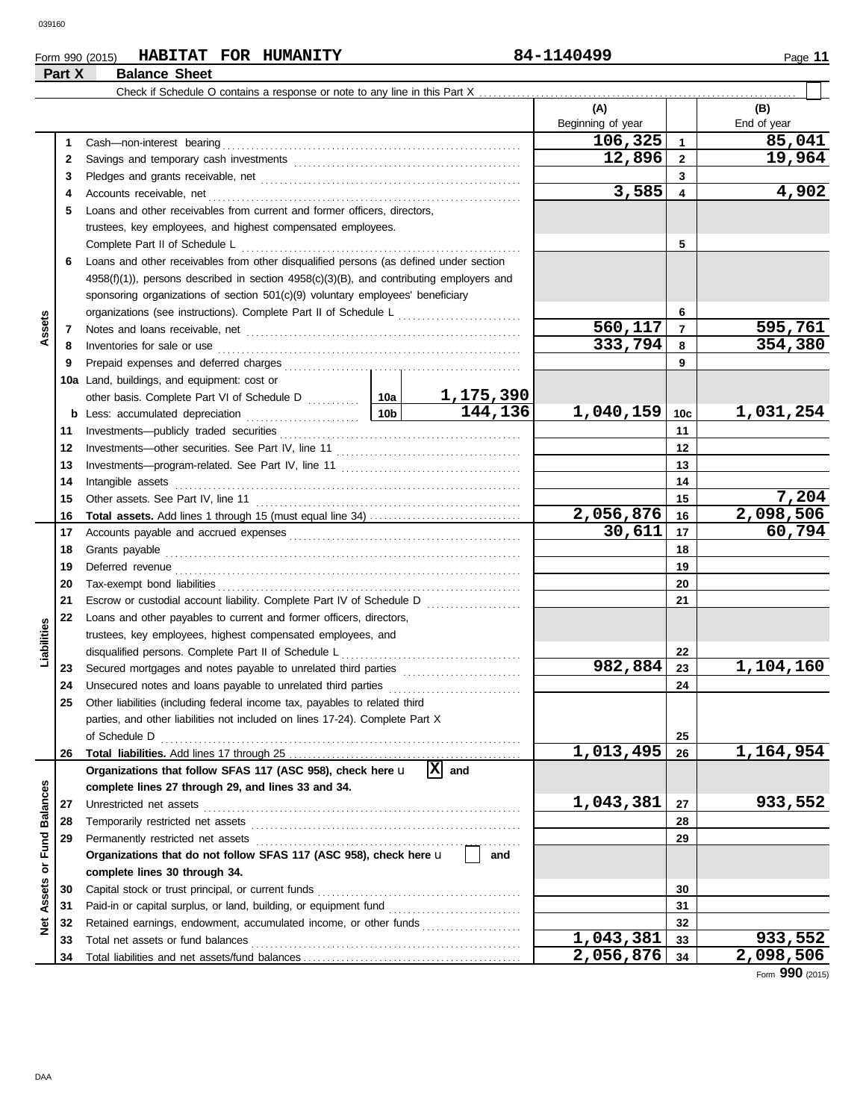# Form 990 (2015) Page **11 HABITAT FOR HUMANITY 84-1140499 Part X Balance Sheet**

|                 |          |                                                                                                                                                                                                                                     |                 |                       | (A)               |              | (B)         |
|-----------------|----------|-------------------------------------------------------------------------------------------------------------------------------------------------------------------------------------------------------------------------------------|-----------------|-----------------------|-------------------|--------------|-------------|
|                 |          |                                                                                                                                                                                                                                     |                 |                       | Beginning of year |              | End of year |
|                 | 1        |                                                                                                                                                                                                                                     |                 |                       | 106,325           | $\mathbf{1}$ | 85,041      |
|                 | 2        |                                                                                                                                                                                                                                     |                 |                       | 12,896            | $\mathbf{2}$ | 19,964      |
|                 | 3        |                                                                                                                                                                                                                                     |                 |                       |                   | 3            |             |
|                 | 4        |                                                                                                                                                                                                                                     |                 |                       | 3,585             | 4            | 4,902       |
|                 | 5        | Loans and other receivables from current and former officers, directors,                                                                                                                                                            |                 |                       |                   |              |             |
|                 |          | trustees, key employees, and highest compensated employees.                                                                                                                                                                         |                 |                       |                   |              |             |
|                 |          | Complete Part II of Schedule L                                                                                                                                                                                                      |                 |                       |                   | 5            |             |
|                 | 6        | Loans and other receivables from other disqualified persons (as defined under section                                                                                                                                               |                 |                       |                   |              |             |
|                 |          | 4958(f)(1)), persons described in section 4958(c)(3)(B), and contributing employers and                                                                                                                                             |                 |                       |                   |              |             |
|                 |          | sponsoring organizations of section 501(c)(9) voluntary employees' beneficiary                                                                                                                                                      |                 |                       |                   |              |             |
|                 |          | organizations (see instructions). Complete Part II of Schedule L                                                                                                                                                                    |                 |                       |                   | 6            |             |
| Assets          | 7        |                                                                                                                                                                                                                                     |                 | 560, 117              | $\overline{7}$    | 595,761      |             |
|                 | 8        | Inventories for sale or use <i>communication</i> and the contract of the contract of the contract of the contract of the contract of the contract of the contract of the contract of the contract of the contract of the contract o |                 |                       | 333,794           | 8            | 354,380     |
|                 | 9        |                                                                                                                                                                                                                                     |                 |                       |                   | 9            |             |
|                 | 10a      | Land, buildings, and equipment: cost or                                                                                                                                                                                             |                 |                       |                   |              |             |
|                 |          |                                                                                                                                                                                                                                     |                 | 1,175,390             |                   |              |             |
|                 | b        |                                                                                                                                                                                                                                     | 10 <sub>b</sub> | 144,136               | 1,040,159         | 10c          | 1,031,254   |
|                 | 11       |                                                                                                                                                                                                                                     |                 |                       |                   | 11           |             |
|                 | 12       |                                                                                                                                                                                                                                     |                 |                       | 12                |              |             |
|                 | 13       |                                                                                                                                                                                                                                     |                 |                       |                   | 13           |             |
|                 | 14       | Intangible assets                                                                                                                                                                                                                   |                 |                       | 14                |              |             |
|                 | 15       |                                                                                                                                                                                                                                     |                 | 15                    | 7,204             |              |             |
|                 | 16       |                                                                                                                                                                                                                                     |                 |                       | 2,056,876         | 16           | 2,098,506   |
|                 | 17       |                                                                                                                                                                                                                                     |                 |                       | 30,611            | 17           | 60,794      |
|                 | 18       |                                                                                                                                                                                                                                     |                 | 18                    |                   |              |             |
|                 | 19       | Deferred revenue communications and contain a series of the contact of the contact of the contact of the contact of the contact of the contact of the contact of the contact of the contact of the contact of the contact of t      |                 |                       |                   | 19           |             |
|                 | 20       |                                                                                                                                                                                                                                     |                 |                       |                   | 20           |             |
|                 | 21       |                                                                                                                                                                                                                                     |                 |                       |                   | 21           |             |
|                 | 22       | Loans and other payables to current and former officers, directors,                                                                                                                                                                 |                 |                       |                   |              |             |
| Liabilities     |          | trustees, key employees, highest compensated employees, and                                                                                                                                                                         |                 |                       |                   |              |             |
|                 |          | disqualified persons. Complete Part II of Schedule L                                                                                                                                                                                |                 |                       |                   | 22           |             |
|                 | 23       | Secured mortgages and notes payable to unrelated third parties [111] [11] Secured mortgages and notes payable to unrelated third parties                                                                                            |                 |                       | 982,884           | 23           | 1,104,160   |
|                 | 24       |                                                                                                                                                                                                                                     |                 |                       |                   | 24           |             |
|                 | 25       | Other liabilities (including federal income tax, payables to related third                                                                                                                                                          |                 |                       |                   |              |             |
|                 |          | parties, and other liabilities not included on lines 17-24). Complete Part X                                                                                                                                                        |                 |                       |                   |              |             |
|                 |          | of Schedule D                                                                                                                                                                                                                       |                 |                       |                   | 25           |             |
|                 | 26       |                                                                                                                                                                                                                                     |                 |                       | 1,013,495         | 26           | 1,164,954   |
|                 |          | Organizations that follow SFAS 117 (ASC 958), check here u                                                                                                                                                                          |                 | $ \mathbf{x} $<br>and |                   |              |             |
| <b>Balances</b> |          | complete lines 27 through 29, and lines 33 and 34.                                                                                                                                                                                  |                 |                       |                   |              |             |
|                 | 27       | Unrestricted net assets                                                                                                                                                                                                             |                 |                       | 1,043,381         | 27           | 933,552     |
|                 | 28       |                                                                                                                                                                                                                                     |                 |                       |                   | 28           |             |
| Fund            | 29       | Permanently restricted net assets                                                                                                                                                                                                   |                 |                       |                   | 29           |             |
| ŏ               |          | Organizations that do not follow SFAS 117 (ASC 958), check here u                                                                                                                                                                   |                 | and                   |                   |              |             |
|                 |          | complete lines 30 through 34.                                                                                                                                                                                                       |                 |                       |                   |              |             |
| Assets          | 30       | Capital stock or trust principal, or current funds                                                                                                                                                                                  |                 |                       |                   | 30           |             |
|                 | 31       | Retained earnings, endowment, accumulated income, or other funds                                                                                                                                                                    |                 |                       |                   | 31<br>32     |             |
| Net             | 32<br>33 | Total net assets or fund balances                                                                                                                                                                                                   |                 |                       | 1,043,381         | 33           | 933,552     |
|                 | 34       |                                                                                                                                                                                                                                     |                 |                       | 2,056,876         | 34           | 2,098,506   |
|                 |          |                                                                                                                                                                                                                                     |                 |                       |                   |              |             |

Form **990** (2015)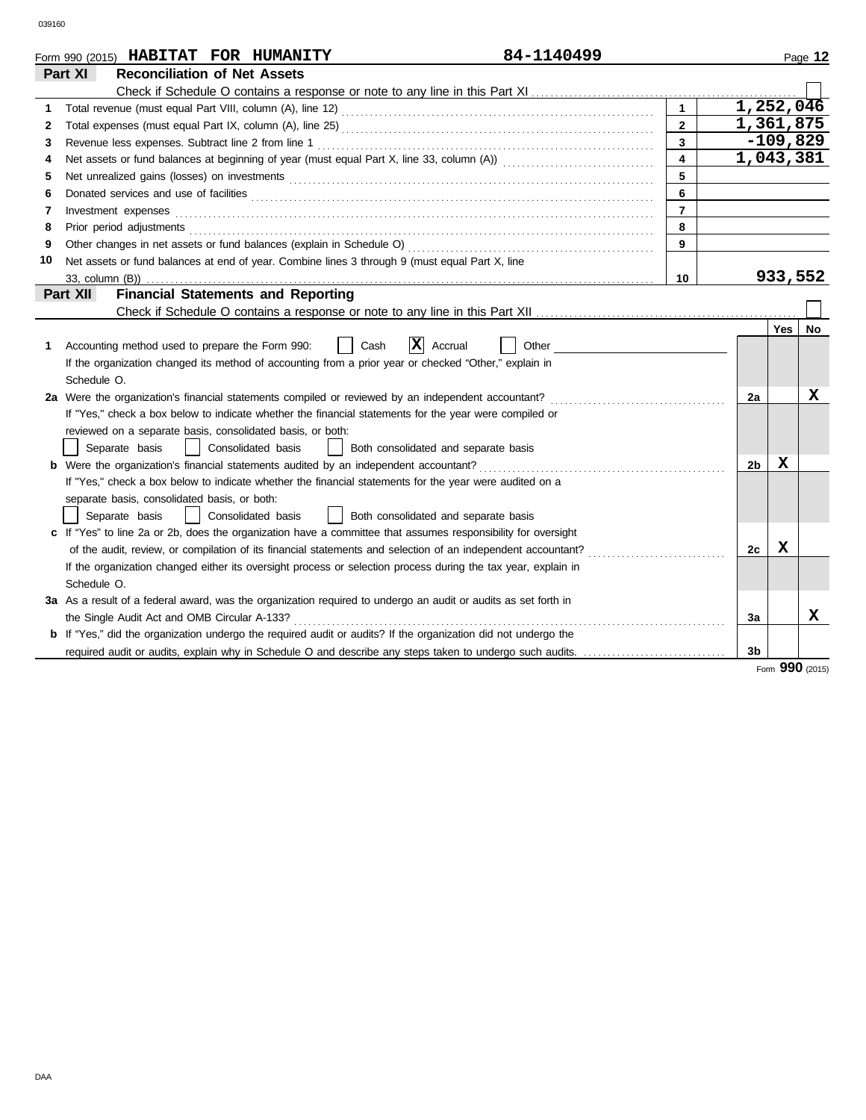|    | 84-1140499<br>Form 990 (2015) HABITAT FOR HUMANITY                                                                    |                |                        |            | Page 12   |
|----|-----------------------------------------------------------------------------------------------------------------------|----------------|------------------------|------------|-----------|
|    | Part XI<br><b>Reconciliation of Net Assets</b>                                                                        |                |                        |            |           |
|    |                                                                                                                       |                |                        |            |           |
| 1. |                                                                                                                       | $\blacksquare$ | $\overline{1,252,046}$ |            |           |
| 2  |                                                                                                                       | $\mathbf{2}$   | 1,361,875              |            |           |
| 3  | Revenue less expenses. Subtract line 2 from line 1                                                                    | 3              |                        | $-109,829$ |           |
| 4  | Net assets or fund balances at beginning of year (must equal Part X, line 33, column (A)) [[[[[[[[[[[[[[[[[[[         | 4              | 1,043,381              |            |           |
| 5  |                                                                                                                       | 5              |                        |            |           |
| 6  |                                                                                                                       | 6              |                        |            |           |
| 7  | Investment expenses                                                                                                   | $\overline{7}$ |                        |            |           |
| 8  | Prior period adjustments                                                                                              | 8              |                        |            |           |
| 9  | Other changes in net assets or fund balances (explain in Schedule O)                                                  | 9              |                        |            |           |
| 10 | Net assets or fund balances at end of year. Combine lines 3 through 9 (must equal Part X, line                        |                |                        |            |           |
|    | 33, column (B))                                                                                                       | 10             |                        | 933,552    |           |
|    | <b>Financial Statements and Reporting</b><br>Part XII                                                                 |                |                        |            |           |
|    |                                                                                                                       |                |                        |            |           |
|    |                                                                                                                       |                |                        | Yes        | <b>No</b> |
| 1. | X<br>Accounting method used to prepare the Form 990:<br>Cash<br>Accrual<br>Other                                      |                |                        |            |           |
|    | If the organization changed its method of accounting from a prior year or checked "Other," explain in                 |                |                        |            |           |
|    | Schedule O.                                                                                                           |                |                        |            |           |
|    | 2a Were the organization's financial statements compiled or reviewed by an independent accountant?                    |                | 2a                     |            | x         |
|    | If "Yes," check a box below to indicate whether the financial statements for the year were compiled or                |                |                        |            |           |
|    | reviewed on a separate basis, consolidated basis, or both:                                                            |                |                        |            |           |
|    | Consolidated basis<br>Separate basis<br>Both consolidated and separate basis<br>$\perp$                               |                |                        |            |           |
|    | <b>b</b> Were the organization's financial statements audited by an independent accountant?                           |                | 2b                     | х          |           |
|    | If "Yes," check a box below to indicate whether the financial statements for the year were audited on a               |                |                        |            |           |
|    | separate basis, consolidated basis, or both:                                                                          |                |                        |            |           |
|    | Separate basis<br>Consolidated basis<br>Both consolidated and separate basis                                          |                |                        |            |           |
|    | c If "Yes" to line 2a or 2b, does the organization have a committee that assumes responsibility for oversight         |                |                        |            |           |
|    | of the audit, review, or compilation of its financial statements and selection of an independent accountant?          |                | 2c                     | X          |           |
|    | If the organization changed either its oversight process or selection process during the tax year, explain in         |                |                        |            |           |
|    | Schedule O.                                                                                                           |                |                        |            |           |
|    | 3a As a result of a federal award, was the organization required to undergo an audit or audits as set forth in        |                |                        |            |           |
|    | the Single Audit Act and OMB Circular A-133?                                                                          |                | За                     |            | x         |
|    | <b>b</b> If "Yes," did the organization undergo the required audit or audits? If the organization did not undergo the |                |                        |            |           |
|    | required audit or audits, explain why in Schedule O and describe any steps taken to undergo such audits.              |                | 3 <sub>b</sub>         |            |           |

Form **990** (2015)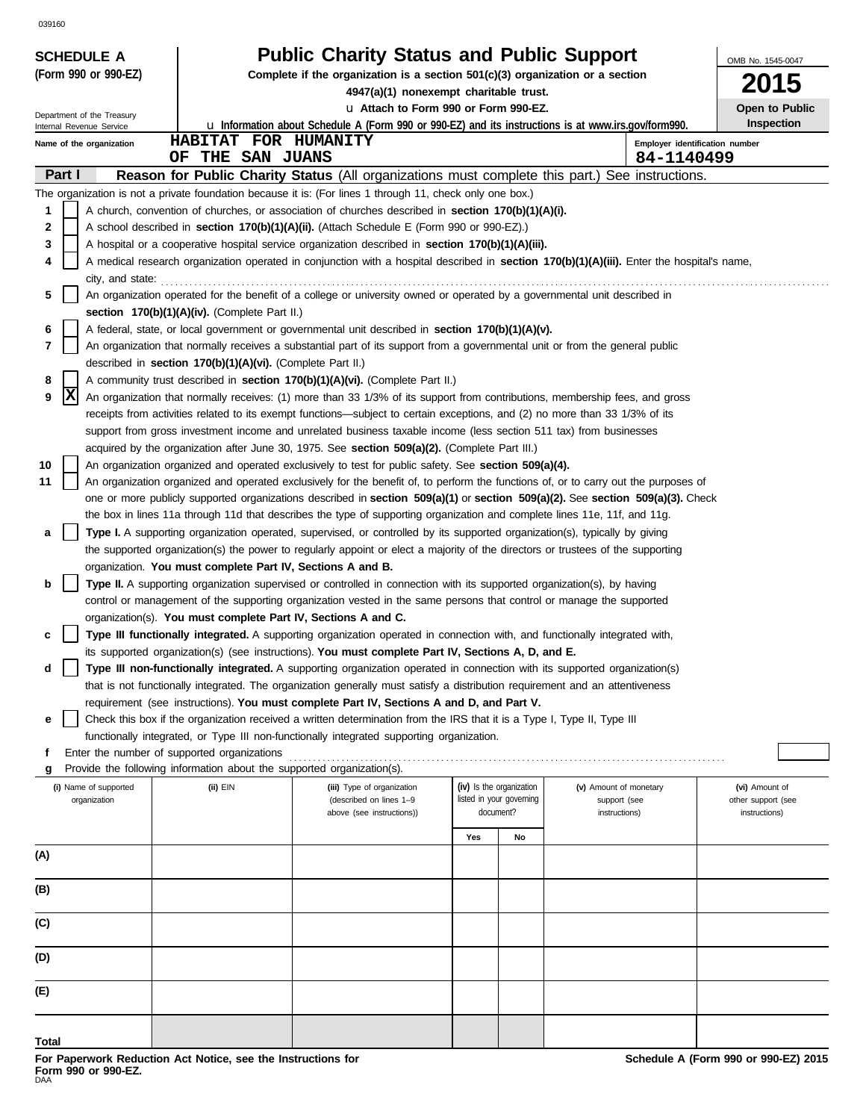| <b>SCHEDULE A</b>                                      |                                                                        | <b>Public Charity Status and Public Support</b>                                                                                                                                                                                                        |                          |    |                                | OMB No. 1545-0047  |
|--------------------------------------------------------|------------------------------------------------------------------------|--------------------------------------------------------------------------------------------------------------------------------------------------------------------------------------------------------------------------------------------------------|--------------------------|----|--------------------------------|--------------------|
| (Form 990 or 990-EZ)                                   |                                                                        | Complete if the organization is a section 501(c)(3) organization or a section                                                                                                                                                                          |                          |    |                                | 2015               |
|                                                        |                                                                        | 4947(a)(1) nonexempt charitable trust.<br>u Attach to Form 990 or Form 990-EZ.                                                                                                                                                                         |                          |    |                                | Open to Public     |
| Department of the Treasury<br>Internal Revenue Service |                                                                        | <b>u</b> Information about Schedule A (Form 990 or 990-EZ) and its instructions is at www.irs.gov/form990.                                                                                                                                             |                          |    |                                | <b>Inspection</b>  |
| Name of the organization                               | HABITAT FOR HUMANITY                                                   |                                                                                                                                                                                                                                                        |                          |    | Employer identification number |                    |
|                                                        | OF THE SAN JUANS                                                       |                                                                                                                                                                                                                                                        |                          |    | 84-1140499                     |                    |
| Part I                                                 |                                                                        | Reason for Public Charity Status (All organizations must complete this part.)                                                                                                                                                                          |                          |    | See instructions.              |                    |
|                                                        |                                                                        | The organization is not a private foundation because it is: (For lines 1 through 11, check only one box.)                                                                                                                                              |                          |    |                                |                    |
| 1<br>2                                                 |                                                                        | A church, convention of churches, or association of churches described in section 170(b)(1)(A)(i).<br>A school described in section 170(b)(1)(A)(ii). (Attach Schedule E (Form 990 or 990-EZ).)                                                        |                          |    |                                |                    |
| 3                                                      |                                                                        | A hospital or a cooperative hospital service organization described in <b>section 170(b)(1)(A)(iii).</b>                                                                                                                                               |                          |    |                                |                    |
| 4                                                      |                                                                        | A medical research organization operated in conjunction with a hospital described in section 170(b)(1)(A)(iii). Enter the hospital's name,                                                                                                             |                          |    |                                |                    |
| city, and state:                                       |                                                                        |                                                                                                                                                                                                                                                        |                          |    |                                |                    |
| 5                                                      |                                                                        | An organization operated for the benefit of a college or university owned or operated by a governmental unit described in                                                                                                                              |                          |    |                                |                    |
|                                                        | section 170(b)(1)(A)(iv). (Complete Part II.)                          |                                                                                                                                                                                                                                                        |                          |    |                                |                    |
| 6                                                      |                                                                        | A federal, state, or local government or governmental unit described in section 170(b)(1)(A)(v).                                                                                                                                                       |                          |    |                                |                    |
| 7                                                      |                                                                        | An organization that normally receives a substantial part of its support from a governmental unit or from the general public                                                                                                                           |                          |    |                                |                    |
|                                                        | described in section 170(b)(1)(A)(vi). (Complete Part II.)             |                                                                                                                                                                                                                                                        |                          |    |                                |                    |
| 8<br> x<br>9                                           |                                                                        | A community trust described in section 170(b)(1)(A)(vi). (Complete Part II.)<br>An organization that normally receives: (1) more than 33 1/3% of its support from contributions, membership fees, and gross                                            |                          |    |                                |                    |
|                                                        |                                                                        | receipts from activities related to its exempt functions—subject to certain exceptions, and (2) no more than 33 1/3% of its                                                                                                                            |                          |    |                                |                    |
|                                                        |                                                                        | support from gross investment income and unrelated business taxable income (less section 511 tax) from businesses                                                                                                                                      |                          |    |                                |                    |
|                                                        |                                                                        | acquired by the organization after June 30, 1975. See section 509(a)(2). (Complete Part III.)                                                                                                                                                          |                          |    |                                |                    |
| 10                                                     |                                                                        | An organization organized and operated exclusively to test for public safety. See section 509(a)(4).                                                                                                                                                   |                          |    |                                |                    |
| 11                                                     |                                                                        | An organization organized and operated exclusively for the benefit of, to perform the functions of, or to carry out the purposes of                                                                                                                    |                          |    |                                |                    |
|                                                        |                                                                        | one or more publicly supported organizations described in section 509(a)(1) or section 509(a)(2). See section 509(a)(3). Check                                                                                                                         |                          |    |                                |                    |
|                                                        |                                                                        | the box in lines 11a through 11d that describes the type of supporting organization and complete lines 11e, 11f, and 11g.                                                                                                                              |                          |    |                                |                    |
| а                                                      |                                                                        | Type I. A supporting organization operated, supervised, or controlled by its supported organization(s), typically by giving                                                                                                                            |                          |    |                                |                    |
|                                                        |                                                                        | the supported organization(s) the power to regularly appoint or elect a majority of the directors or trustees of the supporting                                                                                                                        |                          |    |                                |                    |
|                                                        | organization. You must complete Part IV, Sections A and B.             |                                                                                                                                                                                                                                                        |                          |    |                                |                    |
| b                                                      |                                                                        | <b>Type II.</b> A supporting organization supervised or controlled in connection with its supported organization(s), by having<br>control or management of the supporting organization vested in the same persons that control or manage the supported |                          |    |                                |                    |
|                                                        | organization(s). You must complete Part IV, Sections A and C.          |                                                                                                                                                                                                                                                        |                          |    |                                |                    |
| c                                                      |                                                                        | Type III functionally integrated. A supporting organization operated in connection with, and functionally integrated with,                                                                                                                             |                          |    |                                |                    |
|                                                        |                                                                        | its supported organization(s) (see instructions). You must complete Part IV, Sections A, D, and E.                                                                                                                                                     |                          |    |                                |                    |
| d                                                      |                                                                        | Type III non-functionally integrated. A supporting organization operated in connection with its supported organization(s)                                                                                                                              |                          |    |                                |                    |
|                                                        |                                                                        | that is not functionally integrated. The organization generally must satisfy a distribution requirement and an attentiveness                                                                                                                           |                          |    |                                |                    |
|                                                        |                                                                        | requirement (see instructions). You must complete Part IV, Sections A and D, and Part V.                                                                                                                                                               |                          |    |                                |                    |
| е                                                      |                                                                        | Check this box if the organization received a written determination from the IRS that it is a Type I, Type II, Type III                                                                                                                                |                          |    |                                |                    |
|                                                        | Enter the number of supported organizations                            | functionally integrated, or Type III non-functionally integrated supporting organization.                                                                                                                                                              |                          |    |                                |                    |
|                                                        | Provide the following information about the supported organization(s). |                                                                                                                                                                                                                                                        |                          |    |                                |                    |
| (i) Name of supported                                  | (ii) EIN                                                               | (iii) Type of organization                                                                                                                                                                                                                             | (iv) Is the organization |    | (v) Amount of monetary         | (vi) Amount of     |
| organization                                           |                                                                        | (described on lines 1-9                                                                                                                                                                                                                                | listed in your governing |    | support (see                   | other support (see |
|                                                        |                                                                        | above (see instructions))                                                                                                                                                                                                                              | document?                |    | instructions)                  | instructions)      |
|                                                        |                                                                        |                                                                                                                                                                                                                                                        | Yes                      | No |                                |                    |
| (A)                                                    |                                                                        |                                                                                                                                                                                                                                                        |                          |    |                                |                    |
|                                                        |                                                                        |                                                                                                                                                                                                                                                        |                          |    |                                |                    |
| (B)                                                    |                                                                        |                                                                                                                                                                                                                                                        |                          |    |                                |                    |
| (C)                                                    |                                                                        |                                                                                                                                                                                                                                                        |                          |    |                                |                    |
|                                                        |                                                                        |                                                                                                                                                                                                                                                        |                          |    |                                |                    |
| (D)                                                    |                                                                        |                                                                                                                                                                                                                                                        |                          |    |                                |                    |
|                                                        |                                                                        |                                                                                                                                                                                                                                                        |                          |    |                                |                    |
| (E)                                                    |                                                                        |                                                                                                                                                                                                                                                        |                          |    |                                |                    |
|                                                        |                                                                        |                                                                                                                                                                                                                                                        |                          |    |                                |                    |
| Total                                                  |                                                                        |                                                                                                                                                                                                                                                        |                          |    |                                |                    |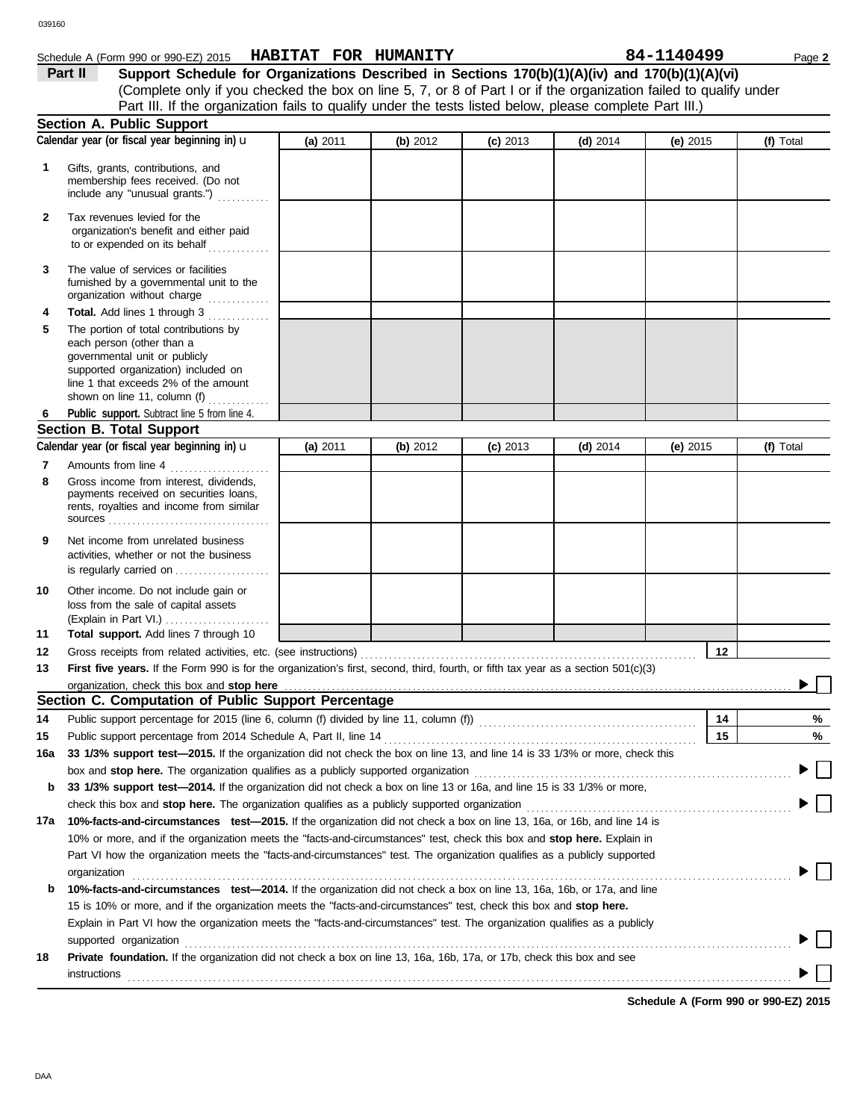$\blacktriangleright$   $\Box$ 

 $\blacktriangleright \Box$ 

 $\blacktriangleright$   $\Box$ 

 $\blacktriangleright$   $\Box$ 

| 039160       |                                                                                                                                                                                                                                                   |                                                                                                                   |          |            |            |            |    |           |
|--------------|---------------------------------------------------------------------------------------------------------------------------------------------------------------------------------------------------------------------------------------------------|-------------------------------------------------------------------------------------------------------------------|----------|------------|------------|------------|----|-----------|
|              | Schedule A (Form 990 or 990-EZ) 2015                                                                                                                                                                                                              | HABITAT FOR HUMANITY                                                                                              |          |            |            | 84-1140499 |    | Page 2    |
|              | Part II                                                                                                                                                                                                                                           | Support Schedule for Organizations Described in Sections 170(b)(1)(A)(iv) and 170(b)(1)(A)(vi)                    |          |            |            |            |    |           |
|              |                                                                                                                                                                                                                                                   | (Complete only if you checked the box on line 5, 7, or 8 of Part I or if the organization failed to qualify under |          |            |            |            |    |           |
|              |                                                                                                                                                                                                                                                   | Part III. If the organization fails to qualify under the tests listed below, please complete Part III.)           |          |            |            |            |    |           |
|              | <b>Section A. Public Support</b><br>Calendar year (or fiscal year beginning in) u                                                                                                                                                                 |                                                                                                                   |          |            |            |            |    | (f) Total |
|              |                                                                                                                                                                                                                                                   | (a) 2011                                                                                                          | (b) 2012 | $(c)$ 2013 | $(d)$ 2014 | (e) $2015$ |    |           |
| 1            | Gifts, grants, contributions, and<br>membership fees received. (Do not<br>include any "unusual grants.")                                                                                                                                          |                                                                                                                   |          |            |            |            |    |           |
| $\mathbf{2}$ | Tax revenues levied for the<br>organization's benefit and either paid<br>to or expended on its behalf                                                                                                                                             |                                                                                                                   |          |            |            |            |    |           |
| 3            | The value of services or facilities<br>furnished by a governmental unit to the<br>organization without charge                                                                                                                                     |                                                                                                                   |          |            |            |            |    |           |
| 4            | Total. Add lines 1 through 3                                                                                                                                                                                                                      |                                                                                                                   |          |            |            |            |    |           |
| 5            | The portion of total contributions by<br>each person (other than a<br>governmental unit or publicly<br>supported organization) included on<br>line 1 that exceeds 2% of the amount<br>shown on line 11, column (f) $\ldots$                       |                                                                                                                   |          |            |            |            |    |           |
| 6            | Public support. Subtract line 5 from line 4.                                                                                                                                                                                                      |                                                                                                                   |          |            |            |            |    |           |
|              | <b>Section B. Total Support</b>                                                                                                                                                                                                                   |                                                                                                                   |          |            |            |            |    |           |
|              | Calendar year (or fiscal year beginning in) u                                                                                                                                                                                                     | (a) $2011$                                                                                                        | (b) 2012 | $(c)$ 2013 | (d) $2014$ | (e) $2015$ |    | (f) Total |
| 7            | Amounts from line 4                                                                                                                                                                                                                               |                                                                                                                   |          |            |            |            |    |           |
| 8            | Gross income from interest, dividends,<br>payments received on securities loans,<br>rents, royalties and income from similar                                                                                                                      |                                                                                                                   |          |            |            |            |    |           |
| 9            | Net income from unrelated business<br>activities, whether or not the business<br>is regularly carried on $\ldots$ , $\ldots$ , $\ldots$                                                                                                           |                                                                                                                   |          |            |            |            |    |           |
| 10           | Other income. Do not include gain or<br>loss from the sale of capital assets                                                                                                                                                                      |                                                                                                                   |          |            |            |            |    |           |
|              | (Explain in Part VI.)                                                                                                                                                                                                                             |                                                                                                                   |          |            |            |            |    |           |
| 11           | Total support. Add lines 7 through 10                                                                                                                                                                                                             |                                                                                                                   |          |            |            |            |    |           |
| 12           | Gross receipts from related activities, etc. (see instructions)                                                                                                                                                                                   |                                                                                                                   |          |            |            |            | 12 |           |
| 13           | First five years. If the Form 990 is for the organization's first, second, third, fourth, or fifth tax year as a section 501(c)(3)                                                                                                                |                                                                                                                   |          |            |            |            |    |           |
|              | organization, check this box and stop here                                                                                                                                                                                                        |                                                                                                                   |          |            |            |            |    |           |
|              | Section C. Computation of Public Support Percentage                                                                                                                                                                                               |                                                                                                                   |          |            |            |            |    |           |
| 14           |                                                                                                                                                                                                                                                   |                                                                                                                   |          |            |            |            | 14 | %         |
| 15           |                                                                                                                                                                                                                                                   |                                                                                                                   |          |            |            |            | 15 | %         |
| 16a          | 33 1/3% support test-2015. If the organization did not check the box on line 13, and line 14 is 33 1/3% or more, check this                                                                                                                       |                                                                                                                   |          |            |            |            |    |           |
|              | box and stop here. The organization qualifies as a publicly supported organization <b>constructs</b> and stop here. The organization                                                                                                              |                                                                                                                   |          |            |            |            |    |           |
| b            | 33 1/3% support test—2014. If the organization did not check a box on line 13 or 16a, and line 15 is 33 1/3% or more,                                                                                                                             |                                                                                                                   |          |            |            |            |    |           |
|              | check this box and stop here. The organization qualifies as a publicly supported organization <b>conserved</b> conserved this box and stop here.                                                                                                  |                                                                                                                   |          |            |            |            |    |           |
| 17a          | 10%-facts-and-circumstances test-2015. If the organization did not check a box on line 13, 16a, or 16b, and line 14 is<br>10% or more, and if the organization meets the "facts-and-circumstances" test, check this box and stop here. Explain in |                                                                                                                   |          |            |            |            |    |           |
|              | Part VI how the organization meets the "facts-and-circumstances" test. The organization qualifies as a publicly supported<br>organization                                                                                                         |                                                                                                                   |          |            |            |            |    |           |
| b            | 10%-facts-and-circumstances test-2014. If the organization did not check a box on line 13, 16a, 16b, or 17a, and line                                                                                                                             |                                                                                                                   |          |            |            |            |    |           |
|              | 15 is 10% or more, and if the organization meets the "facts-and-circumstances" test, check this box and stop here.                                                                                                                                |                                                                                                                   |          |            |            |            |    |           |
|              | Explain in Part VI how the organization meets the "facts-and-circumstances" test. The organization qualifies as a publicly                                                                                                                        |                                                                                                                   |          |            |            |            |    |           |
|              | supported organization contains and contains a supported organization of the supported organization contains a supported organization                                                                                                             |                                                                                                                   |          |            |            |            |    |           |
| 18           | Private foundation. If the organization did not check a box on line 13, 16a, 16b, 17a, or 17b, check this box and see<br>instructions                                                                                                             |                                                                                                                   |          |            |            |            |    |           |

**Schedule A (Form 990 or 990-EZ) 2015**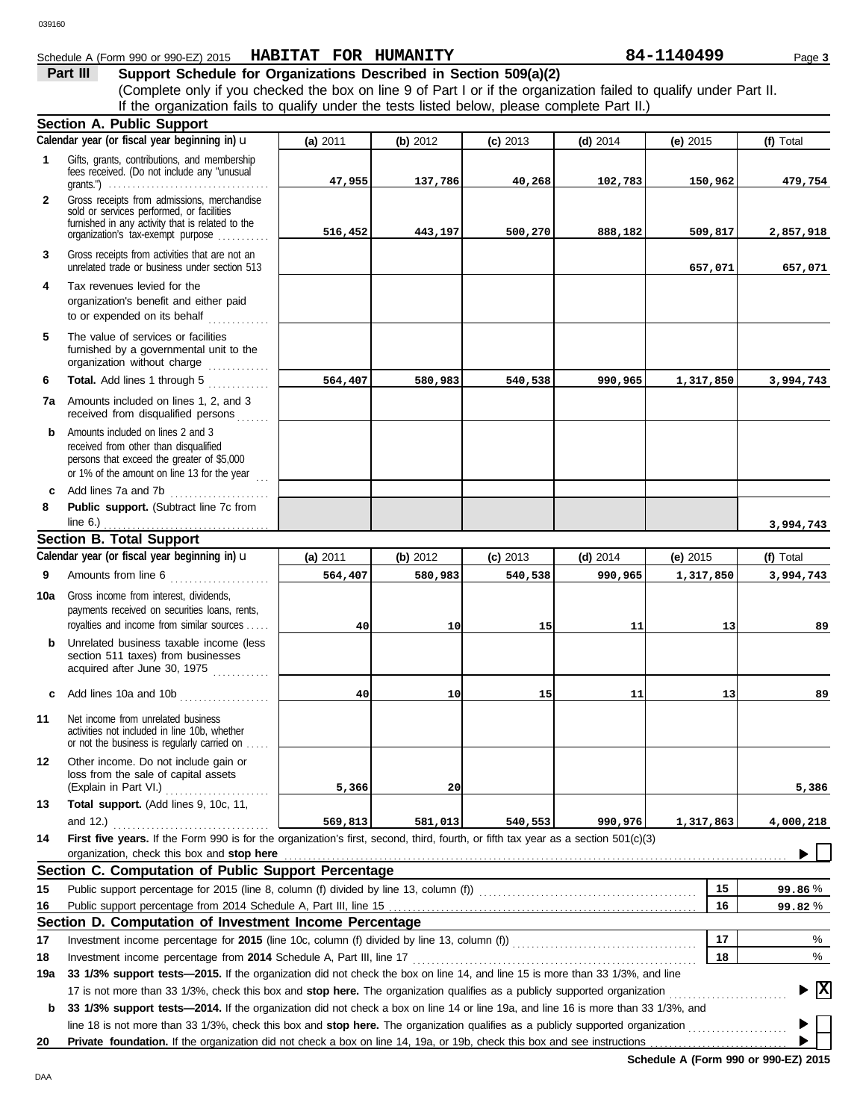# Schedule A (Form 990 or 990-EZ) 2015 Page **3 HABITAT FOR HUMANITY 84-1140499**

# **Part III Support Schedule for Organizations Described in Section 509(a)(2)**

(Complete only if you checked the box on line 9 of Part I or if the organization failed to qualify under Part II. **Section A. Public Support** If the organization fails to qualify under the tests listed below, please complete Part II.)

|              | Calendar year (or fiscal year beginning in) $\mathbf u$                                                                                                                                                                                                         | (a) 2011 | (b) 2012        | $(c)$ 2013 | $(d)$ 2014 | $(e)$ 2015 | (f) Total       |
|--------------|-----------------------------------------------------------------------------------------------------------------------------------------------------------------------------------------------------------------------------------------------------------------|----------|-----------------|------------|------------|------------|-----------------|
| 1            | Gifts, grants, contributions, and membership<br>fees received. (Do not include any "unusual<br>grants.") $\ldots \ldots \ldots \ldots \ldots \ldots \ldots \ldots \ldots \ldots \ldots \ldots$                                                                  | 47,955   | 137,786         | 40,268     | 102,783    | 150,962    | 479,754         |
| $\mathbf{2}$ | Gross receipts from admissions, merchandise<br>sold or services performed, or facilities<br>furnished in any activity that is related to the<br>organization's tax-exempt purpose                                                                               | 516,452  | 443,197         | 500,270    | 888,182    | 509,817    | 2,857,918       |
| 3            | Gross receipts from activities that are not an<br>unrelated trade or business under section 513                                                                                                                                                                 |          |                 |            |            | 657,071    | 657,071         |
| 4            | Tax revenues levied for the<br>organization's benefit and either paid<br>to or expended on its behalf                                                                                                                                                           |          |                 |            |            |            |                 |
| 5            | The value of services or facilities<br>furnished by a governmental unit to the<br>organization without charge                                                                                                                                                   |          |                 |            |            |            |                 |
| 6            | Total. Add lines 1 through 5<br>.                                                                                                                                                                                                                               | 564,407  | 580,983         | 540,538    | 990,965    | 1,317,850  | 3,994,743       |
| 7а           | Amounts included on lines 1, 2, and 3<br>received from disqualified persons<br>.                                                                                                                                                                                |          |                 |            |            |            |                 |
| b            | Amounts included on lines 2 and 3<br>received from other than disqualified<br>persons that exceed the greater of \$5,000<br>or 1% of the amount on line 13 for the year $\ldots$                                                                                |          |                 |            |            |            |                 |
| C            | Add lines 7a and 7b                                                                                                                                                                                                                                             |          |                 |            |            |            |                 |
| 8            | Public support. (Subtract line 7c from                                                                                                                                                                                                                          |          |                 |            |            |            |                 |
|              | <b>Section B. Total Support</b>                                                                                                                                                                                                                                 |          |                 |            |            |            | 3,994,743       |
|              | Calendar year (or fiscal year beginning in) u                                                                                                                                                                                                                   | (a) 2011 | (b) 2012        | $(c)$ 2013 | $(d)$ 2014 | (e) 2015   | (f) Total       |
| 9            | Amounts from line 6                                                                                                                                                                                                                                             | 564,407  | 580,983         | 540,538    | 990,965    | 1,317,850  | 3,994,743       |
|              |                                                                                                                                                                                                                                                                 |          |                 |            |            |            |                 |
| 10a          | Gross income from interest, dividends,<br>payments received on securities loans, rents,<br>royalties and income from similar sources                                                                                                                            | 40       | 10 <sub>1</sub> | 15         | 11         | 13         | 89              |
| b            | Unrelated business taxable income (less<br>section 511 taxes) from businesses<br>acquired after June 30, 1975                                                                                                                                                   |          |                 |            |            |            |                 |
| c            | Add lines 10a and 10b                                                                                                                                                                                                                                           | 40       | 10 <sub>l</sub> | 15         | 11         | 13         | 89              |
| 11           | Net income from unrelated business<br>activities not included in line 10b, whether<br>or not the business is regularly carried on                                                                                                                               |          |                 |            |            |            |                 |
| 12           | Other income. Do not include gain or<br>loss from the sale of capital assets<br>(Explain in Part VI.)<br>.                                                                                                                                                      | 5,366    | 20              |            |            |            | 5,386           |
| 13           | Total support. (Add lines 9, 10c, 11,                                                                                                                                                                                                                           |          |                 |            |            |            |                 |
|              | and $12.$ )                                                                                                                                                                                                                                                     | 569,813  | 581,013         | 540,553    | 990,976    | 1,317,863  | 4,000,218       |
| 14           | First five years. If the Form 990 is for the organization's first, second, third, fourth, or fifth tax year as a section 501(c)(3)                                                                                                                              |          |                 |            |            |            |                 |
|              | organization, check this box and stop here <i>manufacture in the content of the content of the content of the content of the content of the content of the content of the content of the content of the content of the content o</i>                            |          |                 |            |            |            |                 |
|              | Section C. Computation of Public Support Percentage                                                                                                                                                                                                             |          |                 |            |            |            |                 |
| 15           |                                                                                                                                                                                                                                                                 |          |                 |            |            | 15         | 99.86%          |
| 16           | Section D. Computation of Investment Income Percentage                                                                                                                                                                                                          |          |                 |            |            | 16         | 99.82%          |
| 17           |                                                                                                                                                                                                                                                                 |          |                 |            |            | 17         | %               |
| 18           | Investment income percentage from 2014 Schedule A, Part III, line 17                                                                                                                                                                                            |          |                 |            |            | 18         | %               |
| 19a          | 33 1/3% support tests-2015. If the organization did not check the box on line 14, and line 15 is more than 33 1/3%, and line                                                                                                                                    |          |                 |            |            |            |                 |
| b            | 17 is not more than 33 1/3%, check this box and stop here. The organization qualifies as a publicly supported organization<br>33 1/3% support tests-2014. If the organization did not check a box on line 14 or line 19a, and line 16 is more than 33 1/3%, and |          |                 |            |            |            | $\vert x \vert$ |
|              | line 18 is not more than 33 1/3%, check this box and stop here. The organization qualifies as a publicly supported organization                                                                                                                                 |          |                 |            |            |            |                 |
| 20           | Private foundation. If the organization did not check a box on line 14, 19a, or 19b, check this box and see instructions                                                                                                                                        |          |                 |            |            |            |                 |

**Schedule A (Form 990 or 990-EZ) 2015**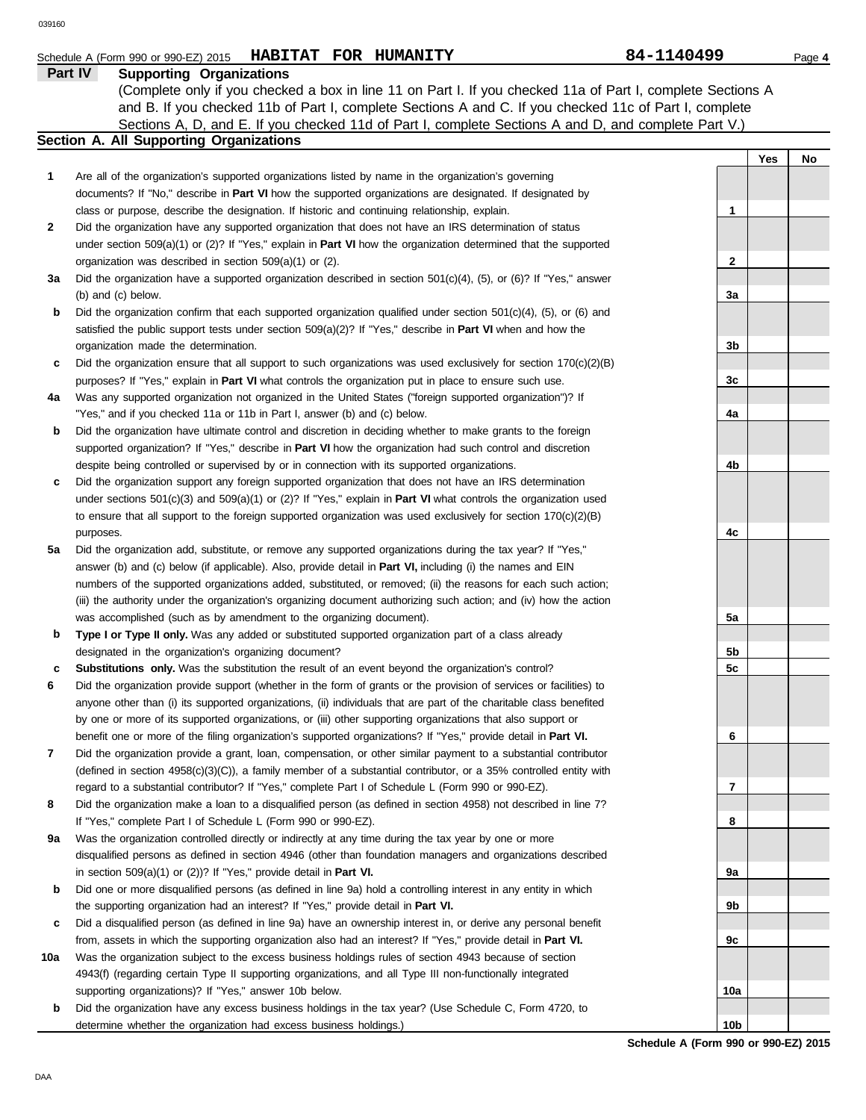|              | Schedule A (Form 990 or 990-EZ) 2015 HABITAT FOR HUMANITY                                                                  | 84-1140499      | Page 4 |
|--------------|----------------------------------------------------------------------------------------------------------------------------|-----------------|--------|
|              | Part IV<br><b>Supporting Organizations</b>                                                                                 |                 |        |
|              | (Complete only if you checked a box in line 11 on Part I. If you checked 11a of Part I, complete Sections A                |                 |        |
|              | and B. If you checked 11b of Part I, complete Sections A and C. If you checked 11c of Part I, complete                     |                 |        |
|              | Sections A, D, and E. If you checked 11d of Part I, complete Sections A and D, and complete Part V.)                       |                 |        |
|              | Section A. All Supporting Organizations                                                                                    |                 |        |
|              |                                                                                                                            | Yes             | No     |
| 1            | Are all of the organization's supported organizations listed by name in the organization's governing                       |                 |        |
|              | documents? If "No," describe in Part VI how the supported organizations are designated. If designated by                   |                 |        |
|              | class or purpose, describe the designation. If historic and continuing relationship, explain.                              | 1               |        |
| $\mathbf{2}$ | Did the organization have any supported organization that does not have an IRS determination of status                     |                 |        |
|              | under section 509(a)(1) or (2)? If "Yes," explain in <b>Part VI</b> how the organization determined that the supported     |                 |        |
|              | organization was described in section 509(a)(1) or (2).                                                                    | 2               |        |
| За           | Did the organization have a supported organization described in section $501(c)(4)$ , $(5)$ , or $(6)$ ? If "Yes," answer  |                 |        |
|              | (b) and (c) below.                                                                                                         | За              |        |
| b            | Did the organization confirm that each supported organization qualified under section $501(c)(4)$ , (5), or (6) and        |                 |        |
|              | satisfied the public support tests under section $509(a)(2)$ ? If "Yes," describe in <b>Part VI</b> when and how the       |                 |        |
|              | organization made the determination.                                                                                       | 3b              |        |
| c            | Did the organization ensure that all support to such organizations was used exclusively for section $170(c)(2)(B)$         |                 |        |
|              | purposes? If "Yes," explain in Part VI what controls the organization put in place to ensure such use.                     | 3c              |        |
| 4a           | Was any supported organization not organized in the United States ("foreign supported organization")? If                   |                 |        |
|              | "Yes," and if you checked 11a or 11b in Part I, answer (b) and (c) below.                                                  | 4a              |        |
| b            | Did the organization have ultimate control and discretion in deciding whether to make grants to the foreign                |                 |        |
|              | supported organization? If "Yes," describe in Part VI how the organization had such control and discretion                 |                 |        |
|              | despite being controlled or supervised by or in connection with its supported organizations.                               | 4b              |        |
|              | Did the organization support any foreign supported organization that does not have an IRS determination                    |                 |        |
| c            |                                                                                                                            |                 |        |
|              | under sections $501(c)(3)$ and $509(a)(1)$ or (2)? If "Yes," explain in <b>Part VI</b> what controls the organization used |                 |        |
|              | to ensure that all support to the foreign supported organization was used exclusively for section $170(c)(2)(B)$           |                 |        |
|              | purposes.                                                                                                                  | 4c              |        |
| 5a           | Did the organization add, substitute, or remove any supported organizations during the tax year? If "Yes,"                 |                 |        |
|              | answer (b) and (c) below (if applicable). Also, provide detail in <b>Part VI</b> , including (i) the names and EIN         |                 |        |
|              | numbers of the supported organizations added, substituted, or removed; (ii) the reasons for each such action;              |                 |        |
|              | (iii) the authority under the organization's organizing document authorizing such action; and (iv) how the action          |                 |        |
|              | was accomplished (such as by amendment to the organizing document).                                                        | 5a              |        |
| b            | Type I or Type II only. Was any added or substituted supported organization part of a class already                        |                 |        |
|              | designated in the organization's organizing document?                                                                      | 5b              |        |
| c            | Substitutions only. Was the substitution the result of an event beyond the organization's control?                         | 5c              |        |
| 6            | Did the organization provide support (whether in the form of grants or the provision of services or facilities) to         |                 |        |
|              | anyone other than (i) its supported organizations, (ii) individuals that are part of the charitable class benefited        |                 |        |
|              | by one or more of its supported organizations, or (iii) other supporting organizations that also support or                |                 |        |
|              | benefit one or more of the filing organization's supported organizations? If "Yes," provide detail in Part VI.             | 6               |        |
| 7            | Did the organization provide a grant, loan, compensation, or other similar payment to a substantial contributor            |                 |        |
|              | (defined in section 4958(c)(3)(C)), a family member of a substantial contributor, or a 35% controlled entity with          |                 |        |
|              | regard to a substantial contributor? If "Yes," complete Part I of Schedule L (Form 990 or 990-EZ).                         | 7               |        |
| 8            | Did the organization make a loan to a disqualified person (as defined in section 4958) not described in line 7?            |                 |        |
|              | If "Yes," complete Part I of Schedule L (Form 990 or 990-EZ).                                                              | 8               |        |
| 9а           | Was the organization controlled directly or indirectly at any time during the tax year by one or more                      |                 |        |
|              | disqualified persons as defined in section 4946 (other than foundation managers and organizations described                |                 |        |
|              | in section $509(a)(1)$ or $(2)$ ? If "Yes," provide detail in Part VI.                                                     | 9a              |        |
| b            | Did one or more disqualified persons (as defined in line 9a) hold a controlling interest in any entity in which            |                 |        |
|              | the supporting organization had an interest? If "Yes," provide detail in Part VI.                                          | 9b              |        |
| c            | Did a disqualified person (as defined in line 9a) have an ownership interest in, or derive any personal benefit            |                 |        |
|              | from, assets in which the supporting organization also had an interest? If "Yes," provide detail in Part VI.               | 9с              |        |
| 10a          | Was the organization subject to the excess business holdings rules of section 4943 because of section                      |                 |        |
|              | 4943(f) (regarding certain Type II supporting organizations, and all Type III non-functionally integrated                  |                 |        |
|              | supporting organizations)? If "Yes," answer 10b below.                                                                     | 10a             |        |
| b            | Did the organization have any excess business holdings in the tax year? (Use Schedule C, Form 4720, to                     |                 |        |
|              | determine whether the organization had excess business holdings.)                                                          | 10 <sub>b</sub> |        |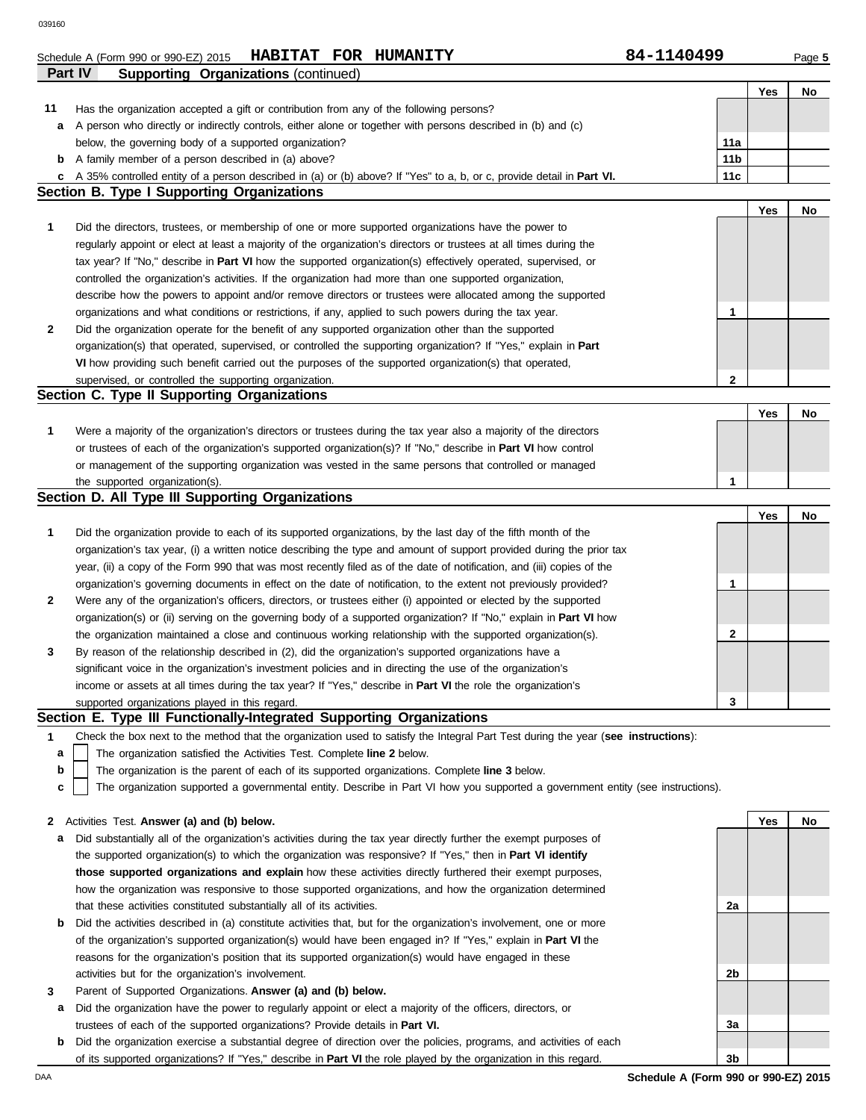|     | Part IV<br><b>Supporting Organizations (continued)</b>                                                                                                                                                                           |                 |     |    |
|-----|----------------------------------------------------------------------------------------------------------------------------------------------------------------------------------------------------------------------------------|-----------------|-----|----|
|     |                                                                                                                                                                                                                                  |                 | Yes | No |
| 11  | Has the organization accepted a gift or contribution from any of the following persons?                                                                                                                                          |                 |     |    |
| а   | A person who directly or indirectly controls, either alone or together with persons described in (b) and (c)                                                                                                                     |                 |     |    |
|     | below, the governing body of a supported organization?                                                                                                                                                                           | 11a             |     |    |
| b   | A family member of a person described in (a) above?                                                                                                                                                                              | 11 <sub>b</sub> |     |    |
| c   | A 35% controlled entity of a person described in (a) or (b) above? If "Yes" to a, b, or c, provide detail in Part VI.                                                                                                            | 11c             |     |    |
|     | <b>Section B. Type I Supporting Organizations</b>                                                                                                                                                                                |                 |     |    |
|     |                                                                                                                                                                                                                                  |                 | Yes | No |
| 1   | Did the directors, trustees, or membership of one or more supported organizations have the power to                                                                                                                              |                 |     |    |
|     | regularly appoint or elect at least a majority of the organization's directors or trustees at all times during the                                                                                                               |                 |     |    |
|     | tax year? If "No," describe in Part VI how the supported organization(s) effectively operated, supervised, or                                                                                                                    |                 |     |    |
|     | controlled the organization's activities. If the organization had more than one supported organization,                                                                                                                          |                 |     |    |
|     | describe how the powers to appoint and/or remove directors or trustees were allocated among the supported                                                                                                                        |                 |     |    |
|     | organizations and what conditions or restrictions, if any, applied to such powers during the tax year.                                                                                                                           | 1               |     |    |
| 2   | Did the organization operate for the benefit of any supported organization other than the supported                                                                                                                              |                 |     |    |
|     | organization(s) that operated, supervised, or controlled the supporting organization? If "Yes," explain in Part                                                                                                                  |                 |     |    |
|     | VI how providing such benefit carried out the purposes of the supported organization(s) that operated,                                                                                                                           |                 |     |    |
|     | supervised, or controlled the supporting organization.                                                                                                                                                                           | $\mathbf{2}$    |     |    |
|     | Section C. Type II Supporting Organizations                                                                                                                                                                                      |                 |     |    |
|     |                                                                                                                                                                                                                                  |                 | Yes | No |
| 1   | Were a majority of the organization's directors or trustees during the tax year also a majority of the directors                                                                                                                 |                 |     |    |
|     | or trustees of each of the organization's supported organization(s)? If "No," describe in <b>Part VI</b> how control                                                                                                             |                 |     |    |
|     | or management of the supporting organization was vested in the same persons that controlled or managed                                                                                                                           |                 |     |    |
|     | the supported organization(s).                                                                                                                                                                                                   | 1               |     |    |
|     | Section D. All Type III Supporting Organizations                                                                                                                                                                                 |                 |     |    |
|     |                                                                                                                                                                                                                                  |                 | Yes | No |
| 1   | Did the organization provide to each of its supported organizations, by the last day of the fifth month of the                                                                                                                   |                 |     |    |
|     | organization's tax year, (i) a written notice describing the type and amount of support provided during the prior tax                                                                                                            |                 |     |    |
|     | year, (ii) a copy of the Form 990 that was most recently filed as of the date of notification, and (iii) copies of the                                                                                                           |                 |     |    |
|     | organization's governing documents in effect on the date of notification, to the extent not previously provided?                                                                                                                 | 1               |     |    |
| 2   | Were any of the organization's officers, directors, or trustees either (i) appointed or elected by the supported                                                                                                                 |                 |     |    |
|     | organization(s) or (ii) serving on the governing body of a supported organization? If "No," explain in <b>Part VI</b> how                                                                                                        |                 |     |    |
|     | the organization maintained a close and continuous working relationship with the supported organization(s).                                                                                                                      | 2               |     |    |
| 3   | By reason of the relationship described in (2), did the organization's supported organizations have a                                                                                                                            |                 |     |    |
|     | significant voice in the organization's investment policies and in directing the use of the organization's                                                                                                                       |                 |     |    |
|     | income or assets at all times during the tax year? If "Yes," describe in Part VI the role the organization's                                                                                                                     |                 |     |    |
|     | supported organizations played in this regard.                                                                                                                                                                                   | 3               |     |    |
|     | Section E. Type III Functionally-Integrated Supporting Organizations                                                                                                                                                             |                 |     |    |
| 1   | Check the box next to the method that the organization used to satisfy the Integral Part Test during the year (see instructions):                                                                                                |                 |     |    |
| a   | The organization satisfied the Activities Test. Complete line 2 below.                                                                                                                                                           |                 |     |    |
| b   | The organization is the parent of each of its supported organizations. Complete line 3 below.                                                                                                                                    |                 |     |    |
| C   | The organization supported a governmental entity. Describe in Part VI how you supported a government entity (see instructions).                                                                                                  |                 |     |    |
|     |                                                                                                                                                                                                                                  |                 | Yes |    |
| 2   | Activities Test. Answer (a) and (b) below.                                                                                                                                                                                       |                 |     | No |
| а   | Did substantially all of the organization's activities during the tax year directly further the exempt purposes of<br>the supported organization(s) to which the organization was responsive? If "Yes," then in Part VI identify |                 |     |    |
|     | those supported organizations and explain how these activities directly furthered their exempt purposes,                                                                                                                         |                 |     |    |
|     | how the organization was responsive to those supported organizations, and how the organization determined                                                                                                                        |                 |     |    |
|     | that these activities constituted substantially all of its activities.                                                                                                                                                           | 2a              |     |    |
| b   | Did the activities described in (a) constitute activities that, but for the organization's involvement, one or more                                                                                                              |                 |     |    |
|     | of the organization's supported organization(s) would have been engaged in? If "Yes," explain in Part VI the                                                                                                                     |                 |     |    |
|     | reasons for the organization's position that its supported organization(s) would have engaged in these                                                                                                                           |                 |     |    |
|     | activities but for the organization's involvement.                                                                                                                                                                               | 2b              |     |    |
| 3   | Parent of Supported Organizations. Answer (a) and (b) below.                                                                                                                                                                     |                 |     |    |
| а   | Did the organization have the power to regularly appoint or elect a majority of the officers, directors, or                                                                                                                      |                 |     |    |
|     | trustees of each of the supported organizations? Provide details in Part VI.                                                                                                                                                     | За              |     |    |
| b   | Did the organization exercise a substantial degree of direction over the policies, programs, and activities of each                                                                                                              |                 |     |    |
|     | of its supported organizations? If "Yes," describe in Part VI the role played by the organization in this regard.                                                                                                                | 3b              |     |    |
| DAA | Schedule A (Form 990 or 990-EZ) 2015                                                                                                                                                                                             |                 |     |    |
|     |                                                                                                                                                                                                                                  |                 |     |    |

Schedule A (Form 990 or 990-EZ) 2015 Page **5 HABITAT FOR HUMANITY 84-1140499**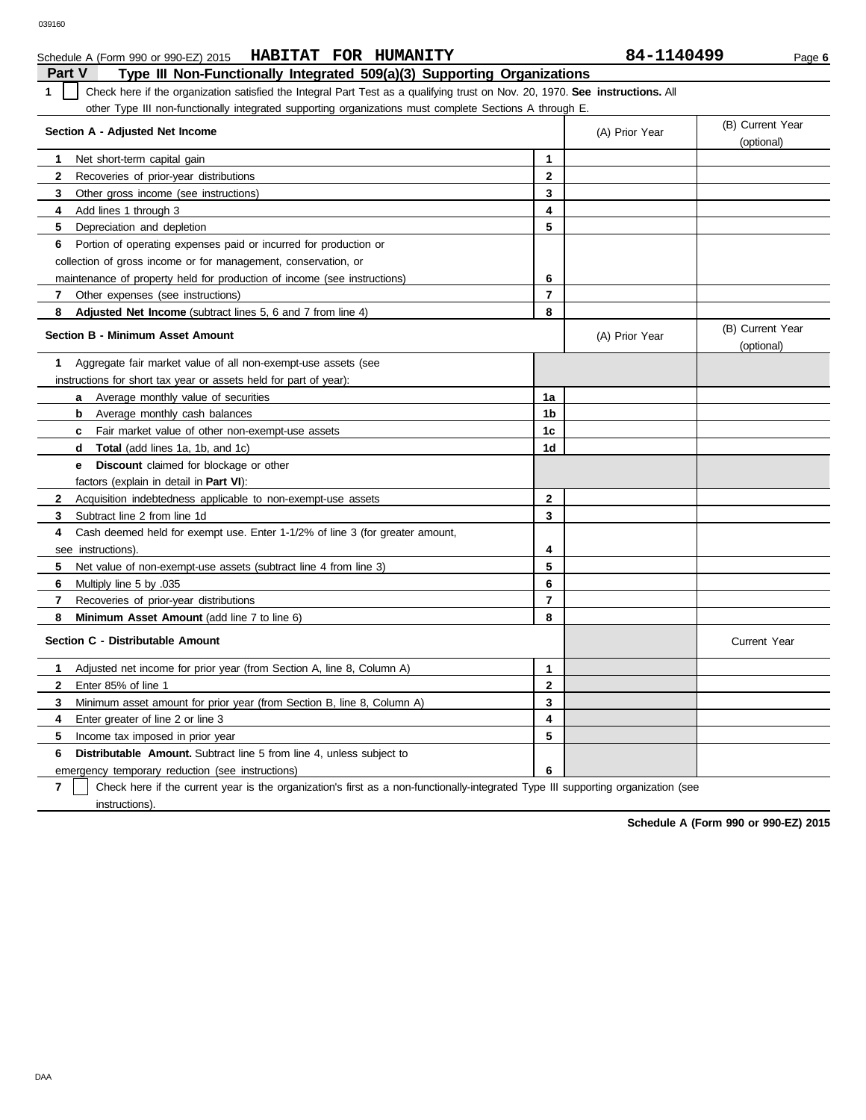| Part V<br>Type III Non-Functionally Integrated 509(a)(3) Supporting Organizations                                                   |                |                |                                |
|-------------------------------------------------------------------------------------------------------------------------------------|----------------|----------------|--------------------------------|
| Check here if the organization satisfied the Integral Part Test as a qualifying trust on Nov. 20, 1970. See instructions. All<br>1. |                |                |                                |
| other Type III non-functionally integrated supporting organizations must complete Sections A through E.                             |                |                |                                |
| Section A - Adjusted Net Income                                                                                                     |                | (A) Prior Year | (B) Current Year<br>(optional) |
| Net short-term capital gain<br>1                                                                                                    | 1              |                |                                |
| $\mathbf{2}$<br>Recoveries of prior-year distributions                                                                              | $\mathbf{2}$   |                |                                |
| 3<br>Other gross income (see instructions)                                                                                          | 3              |                |                                |
| Add lines 1 through 3<br>4                                                                                                          | 4              |                |                                |
| 5<br>Depreciation and depletion                                                                                                     | 5              |                |                                |
| Portion of operating expenses paid or incurred for production or<br>6                                                               |                |                |                                |
| collection of gross income or for management, conservation, or                                                                      |                |                |                                |
| maintenance of property held for production of income (see instructions)                                                            | 6              |                |                                |
| 7<br>Other expenses (see instructions)                                                                                              | $\overline{7}$ |                |                                |
| 8<br>Adjusted Net Income (subtract lines 5, 6 and 7 from line 4)                                                                    | 8              |                |                                |
| <b>Section B - Minimum Asset Amount</b>                                                                                             |                | (A) Prior Year | (B) Current Year<br>(optional) |
| Aggregate fair market value of all non-exempt-use assets (see<br>1                                                                  |                |                |                                |
| instructions for short tax year or assets held for part of year):                                                                   |                |                |                                |
| Average monthly value of securities<br>a                                                                                            | 1a             |                |                                |
| Average monthly cash balances<br>b                                                                                                  | 1b             |                |                                |
| Fair market value of other non-exempt-use assets<br>c                                                                               | 1c             |                |                                |
| Total (add lines 1a, 1b, and 1c)<br>d                                                                                               | 1d             |                |                                |
| <b>Discount</b> claimed for blockage or other<br>е                                                                                  |                |                |                                |
| factors (explain in detail in <b>Part VI)</b> :                                                                                     |                |                |                                |
| $\mathbf{2}$<br>Acquisition indebtedness applicable to non-exempt-use assets                                                        | $\mathbf{2}$   |                |                                |
| 3<br>Subtract line 2 from line 1d                                                                                                   | 3              |                |                                |
| Cash deemed held for exempt use. Enter 1-1/2% of line 3 (for greater amount,<br>4                                                   |                |                |                                |
| see instructions).                                                                                                                  | 4              |                |                                |
| 5.<br>Net value of non-exempt-use assets (subtract line 4 from line 3)                                                              | 5              |                |                                |
| 6<br>Multiply line 5 by .035                                                                                                        | 6              |                |                                |
| $\overline{7}$<br>Recoveries of prior-year distributions                                                                            | $\overline{7}$ |                |                                |
| Minimum Asset Amount (add line 7 to line 6)<br>8                                                                                    | 8              |                |                                |
| Section C - Distributable Amount                                                                                                    |                |                | <b>Current Year</b>            |
| 1<br>Adjusted net income for prior year (from Section A, line 8, Column A)                                                          | 1              |                |                                |
| Enter 85% of line 1<br>2                                                                                                            | $\mathbf{2}$   |                |                                |
| 3<br>Minimum asset amount for prior year (from Section B, line 8, Column A)                                                         | 3              |                |                                |
| 4<br>Enter greater of line 2 or line 3                                                                                              | 4              |                |                                |
| Income tax imposed in prior year<br>5                                                                                               | 5              |                |                                |

**HABITAT FOR HUMANITY 84-1140499**

**7** emergency temporary reduction (see instructions) instructions). Check here if the current year is the organization's first as a non-functionally-integrated Type III supporting organization (see

**6**

**6 Distributable Amount.** Subtract line 5 from line 4, unless subject to

**Schedule A (Form 990 or 990-EZ) 2015**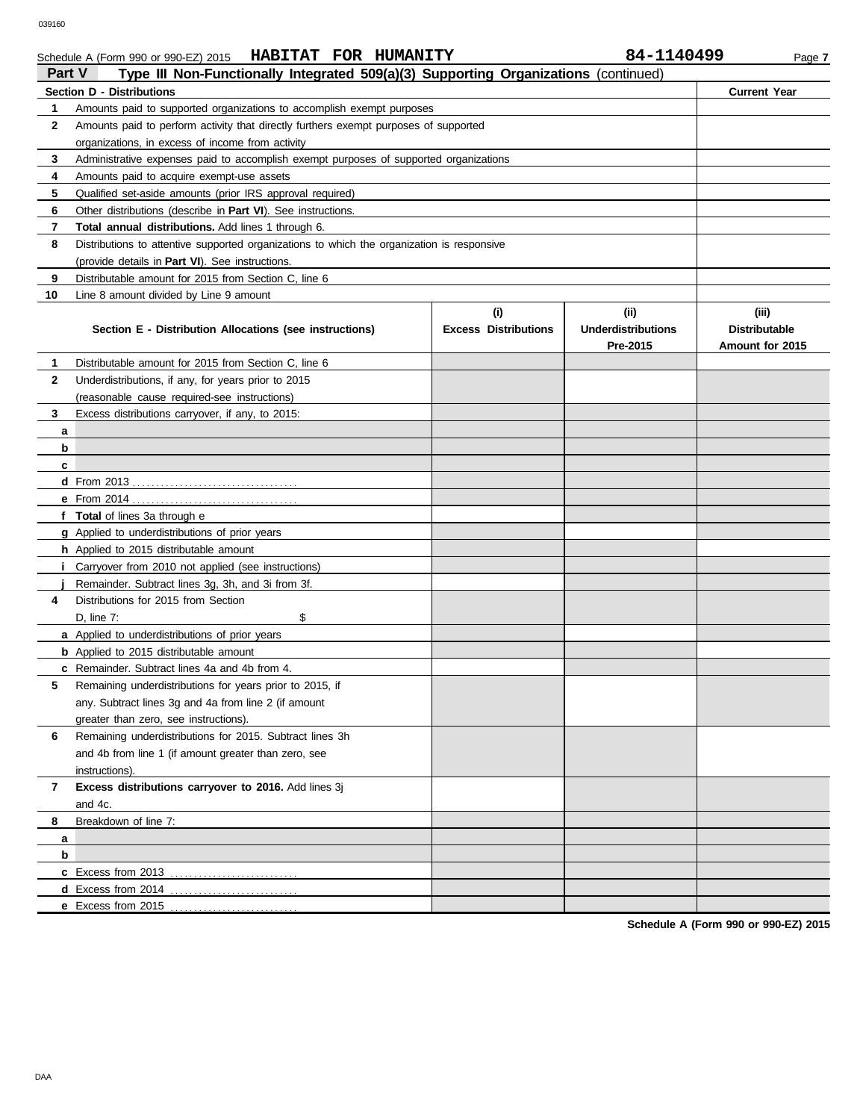### Schedule A (Form 990 or 990-EZ) 2015 **HABITAT FOR HUMANITY** 84-1140499 Page 7 **HABITAT FOR HUMANITY 84-1140499**

| Part V       | Type III Non-Functionally Integrated 509(a)(3) Supporting Organizations (continued)        |                                    |                                                |                                                  |
|--------------|--------------------------------------------------------------------------------------------|------------------------------------|------------------------------------------------|--------------------------------------------------|
|              | <b>Section D - Distributions</b>                                                           |                                    |                                                | <b>Current Year</b>                              |
| 1            | Amounts paid to supported organizations to accomplish exempt purposes                      |                                    |                                                |                                                  |
| 2            | Amounts paid to perform activity that directly furthers exempt purposes of supported       |                                    |                                                |                                                  |
|              | organizations, in excess of income from activity                                           |                                    |                                                |                                                  |
| 3            | Administrative expenses paid to accomplish exempt purposes of supported organizations      |                                    |                                                |                                                  |
| 4            | Amounts paid to acquire exempt-use assets                                                  |                                    |                                                |                                                  |
| 5            | Qualified set-aside amounts (prior IRS approval required)                                  |                                    |                                                |                                                  |
| 6            | Other distributions (describe in <b>Part VI</b> ). See instructions.                       |                                    |                                                |                                                  |
| 7            | <b>Total annual distributions.</b> Add lines 1 through 6.                                  |                                    |                                                |                                                  |
| 8            | Distributions to attentive supported organizations to which the organization is responsive |                                    |                                                |                                                  |
|              | (provide details in <b>Part VI</b> ). See instructions.                                    |                                    |                                                |                                                  |
| 9            | Distributable amount for 2015 from Section C, line 6                                       |                                    |                                                |                                                  |
| 10           | Line 8 amount divided by Line 9 amount                                                     |                                    |                                                |                                                  |
|              | Section E - Distribution Allocations (see instructions)                                    | (i)<br><b>Excess Distributions</b> | (iii)<br><b>Underdistributions</b><br>Pre-2015 | (iii)<br><b>Distributable</b><br>Amount for 2015 |
| 1            | Distributable amount for 2015 from Section C, line 6                                       |                                    |                                                |                                                  |
| 2            | Underdistributions, if any, for years prior to 2015                                        |                                    |                                                |                                                  |
|              | (reasonable cause required-see instructions)                                               |                                    |                                                |                                                  |
| 3            | Excess distributions carryover, if any, to 2015:                                           |                                    |                                                |                                                  |
| a            |                                                                                            |                                    |                                                |                                                  |
| b            |                                                                                            |                                    |                                                |                                                  |
| c            |                                                                                            |                                    |                                                |                                                  |
|              |                                                                                            |                                    |                                                |                                                  |
|              |                                                                                            |                                    |                                                |                                                  |
|              | f Total of lines 3a through e                                                              |                                    |                                                |                                                  |
|              | g Applied to underdistributions of prior years                                             |                                    |                                                |                                                  |
|              | h Applied to 2015 distributable amount                                                     |                                    |                                                |                                                  |
| İ.           | Carryover from 2010 not applied (see instructions)                                         |                                    |                                                |                                                  |
|              | Remainder. Subtract lines 3g, 3h, and 3i from 3f.                                          |                                    |                                                |                                                  |
| 4            | Distributions for 2015 from Section                                                        |                                    |                                                |                                                  |
|              | \$<br>D, line $7:$                                                                         |                                    |                                                |                                                  |
|              | a Applied to underdistributions of prior years                                             |                                    |                                                |                                                  |
|              | <b>b</b> Applied to 2015 distributable amount                                              |                                    |                                                |                                                  |
|              | c Remainder. Subtract lines 4a and 4b from 4.                                              |                                    |                                                |                                                  |
| 5            | Remaining underdistributions for years prior to 2015, if                                   |                                    |                                                |                                                  |
|              | any. Subtract lines 3g and 4a from line 2 (if amount                                       |                                    |                                                |                                                  |
|              | greater than zero, see instructions).                                                      |                                    |                                                |                                                  |
| 6            | Remaining underdistributions for 2015. Subtract lines 3h                                   |                                    |                                                |                                                  |
|              | and 4b from line 1 (if amount greater than zero, see                                       |                                    |                                                |                                                  |
|              | instructions).                                                                             |                                    |                                                |                                                  |
| $\mathbf{7}$ | Excess distributions carryover to 2016. Add lines 3j                                       |                                    |                                                |                                                  |
|              | and 4c.                                                                                    |                                    |                                                |                                                  |
| 8            | Breakdown of line 7:                                                                       |                                    |                                                |                                                  |
| a            |                                                                                            |                                    |                                                |                                                  |
| b            |                                                                                            |                                    |                                                |                                                  |
|              | c Excess from 2013                                                                         |                                    |                                                |                                                  |
|              | <b>d</b> Excess from 2014<br>.                                                             |                                    |                                                |                                                  |
|              | e Excess from 2015                                                                         |                                    |                                                |                                                  |

**Schedule A (Form 990 or 990-EZ) 2015**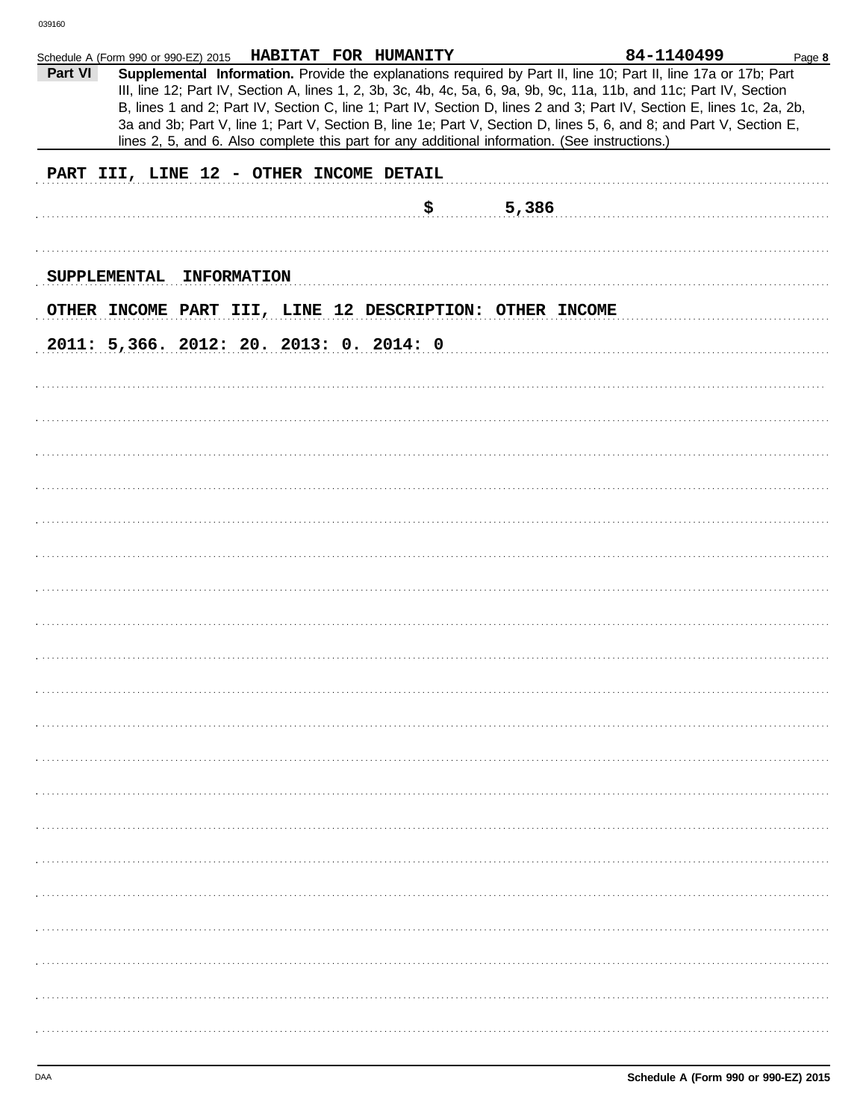|                     | HABITAT FOR HUMANITY<br>Schedule A (Form 990 or 990-EZ) 2015                                                                                                                                                                                                                                                                                                                                                                                                                                                                                                                               | 84-1140499<br>Page 8 |
|---------------------|--------------------------------------------------------------------------------------------------------------------------------------------------------------------------------------------------------------------------------------------------------------------------------------------------------------------------------------------------------------------------------------------------------------------------------------------------------------------------------------------------------------------------------------------------------------------------------------------|----------------------|
| Part VI             | Supplemental Information. Provide the explanations required by Part II, line 10; Part II, line 17a or 17b; Part<br>III, line 12; Part IV, Section A, lines 1, 2, 3b, 3c, 4b, 4c, 5a, 6, 9a, 9b, 9c, 11a, 11b, and 11c; Part IV, Section<br>B, lines 1 and 2; Part IV, Section C, line 1; Part IV, Section D, lines 2 and 3; Part IV, Section E, lines 1c, 2a, 2b,<br>3a and 3b; Part V, line 1; Part V, Section B, line 1e; Part V, Section D, lines 5, 6, and 8; and Part V, Section E,<br>lines 2, 5, and 6. Also complete this part for any additional information. (See instructions.) |                      |
|                     | PART III, LINE 12 - OTHER INCOME DETAIL                                                                                                                                                                                                                                                                                                                                                                                                                                                                                                                                                    |                      |
|                     |                                                                                                                                                                                                                                                                                                                                                                                                                                                                                                                                                                                            |                      |
|                     | \$                                                                                                                                                                                                                                                                                                                                                                                                                                                                                                                                                                                         | 5,386                |
|                     |                                                                                                                                                                                                                                                                                                                                                                                                                                                                                                                                                                                            |                      |
| <b>SUPPLEMENTAL</b> | <b>INFORMATION</b>                                                                                                                                                                                                                                                                                                                                                                                                                                                                                                                                                                         |                      |
|                     | OTHER INCOME PART III, LINE 12 DESCRIPTION: OTHER INCOME                                                                                                                                                                                                                                                                                                                                                                                                                                                                                                                                   |                      |
|                     | 2011: 5,366. 2012: 20. 2013: 0. 2014: 0                                                                                                                                                                                                                                                                                                                                                                                                                                                                                                                                                    |                      |
|                     |                                                                                                                                                                                                                                                                                                                                                                                                                                                                                                                                                                                            |                      |
|                     |                                                                                                                                                                                                                                                                                                                                                                                                                                                                                                                                                                                            |                      |
|                     |                                                                                                                                                                                                                                                                                                                                                                                                                                                                                                                                                                                            |                      |
|                     |                                                                                                                                                                                                                                                                                                                                                                                                                                                                                                                                                                                            |                      |
|                     |                                                                                                                                                                                                                                                                                                                                                                                                                                                                                                                                                                                            |                      |
|                     |                                                                                                                                                                                                                                                                                                                                                                                                                                                                                                                                                                                            |                      |
|                     |                                                                                                                                                                                                                                                                                                                                                                                                                                                                                                                                                                                            |                      |
|                     |                                                                                                                                                                                                                                                                                                                                                                                                                                                                                                                                                                                            |                      |
|                     |                                                                                                                                                                                                                                                                                                                                                                                                                                                                                                                                                                                            |                      |
|                     |                                                                                                                                                                                                                                                                                                                                                                                                                                                                                                                                                                                            |                      |
|                     |                                                                                                                                                                                                                                                                                                                                                                                                                                                                                                                                                                                            |                      |
|                     |                                                                                                                                                                                                                                                                                                                                                                                                                                                                                                                                                                                            |                      |
|                     |                                                                                                                                                                                                                                                                                                                                                                                                                                                                                                                                                                                            |                      |
|                     |                                                                                                                                                                                                                                                                                                                                                                                                                                                                                                                                                                                            |                      |
|                     |                                                                                                                                                                                                                                                                                                                                                                                                                                                                                                                                                                                            |                      |
|                     |                                                                                                                                                                                                                                                                                                                                                                                                                                                                                                                                                                                            |                      |
|                     |                                                                                                                                                                                                                                                                                                                                                                                                                                                                                                                                                                                            |                      |
|                     |                                                                                                                                                                                                                                                                                                                                                                                                                                                                                                                                                                                            |                      |
|                     |                                                                                                                                                                                                                                                                                                                                                                                                                                                                                                                                                                                            |                      |
|                     |                                                                                                                                                                                                                                                                                                                                                                                                                                                                                                                                                                                            |                      |
|                     |                                                                                                                                                                                                                                                                                                                                                                                                                                                                                                                                                                                            |                      |
|                     |                                                                                                                                                                                                                                                                                                                                                                                                                                                                                                                                                                                            |                      |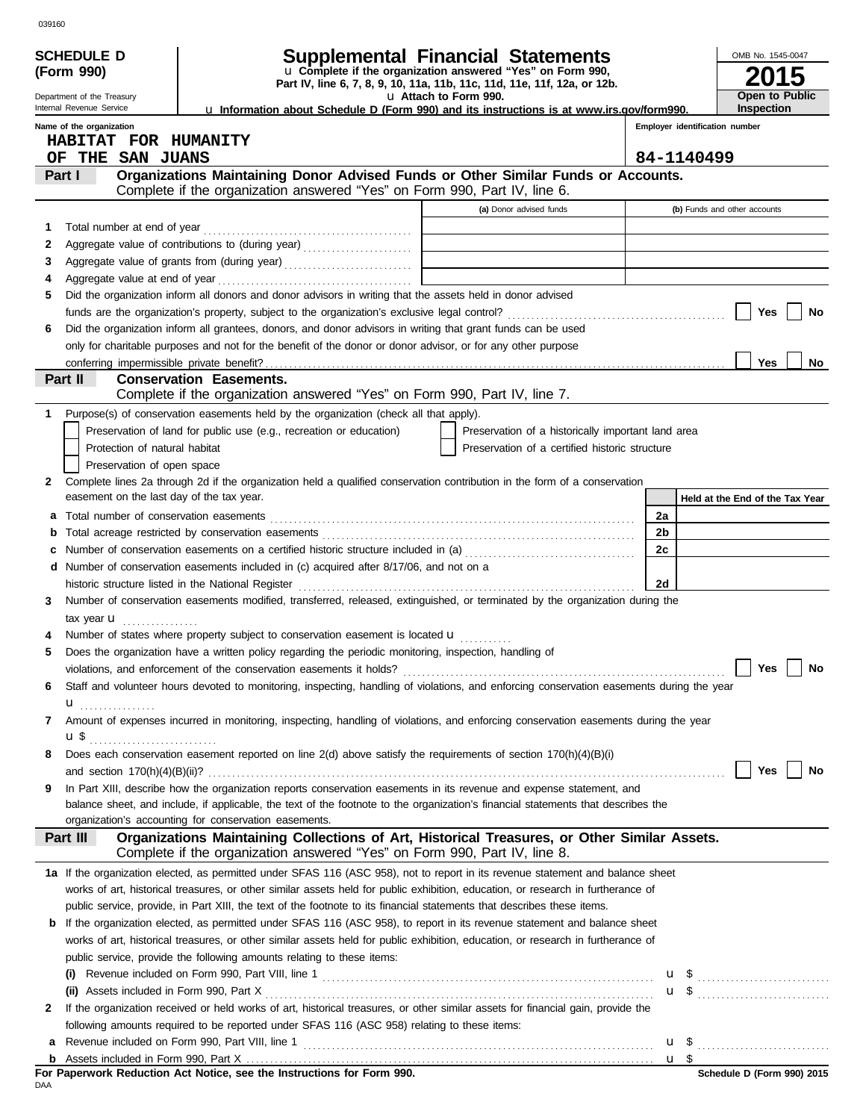|    | <b>SCHEDULE D</b>                         |                                                                                                                                                                           | Supplemental Financial Statements                                                                    |                |                | OMB No. 1545-0047                                            |
|----|-------------------------------------------|---------------------------------------------------------------------------------------------------------------------------------------------------------------------------|------------------------------------------------------------------------------------------------------|----------------|----------------|--------------------------------------------------------------|
|    | (Form 990)                                |                                                                                                                                                                           | u Complete if the organization answered "Yes" on Form 990,                                           |                |                |                                                              |
|    | Department of the Treasury                |                                                                                                                                                                           | Part IV, line 6, 7, 8, 9, 10, 11a, 11b, 11c, 11d, 11e, 11f, 12a, or 12b.<br>u Attach to Form 990.    |                | Open to Public |                                                              |
|    | Internal Revenue Service                  | <b>u</b> Information about Schedule D (Form 990) and its instructions is at www.irs.gov/form990.                                                                          |                                                                                                      |                |                | <b>Inspection</b>                                            |
|    | Name of the organization                  |                                                                                                                                                                           |                                                                                                      |                |                | Employer identification number                               |
|    | HABITAT FOR HUMANITY                      |                                                                                                                                                                           |                                                                                                      |                |                |                                                              |
| OF | THE SAN JUANS<br>Part I                   |                                                                                                                                                                           |                                                                                                      |                | 84-1140499     |                                                              |
|    |                                           | Organizations Maintaining Donor Advised Funds or Other Similar Funds or Accounts.<br>Complete if the organization answered "Yes" on Form 990, Part IV, line 6.            |                                                                                                      |                |                |                                                              |
|    |                                           |                                                                                                                                                                           | (a) Donor advised funds                                                                              |                |                | (b) Funds and other accounts                                 |
| 1  | Total number at end of year               |                                                                                                                                                                           |                                                                                                      |                |                |                                                              |
| 2  |                                           |                                                                                                                                                                           |                                                                                                      |                |                |                                                              |
| 3  |                                           |                                                                                                                                                                           |                                                                                                      |                |                |                                                              |
| 4  |                                           |                                                                                                                                                                           |                                                                                                      |                |                |                                                              |
| 5  |                                           | Did the organization inform all donors and donor advisors in writing that the assets held in donor advised                                                                |                                                                                                      |                |                |                                                              |
|    |                                           |                                                                                                                                                                           |                                                                                                      |                |                | Yes<br>No                                                    |
| 6  |                                           | Did the organization inform all grantees, donors, and donor advisors in writing that grant funds can be used                                                              |                                                                                                      |                |                |                                                              |
|    |                                           | only for charitable purposes and not for the benefit of the donor or donor advisor, or for any other purpose                                                              |                                                                                                      |                |                |                                                              |
|    |                                           |                                                                                                                                                                           |                                                                                                      |                |                | <b>Yes</b><br>No                                             |
|    | Part II                                   | <b>Conservation Easements.</b>                                                                                                                                            |                                                                                                      |                |                |                                                              |
|    |                                           | Complete if the organization answered "Yes" on Form 990, Part IV, line 7.                                                                                                 |                                                                                                      |                |                |                                                              |
| 1. |                                           | Purpose(s) of conservation easements held by the organization (check all that apply).<br>Preservation of land for public use (e.g., recreation or education)              |                                                                                                      |                |                |                                                              |
|    | Protection of natural habitat             |                                                                                                                                                                           | Preservation of a historically important land area<br>Preservation of a certified historic structure |                |                |                                                              |
|    | Preservation of open space                |                                                                                                                                                                           |                                                                                                      |                |                |                                                              |
| 2  |                                           | Complete lines 2a through 2d if the organization held a qualified conservation contribution in the form of a conservation                                                 |                                                                                                      |                |                |                                                              |
|    | easement on the last day of the tax year. |                                                                                                                                                                           |                                                                                                      |                |                | Held at the End of the Tax Year                              |
| а  |                                           |                                                                                                                                                                           |                                                                                                      | 2a             |                |                                                              |
| b  |                                           |                                                                                                                                                                           |                                                                                                      | 2 <sub>b</sub> |                |                                                              |
|    |                                           | Number of conservation easements on a certified historic structure included in (a) [[[[[[[[[[[[[[[[[[[[[[[[[]]]]]]]                                                       |                                                                                                      | 2c             |                |                                                              |
|    |                                           | <b>d</b> Number of conservation easements included in (c) acquired after 8/17/06, and not on a                                                                            |                                                                                                      |                |                |                                                              |
|    |                                           | historic structure listed in the National Register                                                                                                                        |                                                                                                      | 2d             |                |                                                              |
| 3  |                                           | Number of conservation easements modified, transferred, released, extinguished, or terminated by the organization during the                                              |                                                                                                      |                |                |                                                              |
|    | tax year <b>u</b>                         |                                                                                                                                                                           |                                                                                                      |                |                |                                                              |
|    |                                           | Number of states where property subject to conservation easement is located u                                                                                             |                                                                                                      |                |                |                                                              |
| 5  |                                           | Does the organization have a written policy regarding the periodic monitoring, inspection, handling of                                                                    |                                                                                                      |                |                |                                                              |
|    |                                           |                                                                                                                                                                           |                                                                                                      |                |                | $\Box$ Yes $\Box$ No                                         |
| 6  |                                           | Staff and volunteer hours devoted to monitoring, inspecting, handling of violations, and enforcing conservation easements during the year                                 |                                                                                                      |                |                |                                                              |
|    | u<br>.                                    |                                                                                                                                                                           |                                                                                                      |                |                |                                                              |
| 7  |                                           | Amount of expenses incurred in monitoring, inspecting, handling of violations, and enforcing conservation easements during the year                                       |                                                                                                      |                |                |                                                              |
|    |                                           | Does each conservation easement reported on line 2(d) above satisfy the requirements of section 170(h)(4)(B)(i)                                                           |                                                                                                      |                |                |                                                              |
| 8  |                                           |                                                                                                                                                                           |                                                                                                      |                |                | Yes<br>No                                                    |
| 9  |                                           | In Part XIII, describe how the organization reports conservation easements in its revenue and expense statement, and                                                      |                                                                                                      |                |                |                                                              |
|    |                                           | balance sheet, and include, if applicable, the text of the footnote to the organization's financial statements that describes the                                         |                                                                                                      |                |                |                                                              |
|    |                                           | organization's accounting for conservation easements.                                                                                                                     |                                                                                                      |                |                |                                                              |
|    | Part III                                  | Organizations Maintaining Collections of Art, Historical Treasures, or Other Similar Assets.<br>Complete if the organization answered "Yes" on Form 990, Part IV, line 8. |                                                                                                      |                |                |                                                              |
|    |                                           | 1a If the organization elected, as permitted under SFAS 116 (ASC 958), not to report in its revenue statement and balance sheet                                           |                                                                                                      |                |                |                                                              |
|    |                                           | works of art, historical treasures, or other similar assets held for public exhibition, education, or research in furtherance of                                          |                                                                                                      |                |                |                                                              |
|    |                                           | public service, provide, in Part XIII, the text of the footnote to its financial statements that describes these items.                                                   |                                                                                                      |                |                |                                                              |
|    |                                           | <b>b</b> If the organization elected, as permitted under SFAS 116 (ASC 958), to report in its revenue statement and balance sheet                                         |                                                                                                      |                |                |                                                              |
|    |                                           | works of art, historical treasures, or other similar assets held for public exhibition, education, or research in furtherance of                                          |                                                                                                      |                |                |                                                              |
|    |                                           | public service, provide the following amounts relating to these items:                                                                                                    |                                                                                                      |                |                |                                                              |
|    |                                           | Revenue included on Form 990, Part VIII, line 1 [2010] [2010] [2010] [2010] [2010] [2010] [2010] [2010] [2010                                                             |                                                                                                      |                |                | $\mathbf{u}$ \$                                              |
|    |                                           |                                                                                                                                                                           |                                                                                                      |                |                | $\mathbf{u}$ \$ $\ldots$ $\ldots$ $\ldots$ $\ldots$ $\ldots$ |
| 2  |                                           | If the organization received or held works of art, historical treasures, or other similar assets for financial gain, provide the                                          |                                                                                                      |                |                |                                                              |
|    |                                           | following amounts required to be reported under SFAS 116 (ASC 958) relating to these items:                                                                               |                                                                                                      |                |                |                                                              |
| a  |                                           |                                                                                                                                                                           |                                                                                                      |                | u <sub>s</sub> |                                                              |
|    |                                           | For Paperwork Reduction Act Notice, see the Instructions for Form 990.                                                                                                    |                                                                                                      |                |                | Schedule D (Form 990) 2015                                   |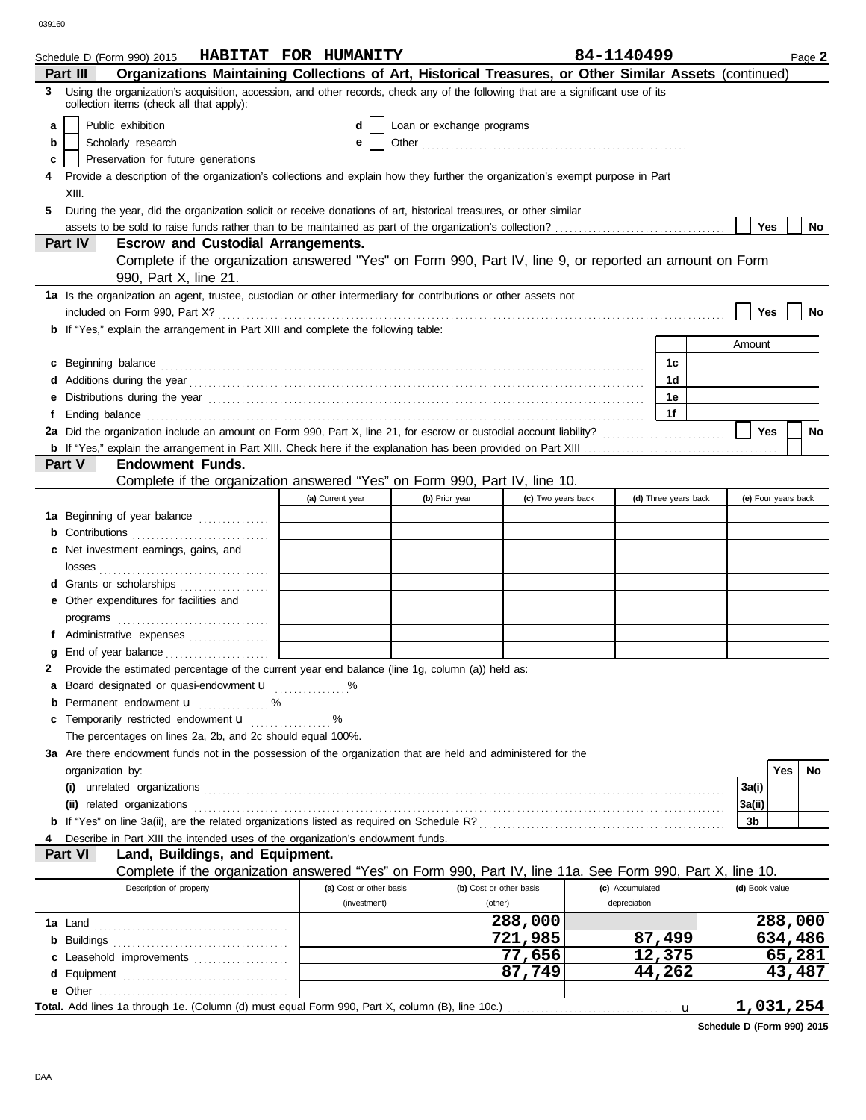|   | Schedule D (Form 990) 2015                                                                                                                                                                                                           | HABITAT FOR HUMANITY    |                           |                         | 84-1140499           |   |                | Page 2              |
|---|--------------------------------------------------------------------------------------------------------------------------------------------------------------------------------------------------------------------------------------|-------------------------|---------------------------|-------------------------|----------------------|---|----------------|---------------------|
|   | Organizations Maintaining Collections of Art, Historical Treasures, or Other Similar Assets (continued)<br>Part III                                                                                                                  |                         |                           |                         |                      |   |                |                     |
| 3 | Using the organization's acquisition, accession, and other records, check any of the following that are a significant use of its<br>collection items (check all that apply):                                                         |                         |                           |                         |                      |   |                |                     |
| a | Public exhibition                                                                                                                                                                                                                    | d                       | Loan or exchange programs |                         |                      |   |                |                     |
| b | Scholarly research                                                                                                                                                                                                                   | е                       |                           |                         |                      |   |                |                     |
| c | Preservation for future generations                                                                                                                                                                                                  |                         |                           |                         |                      |   |                |                     |
| 4 | Provide a description of the organization's collections and explain how they further the organization's exempt purpose in Part                                                                                                       |                         |                           |                         |                      |   |                |                     |
|   | XIII.                                                                                                                                                                                                                                |                         |                           |                         |                      |   |                |                     |
| 5 | During the year, did the organization solicit or receive donations of art, historical treasures, or other similar                                                                                                                    |                         |                           |                         |                      |   |                |                     |
|   |                                                                                                                                                                                                                                      |                         |                           |                         |                      |   | Yes            | No                  |
|   | Part IV<br><b>Escrow and Custodial Arrangements.</b>                                                                                                                                                                                 |                         |                           |                         |                      |   |                |                     |
|   | Complete if the organization answered "Yes" on Form 990, Part IV, line 9, or reported an amount on Form                                                                                                                              |                         |                           |                         |                      |   |                |                     |
|   | 990, Part X, line 21.                                                                                                                                                                                                                |                         |                           |                         |                      |   |                |                     |
|   | 1a Is the organization an agent, trustee, custodian or other intermediary for contributions or other assets not                                                                                                                      |                         |                           |                         |                      |   |                |                     |
|   |                                                                                                                                                                                                                                      |                         |                           |                         |                      |   | Yes            | No                  |
|   | <b>b</b> If "Yes," explain the arrangement in Part XIII and complete the following table:                                                                                                                                            |                         |                           |                         |                      |   |                |                     |
|   |                                                                                                                                                                                                                                      |                         |                           |                         |                      |   | Amount         |                     |
|   | c Beginning balance <b>contract the contract of the contract of the contract of the contract of the contract of the contract of the contract of the contract of the contract of the contract of the contract of the contract of </b> |                         |                           |                         | 1c                   |   |                |                     |
|   |                                                                                                                                                                                                                                      |                         |                           |                         | 1d                   |   |                |                     |
|   |                                                                                                                                                                                                                                      |                         |                           |                         | 1е                   |   |                |                     |
|   |                                                                                                                                                                                                                                      |                         |                           |                         | 1f                   |   |                |                     |
|   |                                                                                                                                                                                                                                      |                         |                           |                         |                      |   | Yes            | <b>No</b>           |
|   |                                                                                                                                                                                                                                      |                         |                           |                         |                      |   |                |                     |
|   | Part V<br><b>Endowment Funds.</b>                                                                                                                                                                                                    |                         |                           |                         |                      |   |                |                     |
|   | Complete if the organization answered "Yes" on Form 990, Part IV, line 10.                                                                                                                                                           |                         |                           |                         |                      |   |                |                     |
|   |                                                                                                                                                                                                                                      | (a) Current year        | (b) Prior year            | (c) Two years back      | (d) Three years back |   |                | (e) Four years back |
|   | 1a Beginning of year balance                                                                                                                                                                                                         |                         |                           |                         |                      |   |                |                     |
|   |                                                                                                                                                                                                                                      |                         |                           |                         |                      |   |                |                     |
|   | c Net investment earnings, gains, and                                                                                                                                                                                                |                         |                           |                         |                      |   |                |                     |
|   |                                                                                                                                                                                                                                      |                         |                           |                         |                      |   |                |                     |
|   | d Grants or scholarships                                                                                                                                                                                                             |                         |                           |                         |                      |   |                |                     |
|   | e Other expenditures for facilities and                                                                                                                                                                                              |                         |                           |                         |                      |   |                |                     |
|   |                                                                                                                                                                                                                                      |                         |                           |                         |                      |   |                |                     |
|   | f Administrative expenses                                                                                                                                                                                                            |                         |                           |                         |                      |   |                |                     |
| g |                                                                                                                                                                                                                                      |                         |                           |                         |                      |   |                |                     |
|   | 2 Provide the estimated percentage of the current year end balance (line 1g, column (a)) held as:                                                                                                                                    |                         |                           |                         |                      |   |                |                     |
|   | a Board designated or quasi-endowment <b>u</b> %                                                                                                                                                                                     |                         |                           |                         |                      |   |                |                     |
|   | Permanent endowment <b>u</b> <i>minimum</i> %                                                                                                                                                                                        |                         |                           |                         |                      |   |                |                     |
|   | c Temporarily restricted endowment <b>u</b> %                                                                                                                                                                                        |                         |                           |                         |                      |   |                |                     |
|   | The percentages on lines 2a, 2b, and 2c should equal 100%.                                                                                                                                                                           |                         |                           |                         |                      |   |                |                     |
|   | 3a Are there endowment funds not in the possession of the organization that are held and administered for the                                                                                                                        |                         |                           |                         |                      |   |                |                     |
|   | organization by:                                                                                                                                                                                                                     |                         |                           |                         |                      |   |                | Yes<br>No           |
|   |                                                                                                                                                                                                                                      |                         |                           |                         |                      |   | 3a(i)          |                     |
|   | (ii) related organizations                                                                                                                                                                                                           |                         |                           |                         |                      |   | 3a(ii)         |                     |
|   |                                                                                                                                                                                                                                      |                         |                           |                         |                      |   | 3b             |                     |
| 4 | Describe in Part XIII the intended uses of the organization's endowment funds.<br>Part VI<br>Land, Buildings, and Equipment.                                                                                                         |                         |                           |                         |                      |   |                |                     |
|   | Complete if the organization answered "Yes" on Form 990, Part IV, line 11a. See Form 990, Part X, line 10.                                                                                                                           |                         |                           |                         |                      |   |                |                     |
|   | Description of property                                                                                                                                                                                                              | (a) Cost or other basis |                           | (b) Cost or other basis | (c) Accumulated      |   | (d) Book value |                     |
|   |                                                                                                                                                                                                                                      | (investment)            |                           | (other)                 | depreciation         |   |                |                     |
|   |                                                                                                                                                                                                                                      |                         |                           | 288,000                 |                      |   |                | 288,000             |
|   |                                                                                                                                                                                                                                      |                         |                           | 721,985                 | 87,499               |   |                | 634,486             |
|   | c Leasehold improvements                                                                                                                                                                                                             |                         |                           | 77,656                  | 12,375               |   |                | 65,281              |
|   |                                                                                                                                                                                                                                      |                         |                           | 87,749                  | 44,262               |   |                | 43,487              |
|   |                                                                                                                                                                                                                                      |                         |                           |                         |                      |   |                |                     |
|   |                                                                                                                                                                                                                                      |                         |                           |                         |                      | u |                | 1,031,254           |
|   |                                                                                                                                                                                                                                      |                         |                           |                         |                      |   |                |                     |

**Schedule D (Form 990) 2015**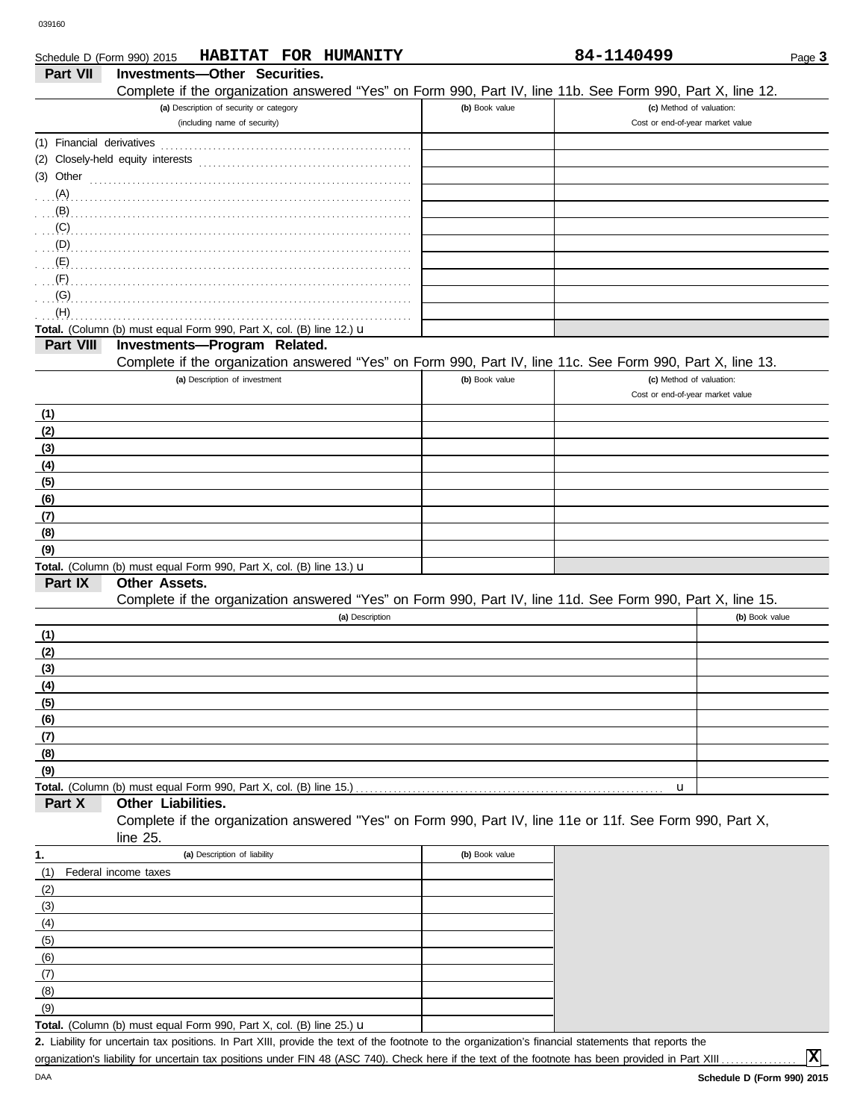|                           | HABITAT FOR HUMANITY<br>Schedule D (Form 990) 2015                                                                      |                | 84-1140499                       | Page 3         |
|---------------------------|-------------------------------------------------------------------------------------------------------------------------|----------------|----------------------------------|----------------|
| <b>Part VII</b>           | Investments-Other Securities.                                                                                           |                |                                  |                |
|                           | Complete if the organization answered "Yes" on Form 990, Part IV, line 11b. See Form 990, Part X, line 12.              |                |                                  |                |
|                           | (a) Description of security or category                                                                                 | (b) Book value | (c) Method of valuation:         |                |
|                           | (including name of security)                                                                                            |                | Cost or end-of-year market value |                |
| (1) Financial derivatives |                                                                                                                         |                |                                  |                |
|                           | (2) Closely-held equity interests                                                                                       |                |                                  |                |
|                           | $(3)$ Other $\ldots$ $\ldots$ $\ldots$ $\ldots$ $\ldots$ $\ldots$ $\ldots$ $\ldots$ $\ldots$ $\ldots$ $\ldots$ $\ldots$ |                |                                  |                |
| (A)                       |                                                                                                                         |                |                                  |                |
| $\overline{B}$ .          |                                                                                                                         |                |                                  |                |
| $\ldots$ (C)              |                                                                                                                         |                |                                  |                |
| (D)                       |                                                                                                                         |                |                                  |                |
| $\overline{E}$ (E)        |                                                                                                                         |                |                                  |                |
| (F)                       |                                                                                                                         |                |                                  |                |
| (G)                       |                                                                                                                         |                |                                  |                |
| (H)                       |                                                                                                                         |                |                                  |                |
|                           | Total. (Column (b) must equal Form 990, Part X, col. (B) line 12.) u                                                    |                |                                  |                |
| Part VIII                 | Investments-Program Related.                                                                                            |                |                                  |                |
|                           | Complete if the organization answered "Yes" on Form 990, Part IV, line 11c. See Form 990, Part X, line 13.              |                |                                  |                |
|                           | (a) Description of investment                                                                                           | (b) Book value | (c) Method of valuation:         |                |
|                           |                                                                                                                         |                | Cost or end-of-year market value |                |
| (1)                       |                                                                                                                         |                |                                  |                |
| (2)                       |                                                                                                                         |                |                                  |                |
| (3)                       |                                                                                                                         |                |                                  |                |
| (4)                       |                                                                                                                         |                |                                  |                |
| (5)                       |                                                                                                                         |                |                                  |                |
| (6)                       |                                                                                                                         |                |                                  |                |
| (7)                       |                                                                                                                         |                |                                  |                |
| (8)                       |                                                                                                                         |                |                                  |                |
| (9)                       |                                                                                                                         |                |                                  |                |
|                           | Total. (Column (b) must equal Form 990, Part X, col. (B) line 13.) u                                                    |                |                                  |                |
| Part IX                   | Other Assets.                                                                                                           |                |                                  |                |
|                           | Complete if the organization answered "Yes" on Form 990, Part IV, line 11d. See Form 990, Part X, line 15.              |                |                                  |                |
|                           | (a) Description                                                                                                         |                |                                  | (b) Book value |
| (1)                       |                                                                                                                         |                |                                  |                |
| (2)                       |                                                                                                                         |                |                                  |                |
| (3)                       |                                                                                                                         |                |                                  |                |
| <u>(4)</u>                |                                                                                                                         |                |                                  |                |
| (5)                       |                                                                                                                         |                |                                  |                |
| (6)                       |                                                                                                                         |                |                                  |                |
| (7)                       |                                                                                                                         |                |                                  |                |
| (8)                       |                                                                                                                         |                |                                  |                |
| (9)                       |                                                                                                                         |                |                                  |                |
|                           | Total. (Column (b) must equal Form 990, Part X, col. (B) line 15.)                                                      |                | u                                |                |
| Part X                    | Other Liabilities.                                                                                                      |                |                                  |                |
|                           | Complete if the organization answered "Yes" on Form 990, Part IV, line 11e or 11f. See Form 990, Part X,                |                |                                  |                |
|                           | line 25.                                                                                                                |                |                                  |                |
| 1.                        | (a) Description of liability                                                                                            | (b) Book value |                                  |                |
| (1)                       | Federal income taxes                                                                                                    |                |                                  |                |
| (2)                       |                                                                                                                         |                |                                  |                |
| (3)                       |                                                                                                                         |                |                                  |                |
| (4)                       |                                                                                                                         |                |                                  |                |
| (5)                       |                                                                                                                         |                |                                  |                |
| (6)                       |                                                                                                                         |                |                                  |                |
| (7)                       |                                                                                                                         |                |                                  |                |

Liability for uncertain tax positions. In Part XIII, provide the text of the footnote to the organization's financial statements that reports the **2.** organization's liability for uncertain tax positions under FIN 48 (ASC 740). Check here if the text of the footnote has been provided in Part XIII .

(8)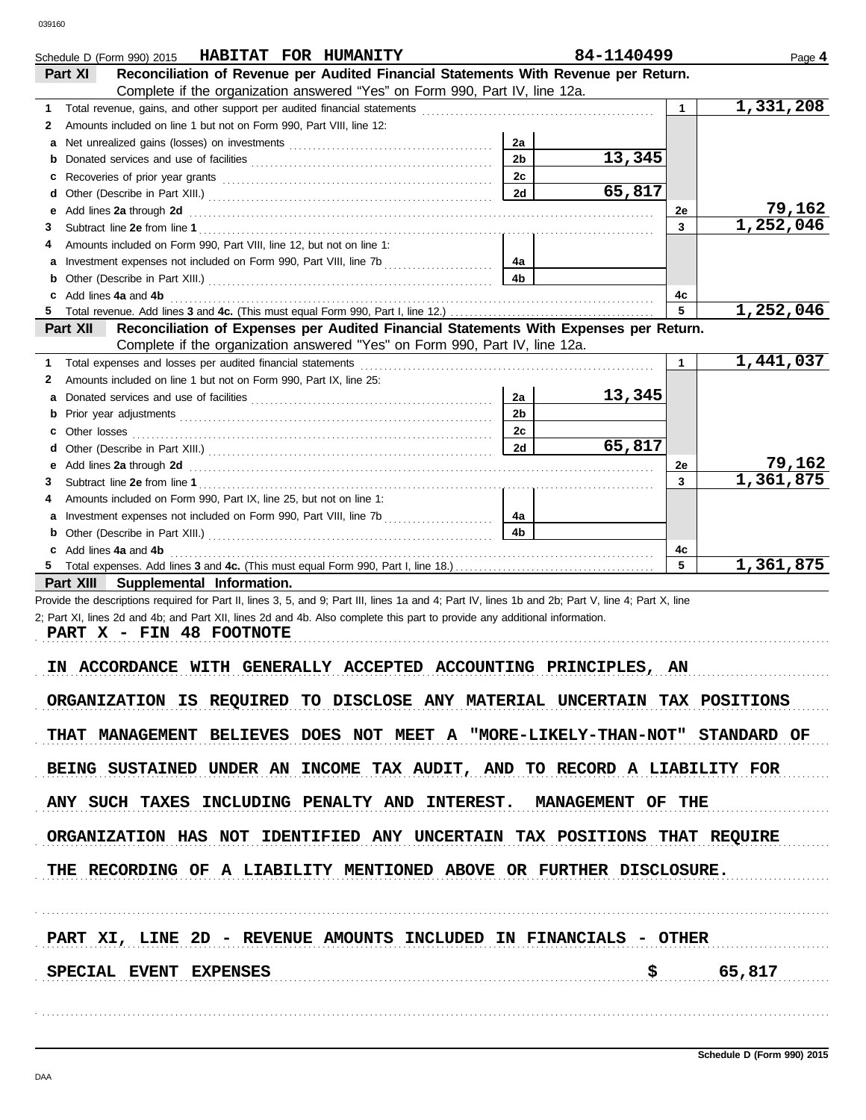| Schedule D (Form 990) 2015 HABITAT FOR HUMANITY                                                                                                                                                                                    |                | 84-1140499 |              | Page 4              |
|------------------------------------------------------------------------------------------------------------------------------------------------------------------------------------------------------------------------------------|----------------|------------|--------------|---------------------|
| Reconciliation of Revenue per Audited Financial Statements With Revenue per Return.<br>Part XI                                                                                                                                     |                |            |              |                     |
| Complete if the organization answered "Yes" on Form 990, Part IV, line 12a.                                                                                                                                                        |                |            |              |                     |
| 1.                                                                                                                                                                                                                                 |                |            | $\mathbf 1$  | 1,331,208           |
| Amounts included on line 1 but not on Form 990, Part VIII, line 12:<br>2                                                                                                                                                           |                |            |              |                     |
| a                                                                                                                                                                                                                                  | 2a             |            |              |                     |
| b                                                                                                                                                                                                                                  | 2 <sub>b</sub> | 13,345     |              |                     |
| c                                                                                                                                                                                                                                  | 2c             |            |              |                     |
| d                                                                                                                                                                                                                                  | 2d             | 65,817     |              |                     |
| Add lines 2a through 2d [11] Additional Property and Table 2014 Manuscript Contract to the Additional Property Additional Property Additional Property Additional Property Additional Property Additional Property Additional<br>е |                |            | 2e           | 79,162<br>1,252,046 |
| 3                                                                                                                                                                                                                                  |                |            | 3            |                     |
| Amounts included on Form 990, Part VIII, line 12, but not on line 1:<br>4                                                                                                                                                          | 4a             |            |              |                     |
|                                                                                                                                                                                                                                    | 4b             |            |              |                     |
| b<br>c Add lines 4a and 4b                                                                                                                                                                                                         |                |            | 4c           |                     |
| 5.                                                                                                                                                                                                                                 |                |            | 5            | 1,252,046           |
| Reconciliation of Expenses per Audited Financial Statements With Expenses per Return.<br>Part XII                                                                                                                                  |                |            |              |                     |
| Complete if the organization answered "Yes" on Form 990, Part IV, line 12a.                                                                                                                                                        |                |            |              |                     |
| 1.                                                                                                                                                                                                                                 |                |            | 1            | 1,441,037           |
| Amounts included on line 1 but not on Form 990, Part IX, line 25:<br>2                                                                                                                                                             |                |            |              |                     |
| a                                                                                                                                                                                                                                  | 2a             | 13,345     |              |                     |
|                                                                                                                                                                                                                                    | 2 <sub>b</sub> |            |              |                     |
|                                                                                                                                                                                                                                    | 2c             |            |              |                     |
| d                                                                                                                                                                                                                                  | 2d             | 65,817     |              |                     |
| Add lines 2a through 2d [11] Add [12] Add [12] Add lines 2a through 2d [12] Add lines 2a through 2d [12] Add [12] Add [12] Add [12] Add [12] Add [12] Add [12] Add [12] Add [12] Add [12] Add [12] Add [12] Add [12] Add [12]<br>е |                |            | 2e           | 79,162              |
| 3                                                                                                                                                                                                                                  |                |            | $\mathbf{3}$ | 1,361,875           |
| Amounts included on Form 990, Part IX, line 25, but not on line 1:<br>4                                                                                                                                                            |                |            |              |                     |
|                                                                                                                                                                                                                                    | 4a             |            |              |                     |
| b                                                                                                                                                                                                                                  | 4b             |            |              |                     |
| c Add lines 4a and 4b                                                                                                                                                                                                              |                |            | 4c           |                     |
| 5.                                                                                                                                                                                                                                 |                |            | 5            | 1,361,875           |
| Part XIII Supplemental Information.                                                                                                                                                                                                |                |            |              |                     |
| Provide the descriptions required for Part II, lines 3, 5, and 9; Part III, lines 1a and 4; Part IV, lines 1b and 2b; Part V, line 4; Part X, line                                                                                 |                |            |              |                     |
| 2; Part XI, lines 2d and 4b; and Part XII, lines 2d and 4b. Also complete this part to provide any additional information.                                                                                                         |                |            |              |                     |
| PART X - FIN 48 FOOTNOTE                                                                                                                                                                                                           |                |            |              |                     |
|                                                                                                                                                                                                                                    |                |            |              |                     |
| IN ACCORDANCE WITH GENERALLY ACCEPTED ACCOUNTING PRINCIPLES, AN                                                                                                                                                                    |                |            |              |                     |
| ORGANIZATION IS REQUIRED TO DISCLOSE ANY MATERIAL UNCERTAIN TAX POSITIONS                                                                                                                                                          |                |            |              |                     |
|                                                                                                                                                                                                                                    |                |            |              |                     |
| THAT MANAGEMENT BELIEVES DOES NOT MEET A "MORE-LIKELY-THAN-NOT" STANDARD OF                                                                                                                                                        |                |            |              |                     |
|                                                                                                                                                                                                                                    |                |            |              |                     |
| BEING SUSTAINED UNDER AN INCOME TAX AUDIT, AND TO RECORD A LIABILITY FOR                                                                                                                                                           |                |            |              |                     |
|                                                                                                                                                                                                                                    |                |            |              |                     |
| ANY SUCH TAXES INCLUDING PENALTY AND INTEREST. MANAGEMENT OF THE                                                                                                                                                                   |                |            |              |                     |
|                                                                                                                                                                                                                                    |                |            |              |                     |
| ORGANIZATION HAS NOT IDENTIFIED ANY UNCERTAIN TAX POSITIONS THAT REQUIRE                                                                                                                                                           |                |            |              |                     |
|                                                                                                                                                                                                                                    |                |            |              |                     |
| THE RECORDING OF A LIABILITY MENTIONED ABOVE OR FURTHER DISCLOSURE.                                                                                                                                                                |                |            |              |                     |
|                                                                                                                                                                                                                                    |                |            |              |                     |
|                                                                                                                                                                                                                                    |                |            |              |                     |
|                                                                                                                                                                                                                                    |                |            |              |                     |
| PART XI, LINE 2D - REVENUE AMOUNTS INCLUDED IN FINANCIALS - OTHER                                                                                                                                                                  |                |            |              |                     |
|                                                                                                                                                                                                                                    |                |            |              |                     |
| SPECIAL EVENT EXPENSES                                                                                                                                                                                                             |                |            |              | \$ 65,817           |
|                                                                                                                                                                                                                                    |                |            |              |                     |
|                                                                                                                                                                                                                                    |                |            |              |                     |
|                                                                                                                                                                                                                                    |                |            |              |                     |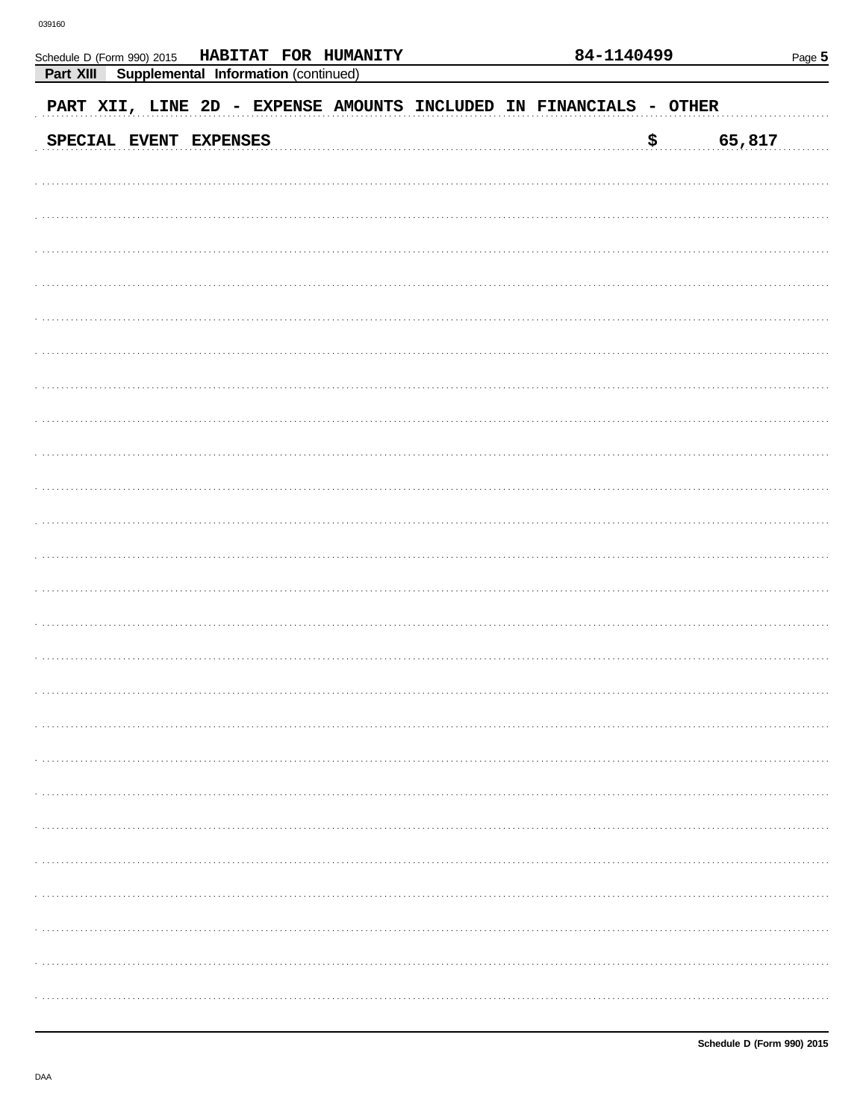Schedule D (Form 990) 2015

| Part XIII Supplemental Information (continued)                     |      |        |
|--------------------------------------------------------------------|------|--------|
| PART XII, LINE 2D - EXPENSE AMOUNTS INCLUDED IN FINANCIALS - OTHER |      |        |
| SPECIAL EVENT EXPENSES                                             | . \$ | 65,817 |
|                                                                    |      |        |
|                                                                    |      |        |
|                                                                    |      |        |
|                                                                    |      |        |
|                                                                    |      |        |
|                                                                    |      |        |
|                                                                    |      |        |
|                                                                    |      |        |
|                                                                    |      |        |
|                                                                    |      |        |
|                                                                    |      |        |
|                                                                    |      |        |
|                                                                    |      |        |
|                                                                    |      |        |
|                                                                    |      |        |
|                                                                    |      |        |
|                                                                    |      |        |
|                                                                    |      |        |
|                                                                    |      |        |
|                                                                    |      |        |
|                                                                    |      |        |
|                                                                    |      |        |
|                                                                    |      |        |
|                                                                    |      |        |
|                                                                    |      |        |

HABITAT FOR HUMANITY

84-1140499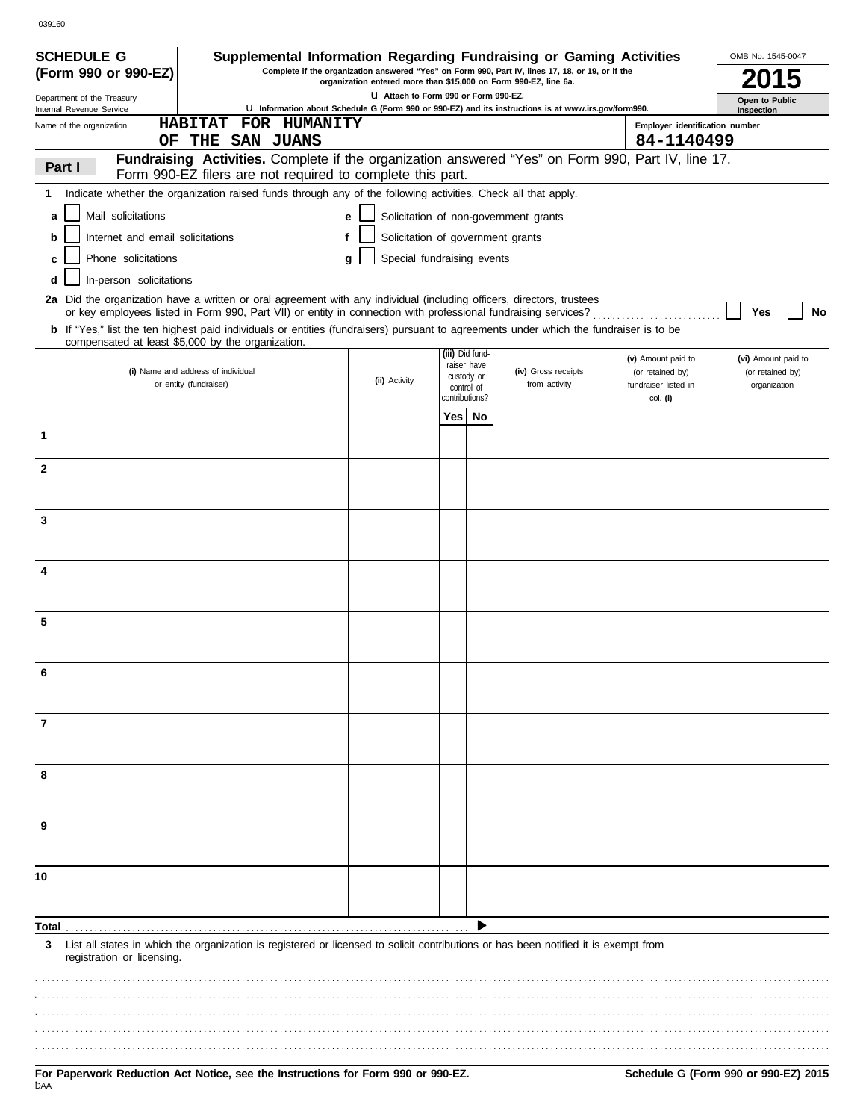| <b>SCHEDULE G</b>                                      | Supplemental Information Regarding Fundraising or Gaming Activities                                                                                                                                                                     |                                        |                              |                           |                                                                                                     |                                        | OMB No. 1545-0047            |
|--------------------------------------------------------|-----------------------------------------------------------------------------------------------------------------------------------------------------------------------------------------------------------------------------------------|----------------------------------------|------------------------------|---------------------------|-----------------------------------------------------------------------------------------------------|----------------------------------------|------------------------------|
| (Form 990 or 990-EZ)                                   | Complete if the organization answered "Yes" on Form 990, Part IV, lines 17, 18, or 19, or if the                                                                                                                                        |                                        |                              |                           |                                                                                                     |                                        |                              |
| Department of the Treasury<br>Internal Revenue Service |                                                                                                                                                                                                                                         | LI Attach to Form 990 or Form 990-EZ.  |                              |                           | U Information about Schedule G (Form 990 or 990-EZ) and its instructions is at www.irs.gov/form990. |                                        | Open to Public<br>Inspection |
| Name of the organization                               | <b>HABITAT</b><br>FOR HUMANITY                                                                                                                                                                                                          |                                        |                              |                           |                                                                                                     | Employer identification number         |                              |
| OF.                                                    | THE SAN JUANS                                                                                                                                                                                                                           |                                        |                              |                           |                                                                                                     | 84-1140499                             |                              |
| Part I                                                 | Fundraising Activities. Complete if the organization answered "Yes" on Form 990, Part IV, line 17.                                                                                                                                      |                                        |                              |                           |                                                                                                     |                                        |                              |
| 1                                                      | Form 990-EZ filers are not required to complete this part.<br>Indicate whether the organization raised funds through any of the following activities. Check all that apply.                                                             |                                        |                              |                           |                                                                                                     |                                        |                              |
|                                                        |                                                                                                                                                                                                                                         |                                        |                              |                           |                                                                                                     |                                        |                              |
| Mail solicitations<br>a                                |                                                                                                                                                                                                                                         | е                                      |                              |                           | Solicitation of non-government grants                                                               |                                        |                              |
| Internet and email solicitations<br>b                  |                                                                                                                                                                                                                                         | Solicitation of government grants<br>f |                              |                           |                                                                                                     |                                        |                              |
| Phone solicitations<br>c                               |                                                                                                                                                                                                                                         | Special fundraising events<br>a        |                              |                           |                                                                                                     |                                        |                              |
| In-person solicitations<br>d                           |                                                                                                                                                                                                                                         |                                        |                              |                           |                                                                                                     |                                        |                              |
|                                                        | 2a Did the organization have a written or oral agreement with any individual (including officers, directors, trustees<br>or key employees listed in Form 990, Part VII) or entity in connection with professional fundraising services? |                                        |                              |                           |                                                                                                     |                                        | Yes<br>No                    |
|                                                        | b If "Yes," list the ten highest paid individuals or entities (fundraisers) pursuant to agreements under which the fundraiser is to be                                                                                                  |                                        |                              |                           |                                                                                                     |                                        |                              |
|                                                        | compensated at least \$5,000 by the organization.                                                                                                                                                                                       |                                        |                              | (iii) Did fund-           |                                                                                                     |                                        | (vi) Amount paid to          |
|                                                        | (i) Name and address of individual                                                                                                                                                                                                      |                                        |                              | raiser have<br>custody or | (iv) Gross receipts                                                                                 | (v) Amount paid to<br>(or retained by) | (or retained by)             |
|                                                        | or entity (fundraiser)                                                                                                                                                                                                                  | (ii) Activity                          | control of<br>contributions? |                           | from activity                                                                                       | fundraiser listed in<br>col. (i)       | organization                 |
|                                                        |                                                                                                                                                                                                                                         |                                        | Yes l                        | No                        |                                                                                                     |                                        |                              |
| 1                                                      |                                                                                                                                                                                                                                         |                                        |                              |                           |                                                                                                     |                                        |                              |
|                                                        |                                                                                                                                                                                                                                         |                                        |                              |                           |                                                                                                     |                                        |                              |
| $\mathbf{2}$                                           |                                                                                                                                                                                                                                         |                                        |                              |                           |                                                                                                     |                                        |                              |
|                                                        |                                                                                                                                                                                                                                         |                                        |                              |                           |                                                                                                     |                                        |                              |
| 3                                                      |                                                                                                                                                                                                                                         |                                        |                              |                           |                                                                                                     |                                        |                              |
|                                                        |                                                                                                                                                                                                                                         |                                        |                              |                           |                                                                                                     |                                        |                              |
|                                                        |                                                                                                                                                                                                                                         |                                        |                              |                           |                                                                                                     |                                        |                              |
| 4                                                      |                                                                                                                                                                                                                                         |                                        |                              |                           |                                                                                                     |                                        |                              |
|                                                        |                                                                                                                                                                                                                                         |                                        |                              |                           |                                                                                                     |                                        |                              |
| 5                                                      |                                                                                                                                                                                                                                         |                                        |                              |                           |                                                                                                     |                                        |                              |
|                                                        |                                                                                                                                                                                                                                         |                                        |                              |                           |                                                                                                     |                                        |                              |
|                                                        |                                                                                                                                                                                                                                         |                                        |                              |                           |                                                                                                     |                                        |                              |
| 6                                                      |                                                                                                                                                                                                                                         |                                        |                              |                           |                                                                                                     |                                        |                              |
|                                                        |                                                                                                                                                                                                                                         |                                        |                              |                           |                                                                                                     |                                        |                              |
| 7                                                      |                                                                                                                                                                                                                                         |                                        |                              |                           |                                                                                                     |                                        |                              |
|                                                        |                                                                                                                                                                                                                                         |                                        |                              |                           |                                                                                                     |                                        |                              |
|                                                        |                                                                                                                                                                                                                                         |                                        |                              |                           |                                                                                                     |                                        |                              |
| 8                                                      |                                                                                                                                                                                                                                         |                                        |                              |                           |                                                                                                     |                                        |                              |
|                                                        |                                                                                                                                                                                                                                         |                                        |                              |                           |                                                                                                     |                                        |                              |
| 9                                                      |                                                                                                                                                                                                                                         |                                        |                              |                           |                                                                                                     |                                        |                              |
|                                                        |                                                                                                                                                                                                                                         |                                        |                              |                           |                                                                                                     |                                        |                              |
|                                                        |                                                                                                                                                                                                                                         |                                        |                              |                           |                                                                                                     |                                        |                              |
| 10                                                     |                                                                                                                                                                                                                                         |                                        |                              |                           |                                                                                                     |                                        |                              |
|                                                        |                                                                                                                                                                                                                                         |                                        |                              |                           |                                                                                                     |                                        |                              |
| Total .                                                |                                                                                                                                                                                                                                         |                                        |                              |                           |                                                                                                     |                                        |                              |
| 3                                                      | List all states in which the organization is registered or licensed to solicit contributions or has been notified it is exempt from                                                                                                     |                                        |                              |                           |                                                                                                     |                                        |                              |
| registration or licensing.                             |                                                                                                                                                                                                                                         |                                        |                              |                           |                                                                                                     |                                        |                              |
|                                                        |                                                                                                                                                                                                                                         |                                        |                              |                           |                                                                                                     |                                        |                              |
|                                                        |                                                                                                                                                                                                                                         |                                        |                              |                           |                                                                                                     |                                        |                              |
|                                                        |                                                                                                                                                                                                                                         |                                        |                              |                           |                                                                                                     |                                        |                              |
|                                                        |                                                                                                                                                                                                                                         |                                        |                              |                           |                                                                                                     |                                        |                              |
|                                                        |                                                                                                                                                                                                                                         |                                        |                              |                           |                                                                                                     |                                        |                              |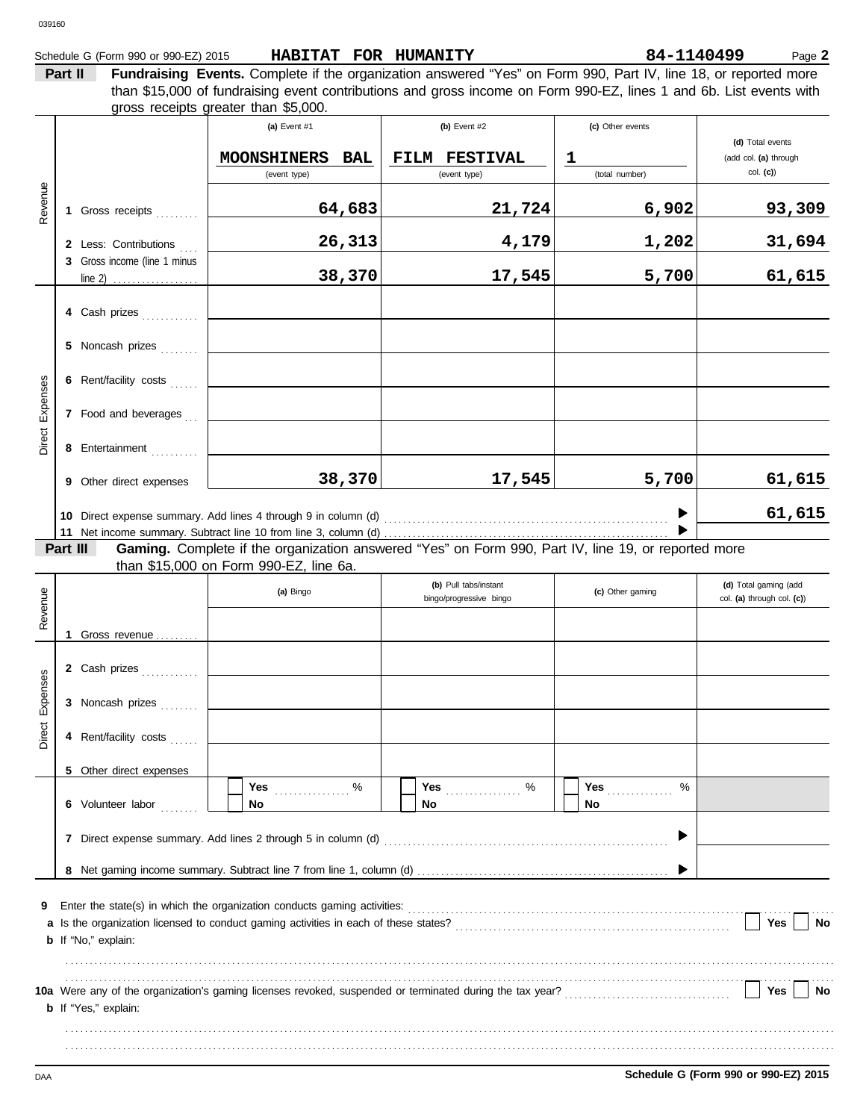| Schedule G (Form 990 or 990-EZ) 2015 | HABITAT FOR HUMANITY | 84-1140499 |
|--------------------------------------|----------------------|------------|
|                                      |                      |            |

84-1140499 Page 2

**Part II Fundraising Events.** Complete if the organization answered "Yes" on Form 990, Part IV, line 18, or reported more than \$15,000 of fundraising event contributions and gross income on Form 990-EZ, lines 1 and 6b. List events with gross receipts greater than \$5,000. Τ **(a)** Event #1 **(b)** Event #2 **(c)** Other events Τ

|          |                                                                                                        |                                                       | $\mathbf{u}_i = \mathbf{v}$                                                                         | $\mathbf{v}$ $\mathbf{v}$ and $\mathbf{v}$       | <b>International Control</b> | (d) Total events                                    |  |
|----------|--------------------------------------------------------------------------------------------------------|-------------------------------------------------------|-----------------------------------------------------------------------------------------------------|--------------------------------------------------|------------------------------|-----------------------------------------------------|--|
|          |                                                                                                        |                                                       | <b>MOONSHINERS</b><br>BAL                                                                           | FILM FESTIVAL                                    | $\mathbf 1$                  | (add col. (a) through                               |  |
|          |                                                                                                        |                                                       | (event type)                                                                                        | (event type)                                     | (total number)               | $col.$ (c))                                         |  |
| Revenue  |                                                                                                        | 1 Gross receipts                                      | 64,683                                                                                              | 21,724                                           | 6,902                        | 93,309                                              |  |
|          |                                                                                                        | 2 Less: Contributions                                 | 26,313                                                                                              | 4,179                                            | 1,202                        | 31,694                                              |  |
|          |                                                                                                        | 3 Gross income (line 1 minus<br>line 2) $\frac{1}{2}$ | 38,370                                                                                              | 17,545                                           | 5,700                        | 61,615                                              |  |
|          |                                                                                                        | 4 Cash prizes                                         |                                                                                                     |                                                  |                              |                                                     |  |
|          |                                                                                                        | 5 Noncash prizes                                      |                                                                                                     |                                                  |                              |                                                     |  |
|          |                                                                                                        | 6 Rent/facility costs                                 |                                                                                                     |                                                  |                              |                                                     |  |
| Expenses |                                                                                                        | 7 Food and beverages                                  |                                                                                                     |                                                  |                              |                                                     |  |
| Direct   |                                                                                                        | 8 Entertainment                                       |                                                                                                     |                                                  |                              |                                                     |  |
|          |                                                                                                        | 9 Other direct expenses                               | 38,370                                                                                              | 17,545                                           | 5,700                        | 61,615                                              |  |
|          |                                                                                                        |                                                       | 10 Direct expense summary. Add lines 4 through 9 in column (d)                                      |                                                  |                              | 61,615                                              |  |
|          | Part III                                                                                               |                                                       | Gaming. Complete if the organization answered "Yes" on Form 990, Part IV, line 19, or reported more |                                                  |                              |                                                     |  |
|          |                                                                                                        |                                                       | than \$15,000 on Form 990-EZ, line 6a.                                                              |                                                  |                              |                                                     |  |
| Revenue  |                                                                                                        |                                                       | (a) Bingo                                                                                           | (b) Pull tabs/instant<br>bingo/progressive bingo | (c) Other gaming             | (d) Total gaming (add<br>col. (a) through col. (c)) |  |
|          |                                                                                                        | 1 Gross revenue                                       |                                                                                                     |                                                  |                              |                                                     |  |
|          |                                                                                                        | 2 Cash prizes                                         |                                                                                                     |                                                  |                              |                                                     |  |
| Expenses |                                                                                                        | 3 Noncash prizes                                      |                                                                                                     |                                                  |                              |                                                     |  |
| Direct   |                                                                                                        | 4 Rent/facility costs                                 |                                                                                                     |                                                  |                              |                                                     |  |
|          |                                                                                                        | 5 Other direct expenses                               |                                                                                                     |                                                  |                              |                                                     |  |
|          |                                                                                                        | 6 Volunteer labor                                     | %<br>Yes<br>de de decem<br>No                                                                       | %<br>Yes<br><u>.</u><br>No                       | %<br><b>Yes</b><br>No        |                                                     |  |
|          |                                                                                                        |                                                       |                                                                                                     |                                                  |                              |                                                     |  |
|          |                                                                                                        |                                                       |                                                                                                     |                                                  |                              |                                                     |  |
| 9<br>a   | Enter the state(s) in which the organization conducts gaming activities:<br><b>b</b> If "No," explain: | Yes<br>No                                             |                                                                                                     |                                                  |                              |                                                     |  |
|          | <b>b</b> If "Yes," explain:                                                                            |                                                       |                                                                                                     |                                                  |                              |                                                     |  |
|          |                                                                                                        |                                                       |                                                                                                     |                                                  |                              |                                                     |  |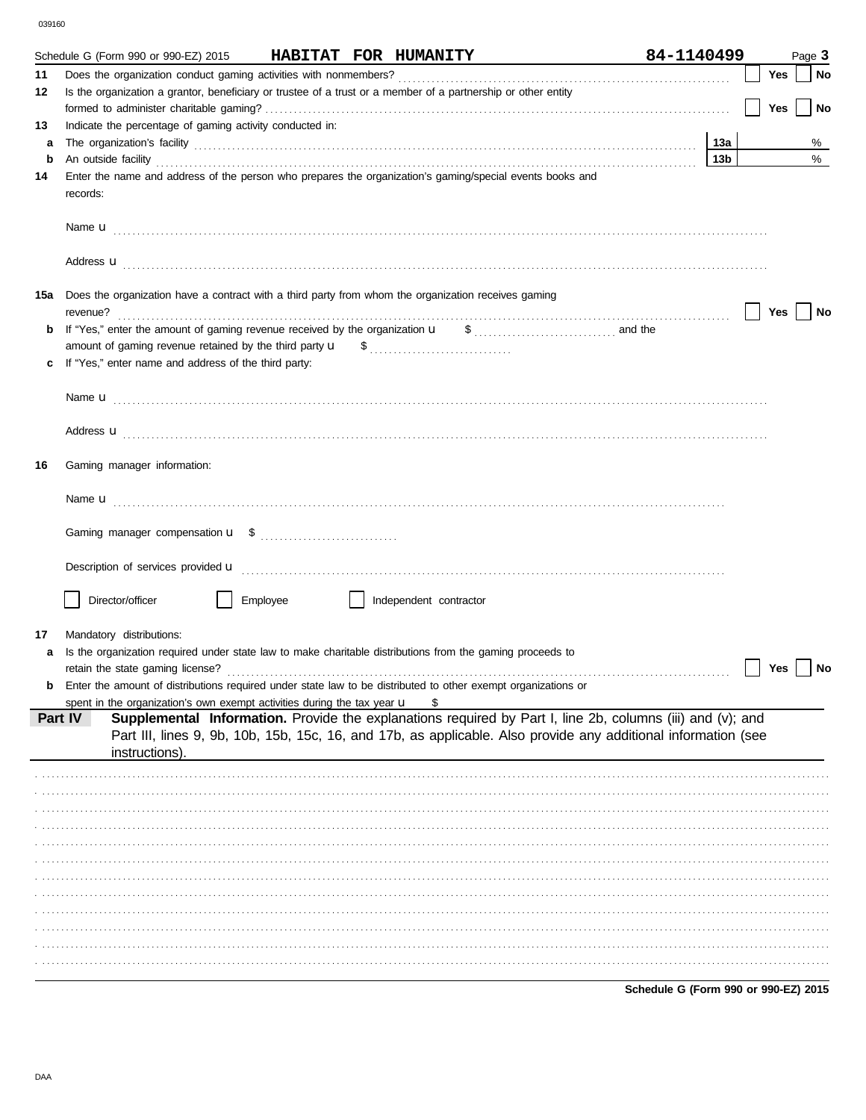|     | Schedule G (Form 990 or 990-EZ) 2015                                                                                                                                                                                                                      | HABITAT FOR HUMANITY |                        | 84-1140499                           |     |     | Page 3 |
|-----|-----------------------------------------------------------------------------------------------------------------------------------------------------------------------------------------------------------------------------------------------------------|----------------------|------------------------|--------------------------------------|-----|-----|--------|
| 11  |                                                                                                                                                                                                                                                           |                      |                        |                                      |     | Yes | No     |
| 12  | Is the organization a grantor, beneficiary or trustee of a trust or a member of a partnership or other entity                                                                                                                                             |                      |                        |                                      |     |     |        |
|     |                                                                                                                                                                                                                                                           |                      |                        |                                      |     | Yes | No     |
| 13  | Indicate the percentage of gaming activity conducted in:                                                                                                                                                                                                  |                      |                        |                                      |     |     |        |
| a   |                                                                                                                                                                                                                                                           |                      |                        |                                      | 13а |     | %      |
| b   | An outside facility <b>contained a set of the contract of the contract of the contract of the contract of the contract of the contract of the contract of the contract of the contract of the contract of the contract of the co</b>                      |                      |                        |                                      | 13b |     | %      |
| 14  | Enter the name and address of the person who prepares the organization's gaming/special events books and<br>records:                                                                                                                                      |                      |                        |                                      |     |     |        |
|     |                                                                                                                                                                                                                                                           |                      |                        |                                      |     |     |        |
|     | Address <b>u</b>                                                                                                                                                                                                                                          |                      |                        |                                      |     |     |        |
| 15a | Does the organization have a contract with a third party from whom the organization receives gaming<br>revenue?                                                                                                                                           |                      |                        |                                      |     | Yes | No     |
| b   |                                                                                                                                                                                                                                                           |                      |                        |                                      |     |     |        |
|     |                                                                                                                                                                                                                                                           |                      |                        |                                      |     |     |        |
|     | If "Yes," enter name and address of the third party:                                                                                                                                                                                                      |                      |                        |                                      |     |     |        |
|     |                                                                                                                                                                                                                                                           |                      |                        |                                      |     |     |        |
|     |                                                                                                                                                                                                                                                           |                      |                        |                                      |     |     |        |
|     |                                                                                                                                                                                                                                                           |                      |                        |                                      |     |     |        |
|     | Address <b>u</b>                                                                                                                                                                                                                                          |                      |                        |                                      |     |     |        |
| 16  | Gaming manager information:                                                                                                                                                                                                                               |                      |                        |                                      |     |     |        |
|     |                                                                                                                                                                                                                                                           |                      |                        |                                      |     |     |        |
|     |                                                                                                                                                                                                                                                           |                      |                        |                                      |     |     |        |
|     |                                                                                                                                                                                                                                                           |                      |                        |                                      |     |     |        |
|     | Description of services provided <b>u</b> electron contract the contract of the contract of the contract of the contract of the contract of the contract of the contract of the contract of the contract of the contract of the con                       |                      |                        |                                      |     |     |        |
|     | Director/officer                                                                                                                                                                                                                                          | Employee             | Independent contractor |                                      |     |     |        |
|     |                                                                                                                                                                                                                                                           |                      |                        |                                      |     |     |        |
| 17  | Mandatory distributions:                                                                                                                                                                                                                                  |                      |                        |                                      |     |     |        |
| a   | Is the organization required under state law to make charitable distributions from the gaming proceeds to                                                                                                                                                 |                      |                        |                                      |     | Yes | No     |
| b   | Enter the amount of distributions required under state law to be distributed to other exempt organizations or                                                                                                                                             |                      |                        |                                      |     |     |        |
|     | spent in the organization's own exempt activities during the tax year $\mathbf u$                                                                                                                                                                         |                      |                        |                                      |     |     |        |
|     | Supplemental Information. Provide the explanations required by Part I, line 2b, columns (iii) and (v); and<br>Part IV<br>Part III, lines 9, 9b, 10b, 15b, 15c, 16, and 17b, as applicable. Also provide any additional information (see<br>instructions). |                      |                        |                                      |     |     |        |
|     |                                                                                                                                                                                                                                                           |                      |                        |                                      |     |     |        |
|     |                                                                                                                                                                                                                                                           |                      |                        |                                      |     |     |        |
|     |                                                                                                                                                                                                                                                           |                      |                        |                                      |     |     |        |
|     |                                                                                                                                                                                                                                                           |                      |                        |                                      |     |     |        |
|     |                                                                                                                                                                                                                                                           |                      |                        |                                      |     |     |        |
|     |                                                                                                                                                                                                                                                           |                      |                        |                                      |     |     |        |
|     |                                                                                                                                                                                                                                                           |                      |                        |                                      |     |     |        |
|     |                                                                                                                                                                                                                                                           |                      |                        |                                      |     |     |        |
|     |                                                                                                                                                                                                                                                           |                      |                        |                                      |     |     |        |
|     |                                                                                                                                                                                                                                                           |                      |                        |                                      |     |     |        |
|     |                                                                                                                                                                                                                                                           |                      |                        |                                      |     |     |        |
|     |                                                                                                                                                                                                                                                           |                      |                        |                                      |     |     |        |
|     |                                                                                                                                                                                                                                                           |                      |                        | Schedule G (Form 990 or 990-EZ) 2015 |     |     |        |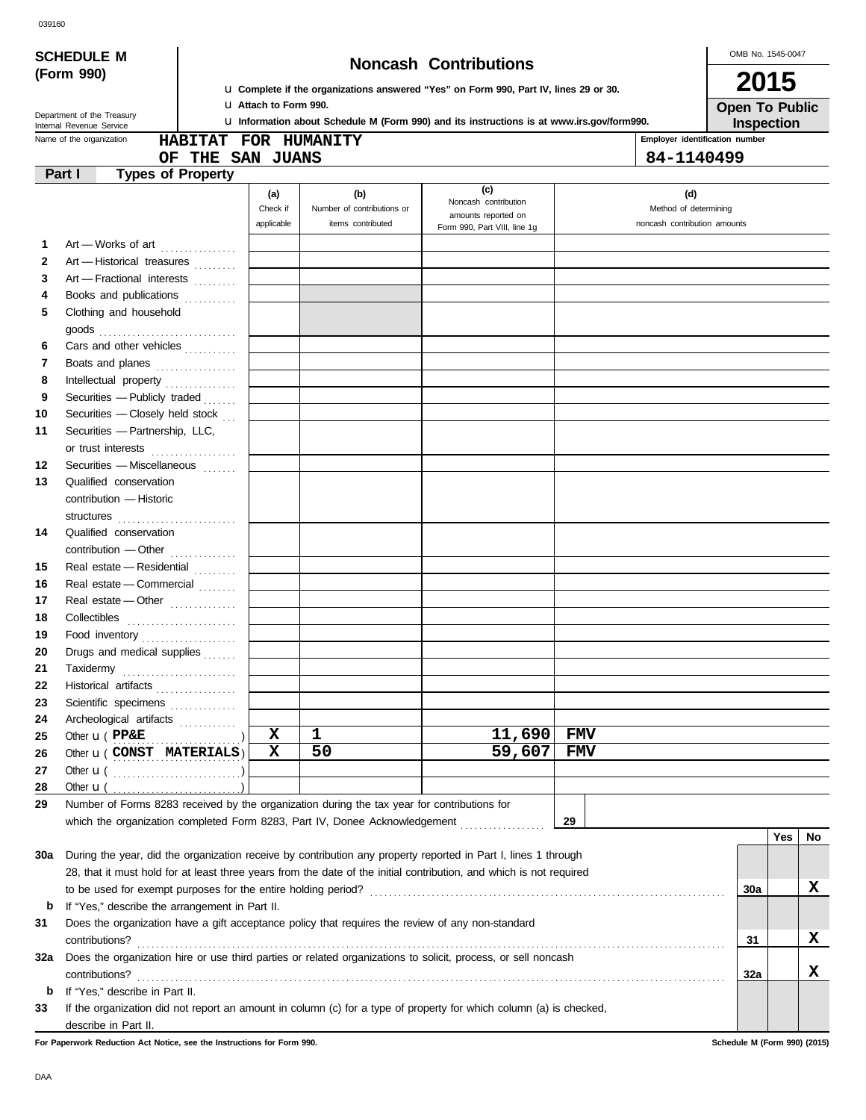| <b>Noncash Contributions</b>                                 |
|--------------------------------------------------------------|
| he organizations answered "Yes" on Form 990. Part IV. lines. |

OMB No. 1545-0047 **2015**

| --- |                       |
|-----|-----------------------|
|     | <b>Open To Public</b> |
|     | <b>Inspection</b>     |

|                                                            | <b>SCHEDULE M</b>                                                                                                   |                      |                              |                                                                                                   |                                | OMB No. |  |
|------------------------------------------------------------|---------------------------------------------------------------------------------------------------------------------|----------------------|------------------------------|---------------------------------------------------------------------------------------------------|--------------------------------|---------|--|
|                                                            | (Form 990)                                                                                                          |                      | <b>Noncash Contributions</b> |                                                                                                   |                                |         |  |
|                                                            |                                                                                                                     |                      |                              | <b>u</b> Complete if the organizations answered "Yes" on Form 990, Part IV, lines 29 or 30.       |                                | 20      |  |
| <b>U</b> Attach to Form 990.<br>Department of the Treasury |                                                                                                                     |                      |                              |                                                                                                   |                                | Open T  |  |
|                                                            | Internal Revenue Service                                                                                            |                      |                              | <b>U.</b> Information about Schedule M (Form 990) and its instructions is at www.irs.gov/form990. |                                | Inspe   |  |
|                                                            | Name of the organization                                                                                            | HABITAT FOR HUMANITY |                              |                                                                                                   | Employer identification number |         |  |
|                                                            | OF                                                                                                                  | <b>THE SAN JUANS</b> |                              |                                                                                                   | 84-1140499                     |         |  |
|                                                            | <b>Types of Property</b><br>Part I                                                                                  |                      |                              |                                                                                                   |                                |         |  |
|                                                            |                                                                                                                     | (a)                  | (b)                          | (c)<br>Noncash contribution                                                                       | (d)                            |         |  |
|                                                            |                                                                                                                     | Check if             | Number of contributions or   | amounts reported on                                                                               | Method of determining          |         |  |
|                                                            |                                                                                                                     | applicable           | items contributed            | Form 990, Part VIII, line 1g                                                                      | noncash contribution amounts   |         |  |
| 1                                                          | Art - Works of art                                                                                                  |                      |                              |                                                                                                   |                                |         |  |
| 2                                                          | Art - Historical treasures                                                                                          |                      |                              |                                                                                                   |                                |         |  |
| 3                                                          | Art - Fractional interests                                                                                          |                      |                              |                                                                                                   |                                |         |  |
| 4                                                          | Books and publications                                                                                              |                      |                              |                                                                                                   |                                |         |  |
| 5                                                          | Clothing and household                                                                                              |                      |                              |                                                                                                   |                                |         |  |
|                                                            |                                                                                                                     |                      |                              |                                                                                                   |                                |         |  |
| 6                                                          | Cars and other vehicles                                                                                             |                      |                              |                                                                                                   |                                |         |  |
| 7                                                          | Boats and planes                                                                                                    |                      |                              |                                                                                                   |                                |         |  |
| 8                                                          |                                                                                                                     |                      |                              |                                                                                                   |                                |         |  |
| 9                                                          | Securities - Publicly traded                                                                                        |                      |                              |                                                                                                   |                                |         |  |
| 10                                                         | Securities - Closely held stock                                                                                     |                      |                              |                                                                                                   |                                |         |  |
| 11                                                         | Securities - Partnership, LLC,                                                                                      |                      |                              |                                                                                                   |                                |         |  |
|                                                            | or trust interests                                                                                                  |                      |                              |                                                                                                   |                                |         |  |
| 12                                                         | Securities - Miscellaneous                                                                                          |                      |                              |                                                                                                   |                                |         |  |
| 13                                                         | Qualified conservation                                                                                              |                      |                              |                                                                                                   |                                |         |  |
|                                                            | contribution - Historic                                                                                             |                      |                              |                                                                                                   |                                |         |  |
|                                                            |                                                                                                                     |                      |                              |                                                                                                   |                                |         |  |
| 14                                                         | Qualified conservation                                                                                              |                      |                              |                                                                                                   |                                |         |  |
|                                                            | contribution - Other                                                                                                |                      |                              |                                                                                                   |                                |         |  |
| 15                                                         | Real estate - Residential                                                                                           |                      |                              |                                                                                                   |                                |         |  |
| 16                                                         | Real estate - Commercial                                                                                            |                      |                              |                                                                                                   |                                |         |  |
| 17                                                         | Real estate - Other <b>Communist Communist Property</b>                                                             |                      |                              |                                                                                                   |                                |         |  |
| 18                                                         | Collectibles                                                                                                        |                      |                              |                                                                                                   |                                |         |  |
| 19                                                         | Food inventory                                                                                                      |                      |                              |                                                                                                   |                                |         |  |
| 20                                                         | Drugs and medical supplies                                                                                          |                      |                              |                                                                                                   |                                |         |  |
| 21                                                         | Taxidermy                                                                                                           |                      |                              |                                                                                                   |                                |         |  |
| 22                                                         | Historical artifacts                                                                                                |                      |                              |                                                                                                   |                                |         |  |
| 23                                                         | Scientific specimens                                                                                                |                      |                              |                                                                                                   |                                |         |  |
| 24                                                         | Archeological artifacts                                                                                             |                      |                              |                                                                                                   |                                |         |  |
| 25                                                         | Other $\mathbf{u}$ ( $\mathbf{PPAE}$                                                                                | X                    | 1                            | 11,690                                                                                            | <b>FMV</b>                     |         |  |
| 26                                                         | Other <b>u</b> (CONST MATERIALS)                                                                                    | X                    | 50                           | 59,607                                                                                            | FMV                            |         |  |
| 27                                                         |                                                                                                                     |                      |                              |                                                                                                   |                                |         |  |
| 28                                                         | Other $\mathbf{u}$ (                                                                                                |                      |                              |                                                                                                   |                                |         |  |
| 29                                                         | Number of Forms 8283 received by the organization during the tax year for contributions for                         |                      |                              |                                                                                                   |                                |         |  |
|                                                            | which the organization completed Form 8283, Part IV, Donee Acknowledgement                                          |                      |                              |                                                                                                   | 29                             |         |  |
|                                                            |                                                                                                                     |                      |                              |                                                                                                   |                                |         |  |
| 30a                                                        | During the year, did the organization receive by contribution any property reported in Part I, lines 1 through      |                      |                              |                                                                                                   |                                |         |  |
|                                                            | 28, that it must hold for at least three years from the date of the initial contribution, and which is not required |                      |                              |                                                                                                   |                                |         |  |
|                                                            | to be used for exempt purposes for the entire holding period?                                                       |                      |                              |                                                                                                   |                                | 30a     |  |
| b                                                          | If "Yes," describe the arrangement in Part II.                                                                      |                      |                              |                                                                                                   |                                |         |  |
| 31                                                         | Does the organization have a gift acceptance policy that requires the review of any non-standard                    |                      |                              |                                                                                                   |                                |         |  |
|                                                            |                                                                                                                     |                      |                              |                                                                                                   |                                | 31      |  |
|                                                            |                                                                                                                     |                      |                              |                                                                                                   |                                |         |  |

contributions? . . . . . . . . . . . . . . . . . . . . . . . . . . . . . . . . . . . . . . . . . . . . . . . . . . . . . . . . . . . . . . . . . . . . . . . . . . . . . . . . . . . . . . . . . . . . . . . . . . . . . . . . . . . . . . . . . . . . . . . . . . . .

**32a** Does the organization hire or use third parties or related organizations to solicit, process, or sell noncash

**33** If the organization did not report an amount in column (c) for a type of property for which column (a) is checked,

**32a**

**Yes No**

**X**

**X**

**X**

**For Paperwork Reduction Act Notice, see the Instructions for Form 990. Schedule M (Form 990) (2015)**

**b** If "Yes," describe in Part II.

describe in Part II.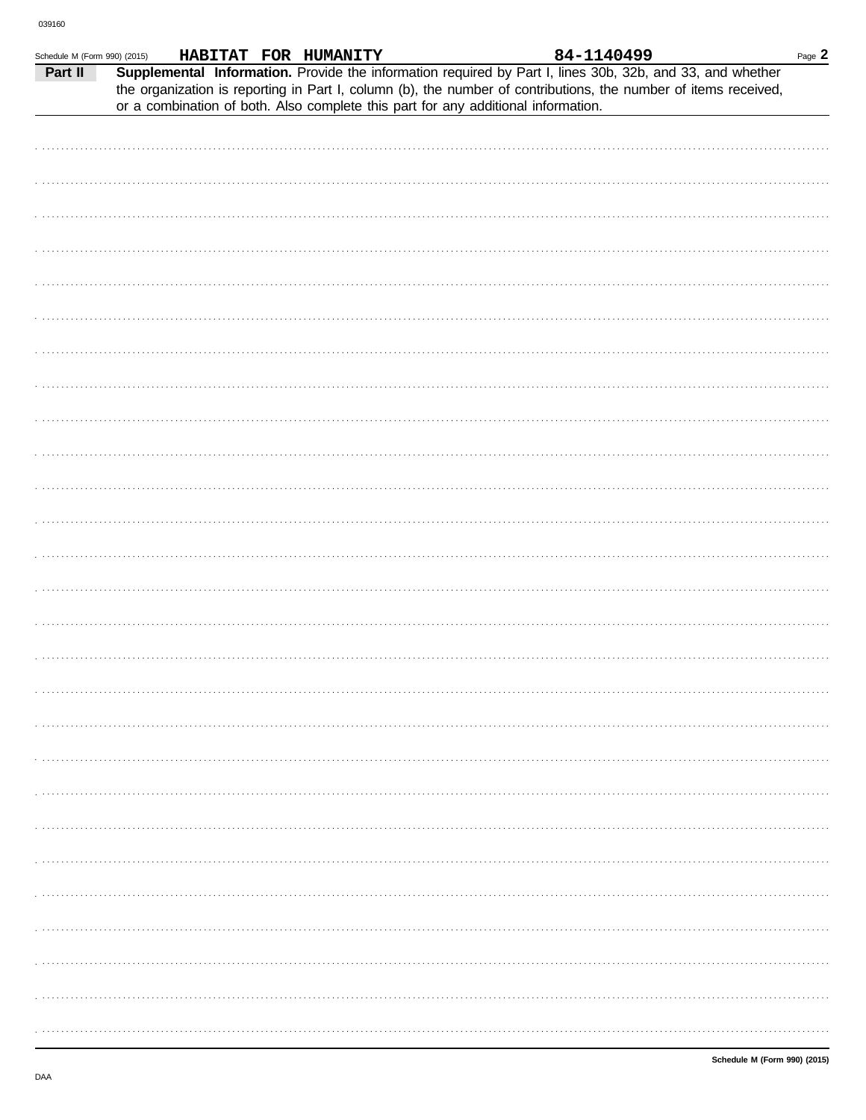| Schedule M (Form 990) (2015) |  | HABITAT FOR HUMANITY |                                                                                   | 84-1140499                                                                                                                                                                                                                   | Page $2$ |
|------------------------------|--|----------------------|-----------------------------------------------------------------------------------|------------------------------------------------------------------------------------------------------------------------------------------------------------------------------------------------------------------------------|----------|
| Part II                      |  |                      |                                                                                   | Supplemental Information. Provide the information required by Part I, lines 30b, 32b, and 33, and whether<br>the organization is reporting in Part I, column (b), the number of contributions, the number of items received, |          |
|                              |  |                      | or a combination of both. Also complete this part for any additional information. |                                                                                                                                                                                                                              |          |
|                              |  |                      |                                                                                   |                                                                                                                                                                                                                              |          |
|                              |  |                      |                                                                                   |                                                                                                                                                                                                                              |          |
|                              |  |                      |                                                                                   |                                                                                                                                                                                                                              |          |
|                              |  |                      |                                                                                   |                                                                                                                                                                                                                              |          |
|                              |  |                      |                                                                                   |                                                                                                                                                                                                                              |          |
|                              |  |                      |                                                                                   |                                                                                                                                                                                                                              |          |
|                              |  |                      |                                                                                   |                                                                                                                                                                                                                              |          |
|                              |  |                      |                                                                                   |                                                                                                                                                                                                                              |          |
|                              |  |                      |                                                                                   |                                                                                                                                                                                                                              |          |
|                              |  |                      |                                                                                   |                                                                                                                                                                                                                              |          |
|                              |  |                      |                                                                                   |                                                                                                                                                                                                                              |          |
|                              |  |                      |                                                                                   |                                                                                                                                                                                                                              |          |
|                              |  |                      |                                                                                   |                                                                                                                                                                                                                              |          |
|                              |  |                      |                                                                                   |                                                                                                                                                                                                                              |          |
|                              |  |                      |                                                                                   |                                                                                                                                                                                                                              |          |
|                              |  |                      |                                                                                   |                                                                                                                                                                                                                              |          |
|                              |  |                      |                                                                                   |                                                                                                                                                                                                                              |          |
|                              |  |                      |                                                                                   |                                                                                                                                                                                                                              |          |
|                              |  |                      |                                                                                   |                                                                                                                                                                                                                              |          |
|                              |  |                      |                                                                                   |                                                                                                                                                                                                                              |          |
|                              |  |                      |                                                                                   |                                                                                                                                                                                                                              |          |
|                              |  |                      |                                                                                   |                                                                                                                                                                                                                              |          |
|                              |  |                      |                                                                                   |                                                                                                                                                                                                                              |          |
|                              |  |                      |                                                                                   |                                                                                                                                                                                                                              |          |
|                              |  |                      |                                                                                   |                                                                                                                                                                                                                              |          |
|                              |  |                      |                                                                                   |                                                                                                                                                                                                                              |          |
|                              |  |                      |                                                                                   |                                                                                                                                                                                                                              |          |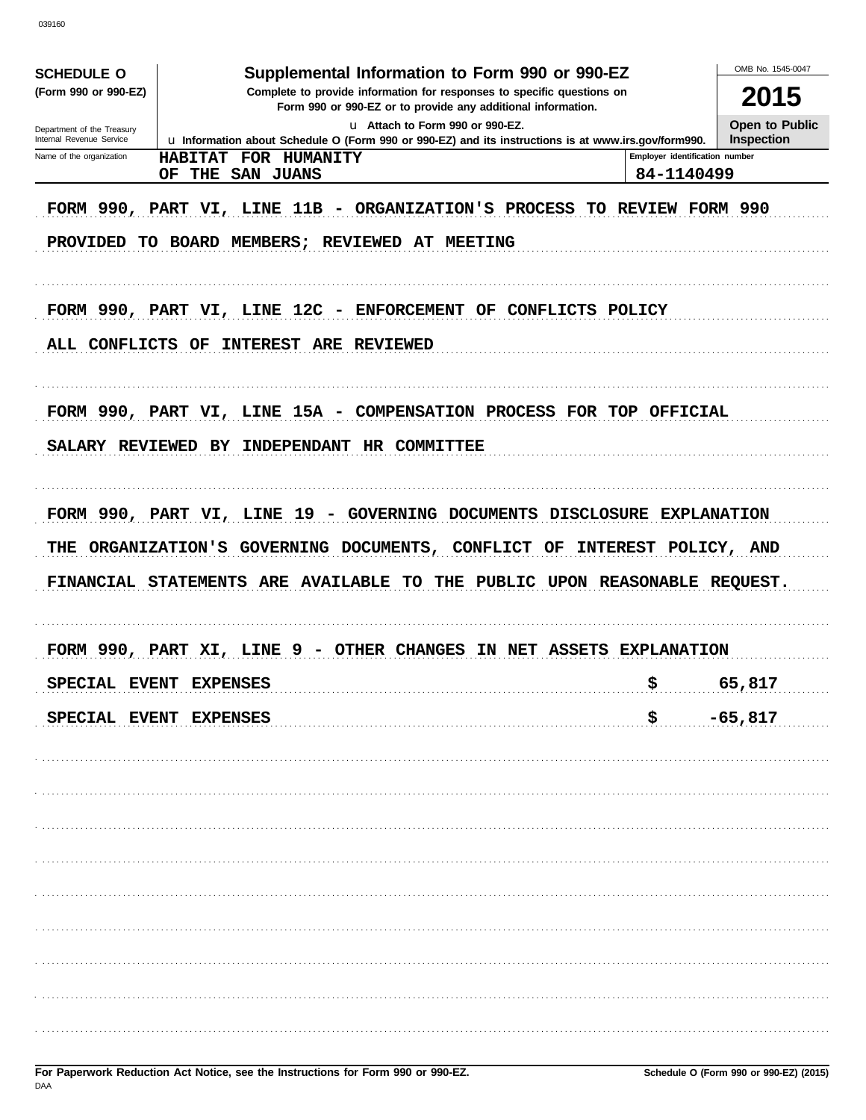| <b>SCHEDULE O</b><br>(Form 990 or 990-EZ)              | Supplemental Information to Form 990 or 990-EZ<br>Complete to provide information for responses to specific questions on                |                                              |                                     |  |  |
|--------------------------------------------------------|-----------------------------------------------------------------------------------------------------------------------------------------|----------------------------------------------|-------------------------------------|--|--|
|                                                        | Form 990 or 990-EZ or to provide any additional information.                                                                            |                                              | 2015                                |  |  |
| Department of the Treasury<br>Internal Revenue Service | u Attach to Form 990 or 990-EZ.<br>La Information about Schedule O (Form 990 or 990-EZ) and its instructions is at www.irs.gov/form990. |                                              | Open to Public<br><b>Inspection</b> |  |  |
| Name of the organization                               | HABITAT FOR HUMANITY<br>THE SAN JUANS<br>OF                                                                                             | Employer identification number<br>84-1140499 |                                     |  |  |
|                                                        | FORM 990, PART VI, LINE 11B - ORGANIZATION'S PROCESS TO REVIEW FORM 990<br>PROVIDED TO BOARD MEMBERS; REVIEWED AT MEETING               |                                              |                                     |  |  |
| ALL CONFLICTS OF                                       | FORM 990, PART VI, LINE 12C - ENFORCEMENT OF CONFLICTS POLICY<br><b>INTEREST ARE REVIEWED</b>                                           |                                              |                                     |  |  |
|                                                        | FORM 990, PART VI, LINE 15A - COMPENSATION PROCESS FOR TOP OFFICIAL                                                                     |                                              |                                     |  |  |
| SALARY REVIEWED BY                                     | INDEPENDANT HR COMMITTEE                                                                                                                |                                              |                                     |  |  |
| THE                                                    | ORGANIZATION'S GOVERNING DOCUMENTS, CONFLICT OF<br>FINANCIAL STATEMENTS ARE AVAILABLE<br>TO THE PUBLIC UPON REASONABLE REQUEST.         | INTEREST POLICY, AND                         |                                     |  |  |
|                                                        | FORM 990, PART XI, LINE 9 - OTHER CHANGES IN NET ASSETS EXPLANATION                                                                     |                                              |                                     |  |  |
|                                                        | SPECIAL EVENT EXPENSES<br>SPECIAL EVENT EXPENSES                                                                                        | \$<br>\$                                     | 65,817<br>$-65,817$                 |  |  |
|                                                        |                                                                                                                                         |                                              |                                     |  |  |
|                                                        |                                                                                                                                         |                                              |                                     |  |  |
|                                                        |                                                                                                                                         |                                              |                                     |  |  |
|                                                        |                                                                                                                                         |                                              |                                     |  |  |
|                                                        |                                                                                                                                         |                                              |                                     |  |  |
|                                                        |                                                                                                                                         |                                              |                                     |  |  |
|                                                        |                                                                                                                                         |                                              |                                     |  |  |
|                                                        |                                                                                                                                         |                                              |                                     |  |  |
|                                                        |                                                                                                                                         |                                              |                                     |  |  |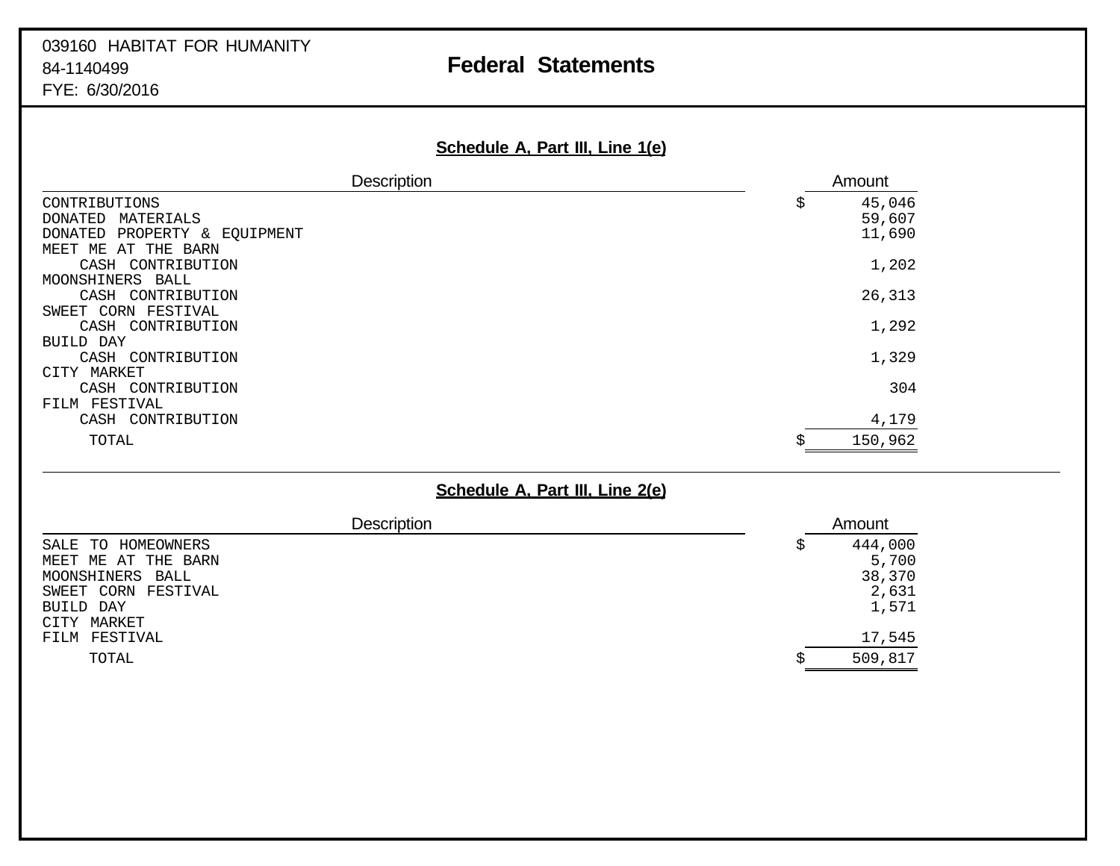| <u>Schedule A, Part III, Line 1(e)</u>                                                             |   |                            |
|----------------------------------------------------------------------------------------------------|---|----------------------------|
| <b>Description</b>                                                                                 |   | Amount                     |
| CONTRIBUTIONS<br>DONATED<br>MATERIALS<br>PROPERTY & EQUIPMENT<br>DONATED<br>MEET ME<br>AT THE BARN | S | 45,046<br>59,607<br>11,690 |
| CASH CONTRIBUTION<br>MOONSHINERS BALL                                                              |   | 1,202                      |
| CASH CONTRIBUTION<br>SWEET CORN FESTIVAL<br>CASH CONTRIBUTION                                      |   | 26,313<br>1,292            |
| BUILD DAY<br>CASH CONTRIBUTION<br>CITY MARKET                                                      |   | 1,329                      |
| CASH CONTRIBUTION<br>FILM FESTIVAL<br>CASH CONTRIBUTION                                            |   | 304<br>4,179               |
| TOTAL                                                                                              |   | 150,962                    |

|                                                                                                                     | Schedule A, Part III, Line 2(e)                    |
|---------------------------------------------------------------------------------------------------------------------|----------------------------------------------------|
| <b>Description</b>                                                                                                  | Amount                                             |
| SALE TO<br>HOMEOWNERS<br>MEET ME AT THE BARN<br>MOONSHINERS BALL<br>SWEET CORN FESTIVAL<br>BUILD DAY<br>CITY MARKET | 444,000<br>\$<br>5,700<br>38,370<br>2,631<br>1,571 |
| FESTIVAL<br>FILM                                                                                                    | 17,545                                             |
| TOTAL                                                                                                               | 509,817<br>∼                                       |

# **Schedule A, Part III, Line 1(e)**